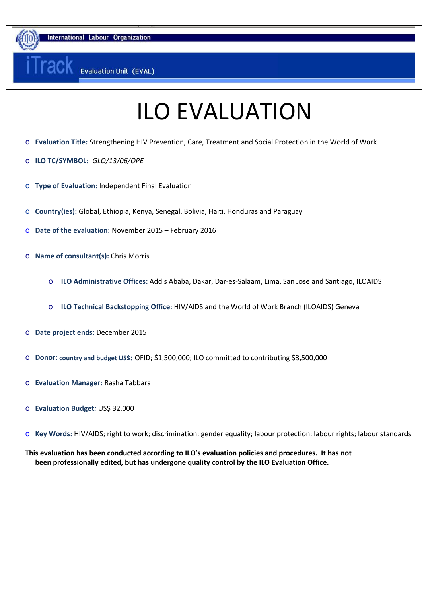nternational Labour Organization

# ILO EVALUATION

֖֖֖֖֖֖֖֖֖ׅׅ֚֚֚֚֚֚֚֚֚֚֚֚֚֚֚֚֚֚֚֡֬֡֓֡֞֡֡֡֡֡֞֡֡֡֬

- o **Evaluation Title:** Strengthening HIV Prevention, Care, Treatment and Social Protection in the World of Work
- o **ILO TC/SYMBOL:** *GLO/13/06/OPE*

**rac** 

- o **Type of Evaluation:** Independent Final Evaluation
- o **Country(ies):** Global, Ethiopia, Kenya, Senegal, Bolivia, Haiti, Honduras and Paraguay
- o **Date of the evaluation:** November 2015 February 2016
- o **Name of consultant(s):** Chris Morris
	- o **ILO Administrative Offices:** Addis Ababa, Dakar, Dar-es-Salaam, Lima, San Jose and Santiago, ILOAIDS
	- o **ILO Technical Backstopping Office:** HIV/AIDS and the World of Work Branch (ILOAIDS) Geneva
- o **Date project ends:** December 2015
- o **Donor: country and budget US\$:** OFID; \$1,500,000; ILO committed to contributing \$3,500,000
- o **Evaluation Manager:** Rasha Tabbara
- o **Evaluation Budget***:* US\$ 32,000
- o **Key Words:** HIV/AIDS; right to work; discrimination; gender equality; labour protection; labour rights; labour standards

**This evaluation has been conducted according to ILO's evaluation policies and procedures. It has not been professionally edited, but has undergone quality control by the ILO Evaluation Office.**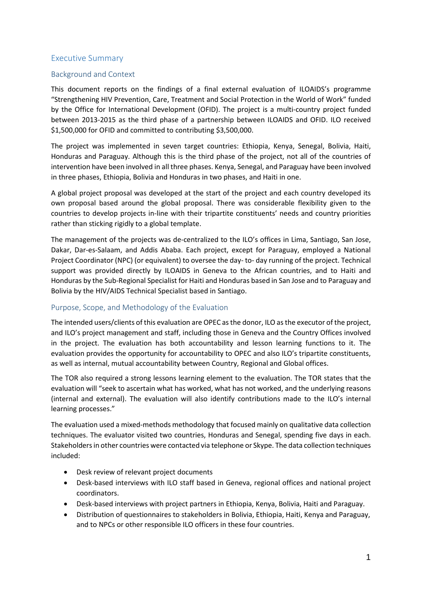## <span id="page-1-0"></span>Executive Summary

## <span id="page-1-1"></span>Background and Context

This document reports on the findings of a final external evaluation of ILOAIDS's programme "Strengthening HIV Prevention, Care, Treatment and Social Protection in the World of Work" funded by the Office for International Development (OFID). The project is a multi-country project funded between 2013-2015 as the third phase of a partnership between ILOAIDS and OFID. ILO received \$1,500,000 for OFID and committed to contributing \$3,500,000.

The project was implemented in seven target countries: Ethiopia, Kenya, Senegal, Bolivia, Haiti, Honduras and Paraguay. Although this is the third phase of the project, not all of the countries of intervention have been involved in all three phases. Kenya, Senegal, and Paraguay have been involved in three phases, Ethiopia, Bolivia and Honduras in two phases, and Haiti in one.

A global project proposal was developed at the start of the project and each country developed its own proposal based around the global proposal. There was considerable flexibility given to the countries to develop projects in-line with their tripartite constituents' needs and country priorities rather than sticking rigidly to a global template.

The management of the projects was de-centralized to the ILO's offices in Lima, Santiago, San Jose, Dakar, Dar-es-Salaam, and Addis Ababa. Each project, except for Paraguay, employed a National Project Coordinator (NPC) (or equivalent) to oversee the day- to- day running of the project. Technical support was provided directly by ILOAIDS in Geneva to the African countries, and to Haiti and Honduras by the Sub-Regional Specialist for Haiti and Honduras based in San Jose and to Paraguay and Bolivia by the HIV/AIDS Technical Specialist based in Santiago.

## <span id="page-1-2"></span>Purpose, Scope, and Methodology of the Evaluation

The intended users/clients of this evaluation are OPEC as the donor, ILO as the executor of the project, and ILO's project management and staff, including those in Geneva and the Country Offices involved in the project. The evaluation has both accountability and lesson learning functions to it. The evaluation provides the opportunity for accountability to OPEC and also ILO's tripartite constituents, as well as internal, mutual accountability between Country, Regional and Global offices.

The TOR also required a strong lessons learning element to the evaluation. The TOR states that the evaluation will "seek to ascertain what has worked, what has not worked, and the underlying reasons (internal and external). The evaluation will also identify contributions made to the ILO's internal learning processes."

The evaluation used a mixed-methods methodology that focused mainly on qualitative data collection techniques. The evaluator visited two countries, Honduras and Senegal, spending five days in each. Stakeholders in other countries were contacted via telephone or Skype. The data collection techniques included:

- Desk review of relevant project documents
- Desk-based interviews with ILO staff based in Geneva, regional offices and national project coordinators.
- Desk-based interviews with project partners in Ethiopia, Kenya, Bolivia, Haiti and Paraguay.
- Distribution of questionnaires to stakeholders in Bolivia, Ethiopia, Haiti, Kenya and Paraguay, and to NPCs or other responsible ILO officers in these four countries.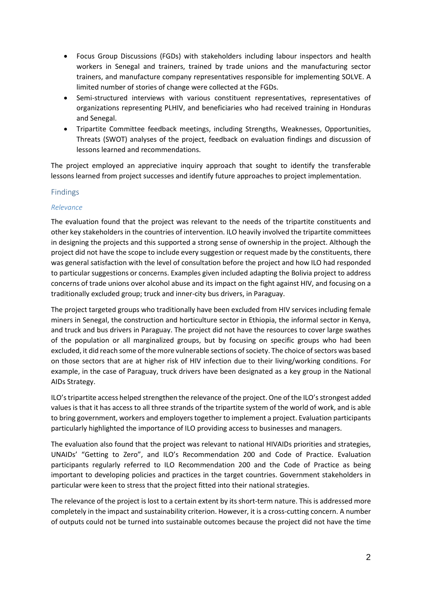- Focus Group Discussions (FGDs) with stakeholders including labour inspectors and health workers in Senegal and trainers, trained by trade unions and the manufacturing sector trainers, and manufacture company representatives responsible for implementing SOLVE. A limited number of stories of change were collected at the FGDs.
- Semi-structured interviews with various constituent representatives, representatives of organizations representing PLHIV, and beneficiaries who had received training in Honduras and Senegal.
- Tripartite Committee feedback meetings, including Strengths, Weaknesses, Opportunities, Threats (SWOT) analyses of the project, feedback on evaluation findings and discussion of lessons learned and recommendations.

The project employed an appreciative inquiry approach that sought to identify the transferable lessons learned from project successes and identify future approaches to project implementation.

## <span id="page-2-0"></span>Findings

## *Relevance*

The evaluation found that the project was relevant to the needs of the tripartite constituents and other key stakeholders in the countries of intervention. ILO heavily involved the tripartite committees in designing the projects and this supported a strong sense of ownership in the project. Although the project did not have the scope to include every suggestion or request made by the constituents, there was general satisfaction with the level of consultation before the project and how ILO had responded to particular suggestions or concerns. Examples given included adapting the Bolivia project to address concerns of trade unions over alcohol abuse and its impact on the fight against HIV, and focusing on a traditionally excluded group; truck and inner-city bus drivers, in Paraguay.

The project targeted groups who traditionally have been excluded from HIV services including female miners in Senegal, the construction and horticulture sector in Ethiopia, the informal sector in Kenya, and truck and bus drivers in Paraguay. The project did not have the resources to cover large swathes of the population or all marginalized groups, but by focusing on specific groups who had been excluded, it did reach some of the more vulnerable sections of society. The choice of sectors was based on those sectors that are at higher risk of HIV infection due to their living/working conditions. For example, in the case of Paraguay, truck drivers have been designated as a key group in the National AIDs Strategy.

ILO's tripartite access helped strengthen the relevance of the project. One of the ILO's strongest added values is that it has access to all three strands of the tripartite system of the world of work, and is able to bring government, workers and employers together to implement a project. Evaluation participants particularly highlighted the importance of ILO providing access to businesses and managers.

The evaluation also found that the project was relevant to national HIVAIDs priorities and strategies, UNAIDs' "Getting to Zero", and ILO's Recommendation 200 and Code of Practice. Evaluation participants regularly referred to ILO Recommendation 200 and the Code of Practice as being important to developing policies and practices in the target countries. Government stakeholders in particular were keen to stress that the project fitted into their national strategies.

The relevance of the project is lost to a certain extent by its short-term nature. This is addressed more completely in the impact and sustainability criterion. However, it is a cross-cutting concern. A number of outputs could not be turned into sustainable outcomes because the project did not have the time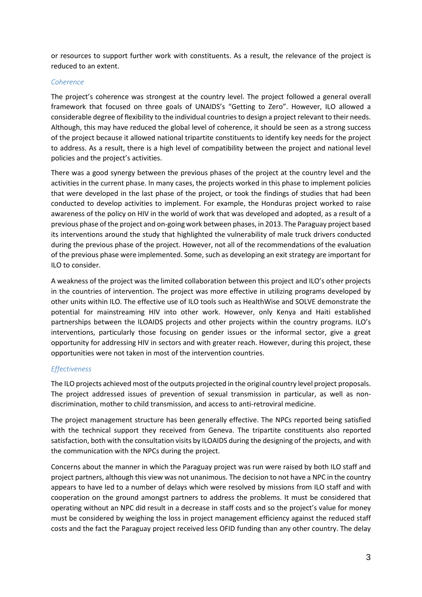or resources to support further work with constituents. As a result, the relevance of the project is reduced to an extent.

## *Coherence*

The project's coherence was strongest at the country level. The project followed a general overall framework that focused on three goals of UNAIDS's "Getting to Zero". However, ILO allowed a considerable degree of flexibility to the individual countries to design a project relevant to their needs. Although, this may have reduced the global level of coherence, it should be seen as a strong success of the project because it allowed national tripartite constituents to identify key needs for the project to address. As a result, there is a high level of compatibility between the project and national level policies and the project's activities.

There was a good synergy between the previous phases of the project at the country level and the activities in the current phase. In many cases, the projects worked in this phase to implement policies that were developed in the last phase of the project, or took the findings of studies that had been conducted to develop activities to implement. For example, the Honduras project worked to raise awareness of the policy on HIV in the world of work that was developed and adopted, as a result of a previous phase of the project and on-going work between phases, in 2013. The Paraguay project based its interventions around the study that highlighted the vulnerability of male truck drivers conducted during the previous phase of the project. However, not all of the recommendations of the evaluation of the previous phase were implemented. Some, such as developing an exit strategy are important for ILO to consider.

A weakness of the project was the limited collaboration between this project and ILO's other projects in the countries of intervention. The project was more effective in utilizing programs developed by other units within ILO. The effective use of ILO tools such as HealthWise and SOLVE demonstrate the potential for mainstreaming HIV into other work. However, only Kenya and Haiti established partnerships between the ILOAIDS projects and other projects within the country programs. ILO's interventions, particularly those focusing on gender issues or the informal sector, give a great opportunity for addressing HIV in sectors and with greater reach. However, during this project, these opportunities were not taken in most of the intervention countries.

## *Effectiveness*

The ILO projects achieved most of the outputs projected in the original country level project proposals. The project addressed issues of prevention of sexual transmission in particular, as well as nondiscrimination, mother to child transmission, and access to anti-retroviral medicine.

The project management structure has been generally effective. The NPCs reported being satisfied with the technical support they received from Geneva. The tripartite constituents also reported satisfaction, both with the consultation visits by ILOAIDS during the designing of the projects, and with the communication with the NPCs during the project.

Concerns about the manner in which the Paraguay project was run were raised by both ILO staff and project partners, although this view was not unanimous. The decision to not have a NPC in the country appears to have led to a number of delays which were resolved by missions from ILO staff and with cooperation on the ground amongst partners to address the problems. It must be considered that operating without an NPC did result in a decrease in staff costs and so the project's value for money must be considered by weighing the loss in project management efficiency against the reduced staff costs and the fact the Paraguay project received less OFID funding than any other country. The delay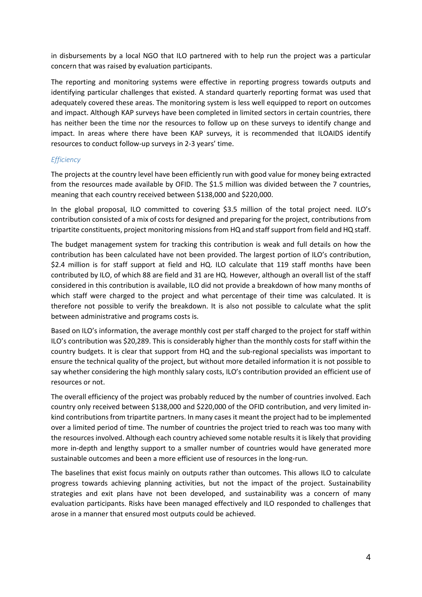in disbursements by a local NGO that ILO partnered with to help run the project was a particular concern that was raised by evaluation participants.

The reporting and monitoring systems were effective in reporting progress towards outputs and identifying particular challenges that existed. A standard quarterly reporting format was used that adequately covered these areas. The monitoring system is less well equipped to report on outcomes and impact. Although KAP surveys have been completed in limited sectors in certain countries, there has neither been the time nor the resources to follow up on these surveys to identify change and impact. In areas where there have been KAP surveys, it is recommended that ILOAIDS identify resources to conduct follow-up surveys in 2-3 years' time.

## *Efficiency*

The projects at the country level have been efficiently run with good value for money being extracted from the resources made available by OFID. The \$1.5 million was divided between the 7 countries, meaning that each country received between \$138,000 and \$220,000.

In the global proposal, ILO committed to covering \$3.5 million of the total project need. ILO's contribution consisted of a mix of costs for designed and preparing for the project, contributions from tripartite constituents, project monitoring missions from HQ and staff support from field and HQ staff.

The budget management system for tracking this contribution is weak and full details on how the contribution has been calculated have not been provided. The largest portion of ILO's contribution, \$2.4 million is for staff support at field and HQ. ILO calculate that 119 staff months have been contributed by ILO, of which 88 are field and 31 are HQ. However, although an overall list of the staff considered in this contribution is available, ILO did not provide a breakdown of how many months of which staff were charged to the project and what percentage of their time was calculated. It is therefore not possible to verify the breakdown. It is also not possible to calculate what the split between administrative and programs costs is.

Based on ILO's information, the average monthly cost per staff charged to the project for staff within ILO's contribution was \$20,289. This is considerably higher than the monthly costs for staff within the country budgets. It is clear that support from HQ and the sub-regional specialists was important to ensure the technical quality of the project, but without more detailed information it is not possible to say whether considering the high monthly salary costs, ILO's contribution provided an efficient use of resources or not.

The overall efficiency of the project was probably reduced by the number of countries involved. Each country only received between \$138,000 and \$220,000 of the OFID contribution, and very limited inkind contributions from tripartite partners. In many cases it meant the project had to be implemented over a limited period of time. The number of countries the project tried to reach was too many with the resources involved. Although each country achieved some notable results it is likely that providing more in-depth and lengthy support to a smaller number of countries would have generated more sustainable outcomes and been a more efficient use of resources in the long-run.

The baselines that exist focus mainly on outputs rather than outcomes. This allows ILO to calculate progress towards achieving planning activities, but not the impact of the project. Sustainability strategies and exit plans have not been developed, and sustainability was a concern of many evaluation participants. Risks have been managed effectively and ILO responded to challenges that arose in a manner that ensured most outputs could be achieved.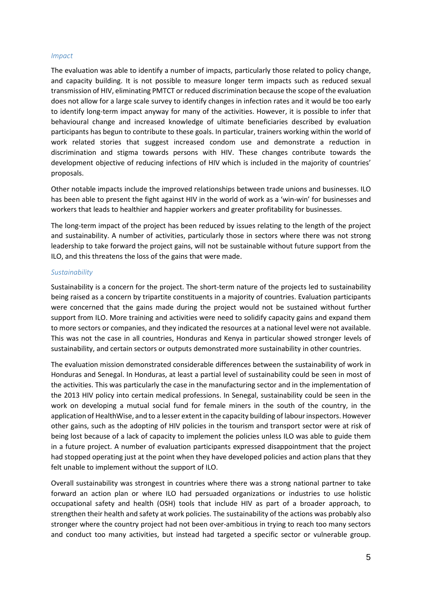#### *Impact*

The evaluation was able to identify a number of impacts, particularly those related to policy change, and capacity building. It is not possible to measure longer term impacts such as reduced sexual transmission of HIV, eliminating PMTCT or reduced discrimination because the scope of the evaluation does not allow for a large scale survey to identify changes in infection rates and it would be too early to identify long-term impact anyway for many of the activities. However, it is possible to infer that behavioural change and increased knowledge of ultimate beneficiaries described by evaluation participants has begun to contribute to these goals. In particular, trainers working within the world of work related stories that suggest increased condom use and demonstrate a reduction in discrimination and stigma towards persons with HIV. These changes contribute towards the development objective of reducing infections of HIV which is included in the majority of countries' proposals.

Other notable impacts include the improved relationships between trade unions and businesses. ILO has been able to present the fight against HIV in the world of work as a 'win-win' for businesses and workers that leads to healthier and happier workers and greater profitability for businesses.

The long-term impact of the project has been reduced by issues relating to the length of the project and sustainability. A number of activities, particularly those in sectors where there was not strong leadership to take forward the project gains, will not be sustainable without future support from the ILO, and this threatens the loss of the gains that were made.

#### *Sustainability*

Sustainability is a concern for the project. The short-term nature of the projects led to sustainability being raised as a concern by tripartite constituents in a majority of countries. Evaluation participants were concerned that the gains made during the project would not be sustained without further support from ILO. More training and activities were need to solidify capacity gains and expand them to more sectors or companies, and they indicated the resources at a national level were not available. This was not the case in all countries, Honduras and Kenya in particular showed stronger levels of sustainability, and certain sectors or outputs demonstrated more sustainability in other countries.

The evaluation mission demonstrated considerable differences between the sustainability of work in Honduras and Senegal. In Honduras, at least a partial level of sustainability could be seen in most of the activities. This was particularly the case in the manufacturing sector and in the implementation of the 2013 HIV policy into certain medical professions. In Senegal, sustainability could be seen in the work on developing a mutual social fund for female miners in the south of the country, in the application of HealthWise, and to a lesser extent in the capacity building of labour inspectors. However other gains, such as the adopting of HIV policies in the tourism and transport sector were at risk of being lost because of a lack of capacity to implement the policies unless ILO was able to guide them in a future project. A number of evaluation participants expressed disappointment that the project had stopped operating just at the point when they have developed policies and action plans that they felt unable to implement without the support of ILO.

Overall sustainability was strongest in countries where there was a strong national partner to take forward an action plan or where ILO had persuaded organizations or industries to use holistic occupational safety and health (OSH) tools that include HIV as part of a broader approach, to strengthen their health and safety at work policies. The sustainability of the actions was probably also stronger where the country project had not been over-ambitious in trying to reach too many sectors and conduct too many activities, but instead had targeted a specific sector or vulnerable group.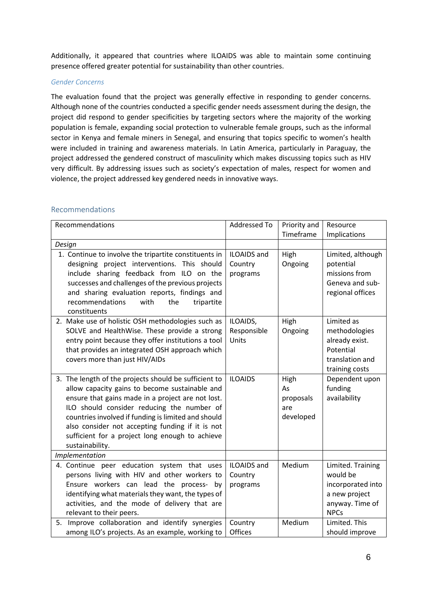Additionally, it appeared that countries where ILOAIDS was able to maintain some continuing presence offered greater potential for sustainability than other countries.

## *Gender Concerns*

The evaluation found that the project was generally effective in responding to gender concerns. Although none of the countries conducted a specific gender needs assessment during the design, the project did respond to gender specificities by targeting sectors where the majority of the working population is female, expanding social protection to vulnerable female groups, such as the informal sector in Kenya and female miners in Senegal, and ensuring that topics specific to women's health were included in training and awareness materials. In Latin America, particularly in Paraguay, the project addressed the gendered construct of masculinity which makes discussing topics such as HIV very difficult. By addressing issues such as society's expectation of males, respect for women and violence, the project addressed key gendered needs in innovative ways.

## <span id="page-6-0"></span>Recommendations

| Recommendations                                                                                                                                                                                                                                                                                                                                                                             | Addressed To                              | Priority and<br>Timeframe                   | Resource<br>Implications                                                                              |
|---------------------------------------------------------------------------------------------------------------------------------------------------------------------------------------------------------------------------------------------------------------------------------------------------------------------------------------------------------------------------------------------|-------------------------------------------|---------------------------------------------|-------------------------------------------------------------------------------------------------------|
| Design                                                                                                                                                                                                                                                                                                                                                                                      |                                           |                                             |                                                                                                       |
| 1. Continue to involve the tripartite constituents in<br>designing project interventions. This should<br>include sharing feedback from ILO on the<br>successes and challenges of the previous projects<br>and sharing evaluation reports, findings and<br>recommendations<br>with<br>the<br>tripartite<br>constituents                                                                      | <b>ILOAIDS</b> and<br>Country<br>programs | High<br>Ongoing                             | Limited, although<br>potential<br>missions from<br>Geneva and sub-<br>regional offices                |
| 2. Make use of holistic OSH methodologies such as<br>SOLVE and HealthWise. These provide a strong<br>entry point because they offer institutions a tool<br>that provides an integrated OSH approach which<br>covers more than just HIV/AIDs                                                                                                                                                 | ILOAIDS,<br>Responsible<br>Units          | High<br>Ongoing                             | Limited as<br>methodologies<br>already exist.<br>Potential<br>translation and<br>training costs       |
| 3. The length of the projects should be sufficient to<br>allow capacity gains to become sustainable and<br>ensure that gains made in a project are not lost.<br>ILO should consider reducing the number of<br>countries involved if funding is limited and should<br>also consider not accepting funding if it is not<br>sufficient for a project long enough to achieve<br>sustainability. | <b>ILOAIDS</b>                            | High<br>As<br>proposals<br>are<br>developed | Dependent upon<br>funding<br>availability                                                             |
| Implementation                                                                                                                                                                                                                                                                                                                                                                              |                                           |                                             |                                                                                                       |
| 4. Continue peer education system that uses<br>persons living with HIV and other workers to<br>Ensure workers can lead the process- by<br>identifying what materials they want, the types of<br>activities, and the mode of delivery that are<br>relevant to their peers.                                                                                                                   | ILOAIDS and<br>Country<br>programs        | Medium                                      | Limited. Training<br>would be<br>incorporated into<br>a new project<br>anyway. Time of<br><b>NPCs</b> |
| 5. Improve collaboration and identify synergies<br>among ILO's projects. As an example, working to                                                                                                                                                                                                                                                                                          | Country<br><b>Offices</b>                 | Medium                                      | Limited. This<br>should improve                                                                       |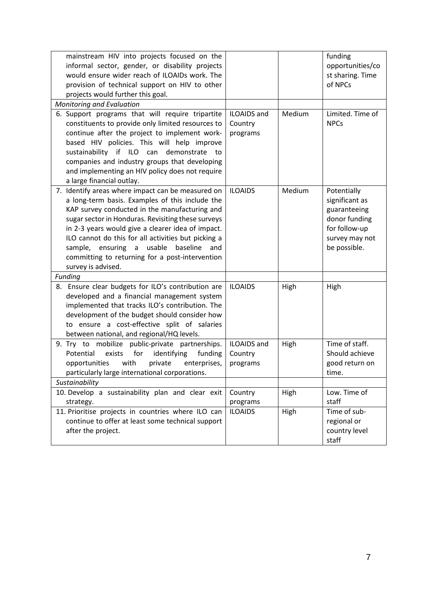| mainstream HIV into projects focused on the<br>informal sector, gender, or disability projects<br>would ensure wider reach of ILOAIDs work. The<br>provision of technical support on HIV to other<br>projects would further this goal.                                                                                                                                                                                                           |                                           |        | funding<br>opportunities/co<br>st sharing. Time<br>of NPCs                                                        |
|--------------------------------------------------------------------------------------------------------------------------------------------------------------------------------------------------------------------------------------------------------------------------------------------------------------------------------------------------------------------------------------------------------------------------------------------------|-------------------------------------------|--------|-------------------------------------------------------------------------------------------------------------------|
| <b>Monitoring and Evaluation</b>                                                                                                                                                                                                                                                                                                                                                                                                                 |                                           |        |                                                                                                                   |
| 6. Support programs that will require tripartite<br>constituents to provide only limited resources to<br>continue after the project to implement work-<br>based HIV policies. This will help improve<br>sustainability if ILO can<br>demonstrate<br>to<br>companies and industry groups that developing<br>and implementing an HIV policy does not require<br>a large financial outlay.                                                          | <b>ILOAIDS</b> and<br>Country<br>programs | Medium | Limited. Time of<br><b>NPCs</b>                                                                                   |
| 7. Identify areas where impact can be measured on<br>a long-term basis. Examples of this include the<br>KAP survey conducted in the manufacturing and<br>sugar sector in Honduras. Revisiting these surveys<br>in 2-3 years would give a clearer idea of impact.<br>ILO cannot do this for all activities but picking a<br>sample, ensuring a usable<br>baseline<br>and<br>committing to returning for a post-intervention<br>survey is advised. | <b>ILOAIDS</b>                            | Medium | Potentially<br>significant as<br>guaranteeing<br>donor funding<br>for follow-up<br>survey may not<br>be possible. |
| Funding                                                                                                                                                                                                                                                                                                                                                                                                                                          |                                           |        |                                                                                                                   |
| 8. Ensure clear budgets for ILO's contribution are<br>developed and a financial management system<br>implemented that tracks ILO's contribution. The<br>development of the budget should consider how<br>to ensure a cost-effective split of salaries<br>between national, and regional/HQ levels.                                                                                                                                               | <b>ILOAIDS</b>                            | High   | High                                                                                                              |
| 9. Try to mobilize public-private partnerships.<br>Potential<br>for<br>identifying<br>funding<br>exists<br>opportunities<br>with<br>private<br>enterprises,<br>particularly large international corporations.                                                                                                                                                                                                                                    | <b>ILOAIDS</b> and<br>Country<br>programs | High   | Time of staff.<br>Should achieve<br>good return on<br>time.                                                       |
| Sustainability                                                                                                                                                                                                                                                                                                                                                                                                                                   |                                           |        |                                                                                                                   |
| 10. Develop a sustainability plan and clear exit<br>strategy.                                                                                                                                                                                                                                                                                                                                                                                    | Country<br>programs                       | High   | Low. Time of<br>staff                                                                                             |
| 11. Prioritise projects in countries where ILO can<br>continue to offer at least some technical support<br>after the project.                                                                                                                                                                                                                                                                                                                    | <b>ILOAIDS</b>                            | High   | Time of sub-<br>regional or<br>country level<br>staff                                                             |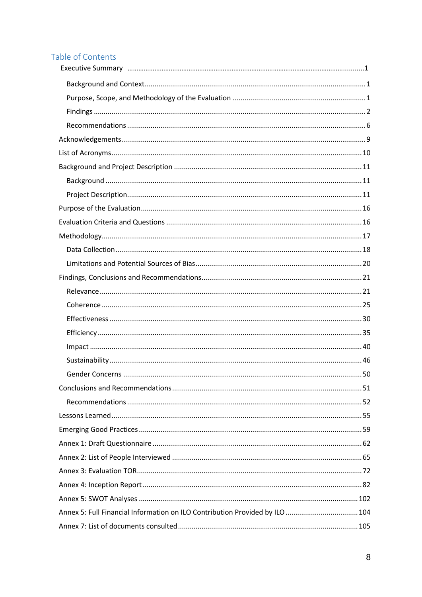# Table of Contents

| Annex 5: Full Financial Information on ILO Contribution Provided by ILO  104 |  |
|------------------------------------------------------------------------------|--|
|                                                                              |  |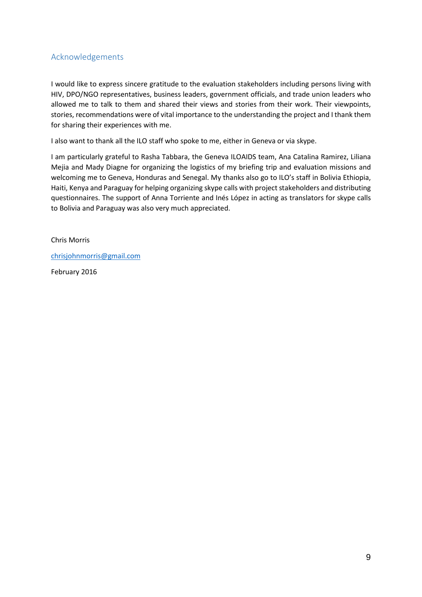# <span id="page-9-0"></span>Acknowledgements

I would like to express sincere gratitude to the evaluation stakeholders including persons living with HIV, DPO/NGO representatives, business leaders, government officials, and trade union leaders who allowed me to talk to them and shared their views and stories from their work. Their viewpoints, stories, recommendations were of vital importance to the understanding the project and I thank them for sharing their experiences with me.

I also want to thank all the ILO staff who spoke to me, either in Geneva or via skype.

I am particularly grateful to Rasha Tabbara, the Geneva ILOAIDS team, Ana Catalina Ramirez, Liliana Mejia and Mady Diagne for organizing the logistics of my briefing trip and evaluation missions and welcoming me to Geneva, Honduras and Senegal. My thanks also go to ILO's staff in Bolivia Ethiopia, Haiti, Kenya and Paraguay for helping organizing skype calls with project stakeholders and distributing questionnaires. The support of Anna Torriente and Inés López in acting as translators for skype calls to Bolivia and Paraguay was also very much appreciated.

Chris Morris

[chrisjohnmorris@gmail.com](mailto:chrisjohnmorris@gmail.com)

February 2016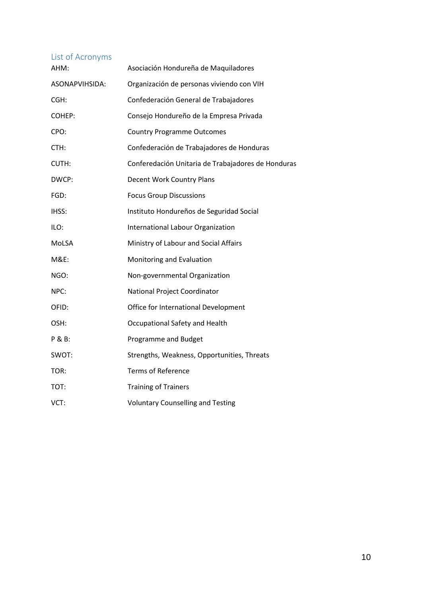# <span id="page-10-0"></span>List of Acronyms

| AHM:            | Asociación Hondureña de Maquiladores               |
|-----------------|----------------------------------------------------|
| ASONAPVIHSIDA:  | Organización de personas viviendo con VIH          |
| CGH:            | Confederación General de Trabajadores              |
| COHEP:          | Consejo Hondureño de la Empresa Privada            |
| CPO:            | <b>Country Programme Outcomes</b>                  |
| CTH:            | Confederación de Trabajadores de Honduras          |
| CUTH:           | Conferedación Unitaria de Trabajadores de Honduras |
| DWCP:           | Decent Work Country Plans                          |
| FGD:            | <b>Focus Group Discussions</b>                     |
| IHSS:           | Instituto Hondureños de Seguridad Social           |
| ILO:            | International Labour Organization                  |
| MoLSA           | Ministry of Labour and Social Affairs              |
| <b>M&amp;E:</b> | Monitoring and Evaluation                          |
| NGO:            | Non-governmental Organization                      |
| NPC:            | National Project Coordinator                       |
| OFID:           | Office for International Development               |
| OSH:            | Occupational Safety and Health                     |
| P & B:          | Programme and Budget                               |
| SWOT:           | Strengths, Weakness, Opportunities, Threats        |
| TOR:            | <b>Terms of Reference</b>                          |
| TOT:            | <b>Training of Trainers</b>                        |
| VCT:            | <b>Voluntary Counselling and Testing</b>           |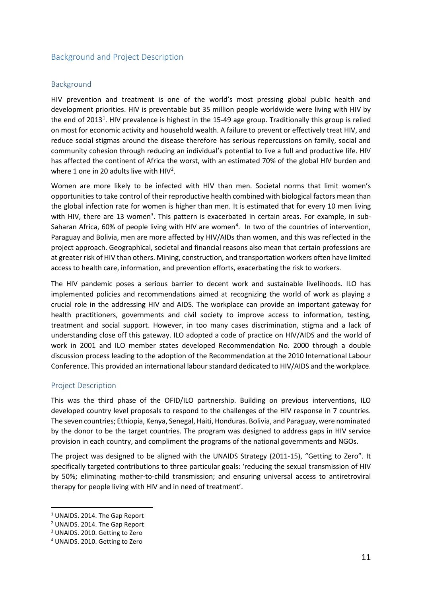## <span id="page-11-0"></span>Background and Project Description

#### <span id="page-11-1"></span>Background

HIV prevention and treatment is one of the world's most pressing global public health and development priorities. HIV is preventable but 35 million people worldwide were living with HIV by the end of 20[1](#page-11-3)3<sup>1</sup>. HIV prevalence is highest in the 15-49 age group. Traditionally this group is relied on most for economic activity and household wealth. A failure to prevent or effectively treat HIV, and reduce social stigmas around the disease therefore has serious repercussions on family, social and community cohesion through reducing an individual's potential to live a full and productive life. HIV has affected the continent of Africa the worst, with an estimated 70% of the global HIV burden and where 1 one in 20 adults live with HIV<sup>2</sup>.

Women are more likely to be infected with HIV than men. Societal norms that limit women's opportunities to take control of their reproductive health combined with biological factors mean than the global infection rate for women is higher than men. It is estimated that for every 10 men living with HIV, there are 1[3](#page-11-5) women<sup>3</sup>. This pattern is exacerbated in certain areas. For example, in sub-Saharan Africa, 60% of people living with HIV are women<sup>[4](#page-11-6)</sup>. In two of the countries of intervention, Paraguay and Bolivia, men are more affected by HIV/AIDs than women, and this was reflected in the project approach. Geographical, societal and financial reasons also mean that certain professions are at greater risk of HIV than others. Mining, construction, and transportation workers often have limited access to health care, information, and prevention efforts, exacerbating the risk to workers.

The HIV pandemic poses a serious barrier to decent work and sustainable livelihoods. ILO has implemented policies and recommendations aimed at recognizing the world of work as playing a crucial role in the addressing HIV and AIDS. The workplace can provide an important gateway for health practitioners, governments and civil society to improve access to information, testing, treatment and social support. However, in too many cases discrimination, stigma and a lack of understanding close off this gateway. ILO adopted a code of practice on HIV/AIDS and the world of work in 2001 and ILO member states developed Recommendation No. 2000 through a double discussion process leading to the adoption of the Recommendation at the 2010 International Labour Conference. This provided an international labour standard dedicated to HIV/AIDS and the workplace.

#### <span id="page-11-2"></span>Project Description

This was the third phase of the OFID/ILO partnership. Building on previous interventions, ILO developed country level proposals to respond to the challenges of the HIV response in 7 countries. The seven countries; Ethiopia, Kenya, Senegal, Haiti, Honduras. Bolivia, and Paraguay, were nominated by the donor to be the target countries. The program was designed to address gaps in HIV service provision in each country, and compliment the programs of the national governments and NGOs.

The project was designed to be aligned with the UNAIDS Strategy (2011-15), "Getting to Zero". It specifically targeted contributions to three particular goals: 'reducing the sexual transmission of HIV by 50%; eliminating mother-to-child transmission; and ensuring universal access to antiretroviral therapy for people living with HIV and in need of treatment'.

<span id="page-11-3"></span><sup>&</sup>lt;sup>1</sup> UNAIDS. 2014. The Gap Report

<span id="page-11-4"></span><sup>2</sup> UNAIDS. 2014. The Gap Report

<span id="page-11-5"></span><sup>3</sup> UNAIDS. 2010. Getting to Zero

<span id="page-11-6"></span><sup>4</sup> UNAIDS. 2010. Getting to Zero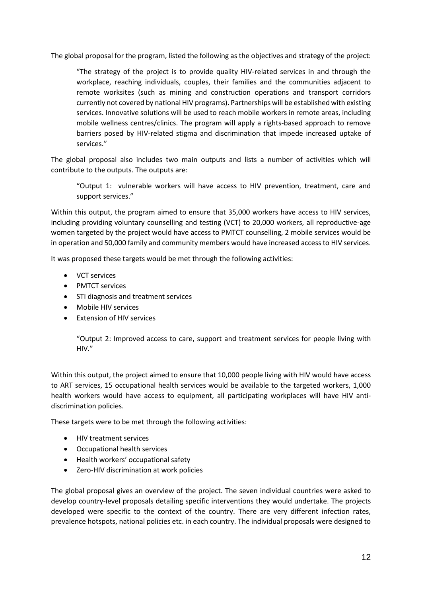The global proposal for the program, listed the following as the objectives and strategy of the project:

"The strategy of the project is to provide quality HIV-related services in and through the workplace, reaching individuals, couples, their families and the communities adjacent to remote worksites (such as mining and construction operations and transport corridors currently not covered by national HIV programs). Partnerships will be established with existing services. Innovative solutions will be used to reach mobile workers in remote areas, including mobile wellness centres/clinics. The program will apply a rights-based approach to remove barriers posed by HIV-related stigma and discrimination that impede increased uptake of services."

The global proposal also includes two main outputs and lists a number of activities which will contribute to the outputs. The outputs are:

"Output 1: vulnerable workers will have access to HIV prevention, treatment, care and support services."

Within this output, the program aimed to ensure that 35,000 workers have access to HIV services, including providing voluntary counselling and testing (VCT) to 20,000 workers, all reproductive-age women targeted by the project would have access to PMTCT counselling, 2 mobile services would be in operation and 50,000 family and community members would have increased access to HIV services.

It was proposed these targets would be met through the following activities:

- VCT services
- PMTCT services
- STI diagnosis and treatment services
- Mobile HIV services
- Extension of HIV services

"Output 2: Improved access to care, support and treatment services for people living with HIV."

Within this output, the project aimed to ensure that 10,000 people living with HIV would have access to ART services, 15 occupational health services would be available to the targeted workers, 1,000 health workers would have access to equipment, all participating workplaces will have HIV antidiscrimination policies.

These targets were to be met through the following activities:

- HIV treatment services
- Occupational health services
- Health workers' occupational safety
- Zero-HIV discrimination at work policies

The global proposal gives an overview of the project. The seven individual countries were asked to develop country-level proposals detailing specific interventions they would undertake. The projects developed were specific to the context of the country. There are very different infection rates, prevalence hotspots, national policies etc. in each country. The individual proposals were designed to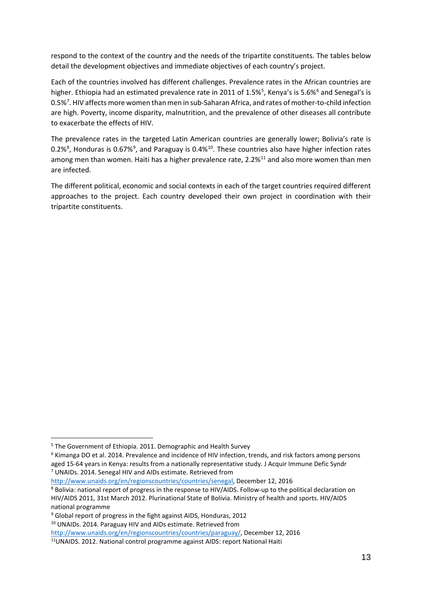respond to the context of the country and the needs of the tripartite constituents. The tables below detail the development objectives and immediate objectives of each country's project.

Each of the countries involved has different challenges. Prevalence rates in the African countries are higher. Ethiopia had an estimated prevalence rate in 2011 of 1.[5](#page-13-0)%<sup>5</sup>, Kenya's is 5.[6](#page-13-1)%<sup>6</sup> and Senegal's is 0.5%<sup>[7](#page-13-2)</sup>. HIV affects more women than men in sub-Saharan Africa, and rates of mother-to-child infection are high. Poverty, income disparity, malnutrition, and the prevalence of other diseases all contribute to exacerbate the effects of HIV.

The prevalence rates in the targeted Latin American countries are generally lower; Bolivia's rate is 0.2%<sup>[8](#page-13-3)</sup>, Honduras is 0.67%<sup>[9](#page-13-4)</sup>, and Paraguay is 0.4%<sup>[10](#page-13-5)</sup>. These countries also have higher infection rates among men than women. Haiti has a higher prevalence rate, 2.2%<sup>[11](#page-13-6)</sup> and also more women than men are infected.

The different political, economic and social contexts in each of the target countries required different approaches to the project. Each country developed their own project in coordination with their tripartite constituents.

<span id="page-13-2"></span>[http://www.unaids.org/en/regionscountries/countries/senegal,](http://www.unaids.org/en/regionscountries/countries/senegal) December 12, 2016

<span id="page-13-5"></span><sup>10</sup> UNAIDs. 2014. Paraguay HIV and AIDs estimate. Retrieved from

<span id="page-13-0"></span> <sup>5</sup> The Government of Ethiopia. 2011. Demographic and Health Survey

<span id="page-13-1"></span> $6$  Kimanga DO et al. 2014. Prevalence and incidence of HIV infection, trends, and risk factors among persons aged 15-64 years in Kenya: results from a nationally representative study. J Acquir Immune Defic Syndr <sup>7</sup> UNAIDs. 2014. Senegal HIV and AIDs estimate. Retrieved from

<span id="page-13-3"></span><sup>8</sup> Bolivia: national report of progress in the response to HIV/AIDS. Follow-up to the political declaration on HIV/AIDS 2011, 31st March 2012. Plurinational State of Bolivia. Ministry of health and sports. HIV/AIDS national programme

<span id="page-13-4"></span><sup>9</sup> Global report of progress in the fight against AIDS, Honduras, 2012

[http://www.unaids.org/en/regionscountries/countries/paraguay/,](http://www.unaids.org/en/regionscountries/countries/paraguay/) December 12, 2016

<span id="page-13-6"></span><sup>&</sup>lt;sup>11</sup> UNAIDS. 2012. National control programme against AIDS: report National Haiti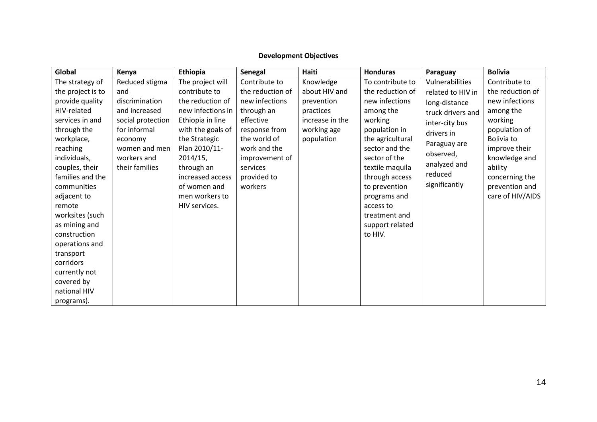# **Development Objectives**

| Global            | Kenya             | Ethiopia          | Senegal          | Haiti           | <b>Honduras</b>  | Paraguay          | <b>Bolivia</b>   |
|-------------------|-------------------|-------------------|------------------|-----------------|------------------|-------------------|------------------|
| The strategy of   | Reduced stigma    | The project will  | Contribute to    | Knowledge       | To contribute to | Vulnerabilities   | Contribute to    |
| the project is to | and               | contribute to     | the reduction of | about HIV and   | the reduction of | related to HIV in | the reduction of |
| provide quality   | discrimination    | the reduction of  | new infections   | prevention      | new infections   | long-distance     | new infections   |
| HIV-related       | and increased     | new infections in | through an       | practices       | among the        | truck drivers and | among the        |
| services in and   | social protection | Ethiopia in line  | effective        | increase in the | working          | inter-city bus    | working          |
| through the       | for informal      | with the goals of | response from    | working age     | population in    | drivers in        | population of    |
| workplace,        | economy           | the Strategic     | the world of     | population      | the agricultural | Paraguay are      | Bolivia to       |
| reaching          | women and men     | Plan 2010/11-     | work and the     |                 | sector and the   | observed,         | improve their    |
| individuals,      | workers and       | 2014/15,          | improvement of   |                 | sector of the    |                   | knowledge and    |
| couples, their    | their families    | through an        | services         |                 | textile maquila  | analyzed and      | ability          |
| families and the  |                   | increased access  | provided to      |                 | through access   | reduced           | concerning the   |
| communities       |                   | of women and      | workers          |                 | to prevention    | significantly     | prevention and   |
| adjacent to       |                   | men workers to    |                  |                 | programs and     |                   | care of HIV/AIDS |
| remote            |                   | HIV services.     |                  |                 | access to        |                   |                  |
| worksites (such   |                   |                   |                  |                 | treatment and    |                   |                  |
| as mining and     |                   |                   |                  |                 | support related  |                   |                  |
| construction      |                   |                   |                  |                 | to HIV.          |                   |                  |
| operations and    |                   |                   |                  |                 |                  |                   |                  |
| transport         |                   |                   |                  |                 |                  |                   |                  |
| corridors         |                   |                   |                  |                 |                  |                   |                  |
| currently not     |                   |                   |                  |                 |                  |                   |                  |
| covered by        |                   |                   |                  |                 |                  |                   |                  |
| national HIV      |                   |                   |                  |                 |                  |                   |                  |
| programs).        |                   |                   |                  |                 |                  |                   |                  |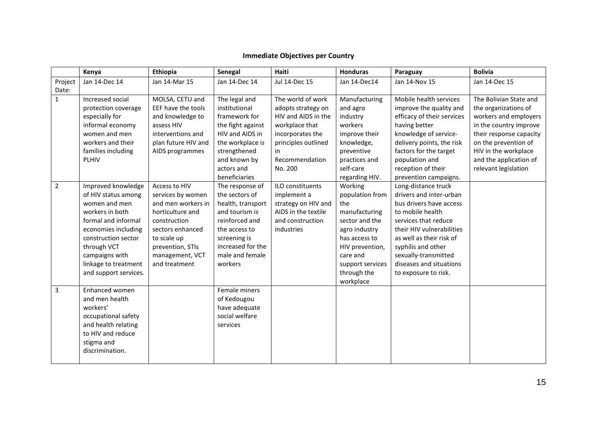|  |  | <b>Immediate Objectives per Country</b> |
|--|--|-----------------------------------------|
|--|--|-----------------------------------------|

|                  | Kenya                                                                                                                                                                                                                                | Ethiopia                                                                                                                                                                                | Senegal                                                                                                                                                                        | Haiti                                                                                                                                                          | <b>Honduras</b>                                                                                                                                                                       | Paraguay                                                                                                                                                                                                                                                                        | <b>Bolivia</b>                                                                                                                                                                                                                 |
|------------------|--------------------------------------------------------------------------------------------------------------------------------------------------------------------------------------------------------------------------------------|-----------------------------------------------------------------------------------------------------------------------------------------------------------------------------------------|--------------------------------------------------------------------------------------------------------------------------------------------------------------------------------|----------------------------------------------------------------------------------------------------------------------------------------------------------------|---------------------------------------------------------------------------------------------------------------------------------------------------------------------------------------|---------------------------------------------------------------------------------------------------------------------------------------------------------------------------------------------------------------------------------------------------------------------------------|--------------------------------------------------------------------------------------------------------------------------------------------------------------------------------------------------------------------------------|
| Project<br>Date: | Jan 14-Dec 14                                                                                                                                                                                                                        | Jan 14-Mar 15                                                                                                                                                                           | Jan 14-Dec 14                                                                                                                                                                  | <b>Jul 14-Dec 15</b>                                                                                                                                           | Jan 14-Dec14                                                                                                                                                                          | Jan 14-Nov 15                                                                                                                                                                                                                                                                   | Jan 14-Dec 15                                                                                                                                                                                                                  |
| $\mathbf{1}$     | Increased social<br>protection coverage<br>especially for<br>informal economy<br>women and men<br>workers and their<br>families including<br>PLHIV                                                                                   | MOLSA, CETU and<br>EEF have the tools<br>and knowledge to<br>assess HIV<br>interventions and<br>plan future HIV and<br>AIDS programmes                                                  | The legal and<br>institutional<br>framework for<br>the fight against<br>HIV and AIDS in<br>the workplace is<br>strengthened<br>and known by<br>actors and<br>beneficiaries     | The world of work<br>adopts strategy on<br>HIV and AIDS in the<br>workplace that<br>incorporates the<br>principles outlined<br>in<br>Recommendation<br>No. 200 | Manufacturing<br>and agro<br>industry<br>workers<br>improve their<br>knowledge,<br>preventive<br>practices and<br>self-care<br>regarding HIV.                                         | Mobile health services<br>improve the quality and<br>efficacy of their services<br>having better<br>knowledge of service-<br>delivery points, the risk<br>factors for the target<br>population and<br>reception of their<br>prevention campaigns.                               | The Bolivian State and<br>the organizations of<br>workers and employers<br>in the country improve<br>their response capacity<br>on the prevention of<br>HIV in the workplace<br>and the application of<br>relevant legislation |
| $\overline{2}$   | Improved knowledge<br>of HIV status among<br>women and men<br>workers in both<br>formal and informal<br>economies including<br>construction sector<br>through VCT<br>campaigns with<br>linkage to treatment<br>and support services. | Access to HIV<br>services by women<br>and men workers in<br>horticulture and<br>construction<br>sectors enhanced<br>to scale up<br>prevention, STIs<br>management, VCT<br>and treatment | The response of<br>the sectors of<br>health, transport<br>and tourism is<br>reinforced and<br>the access to<br>screening is<br>increased for the<br>male and female<br>workers | ILO constituents<br>implement a<br>strategy on HIV and<br>AIDS in the textile<br>and construction<br>industries                                                | Working<br>population from<br>the<br>manufacturing<br>sector and the<br>agro industry<br>has access to<br>HIV prevention,<br>care and<br>support services<br>through the<br>workplace | Long-distance truck<br>drivers and inter-urban<br>bus drivers have access<br>to mobile health<br>services that reduce<br>their HIV vulnerabilities<br>as well as their risk of<br>syphilis and other<br>sexually-transmitted<br>diseases and situations<br>to exposure to risk. |                                                                                                                                                                                                                                |
| 3                | Enhanced women<br>and men health<br>workers'<br>occupational safety<br>and health relating<br>to HIV and reduce<br>stigma and<br>discrimination.                                                                                     |                                                                                                                                                                                         | Female miners<br>of Kedougou<br>have adequate<br>social welfare<br>services                                                                                                    |                                                                                                                                                                |                                                                                                                                                                                       |                                                                                                                                                                                                                                                                                 |                                                                                                                                                                                                                                |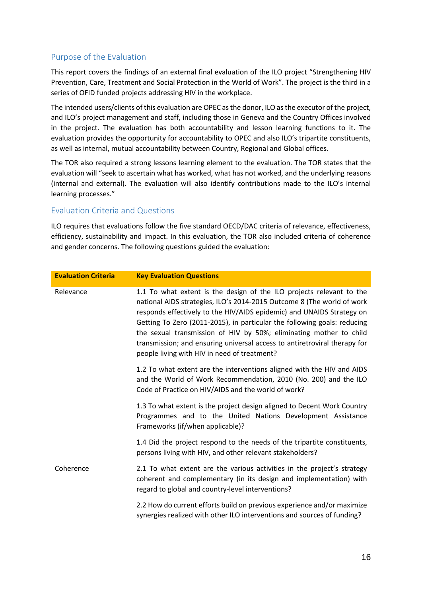## <span id="page-16-0"></span>Purpose of the Evaluation

This report covers the findings of an external final evaluation of the ILO project "Strengthening HIV Prevention, Care, Treatment and Social Protection in the World of Work". The project is the third in a series of OFID funded projects addressing HIV in the workplace.

The intended users/clients of this evaluation are OPEC as the donor, ILO as the executor of the project, and ILO's project management and staff, including those in Geneva and the Country Offices involved in the project. The evaluation has both accountability and lesson learning functions to it. The evaluation provides the opportunity for accountability to OPEC and also ILO's tripartite constituents, as well as internal, mutual accountability between Country, Regional and Global offices.

The TOR also required a strong lessons learning element to the evaluation. The TOR states that the evaluation will "seek to ascertain what has worked, what has not worked, and the underlying reasons (internal and external). The evaluation will also identify contributions made to the ILO's internal learning processes."

## <span id="page-16-1"></span>Evaluation Criteria and Questions

ILO requires that evaluations follow the five standard OECD/DAC criteria of relevance, effectiveness, efficiency, sustainability and impact. In this evaluation, the TOR also included criteria of coherence and gender concerns. The following questions guided the evaluation:

| <b>Evaluation Criteria</b> | <b>Key Evaluation Questions</b>                                                                                                                                                                                                                                                                                                                                                                                                                                                                        |
|----------------------------|--------------------------------------------------------------------------------------------------------------------------------------------------------------------------------------------------------------------------------------------------------------------------------------------------------------------------------------------------------------------------------------------------------------------------------------------------------------------------------------------------------|
| Relevance                  | 1.1 To what extent is the design of the ILO projects relevant to the<br>national AIDS strategies, ILO's 2014-2015 Outcome 8 (The world of work<br>responds effectively to the HIV/AIDS epidemic) and UNAIDS Strategy on<br>Getting To Zero (2011-2015), in particular the following goals: reducing<br>the sexual transmission of HIV by 50%; eliminating mother to child<br>transmission; and ensuring universal access to antiretroviral therapy for<br>people living with HIV in need of treatment? |
|                            | 1.2 To what extent are the interventions aligned with the HIV and AIDS<br>and the World of Work Recommendation, 2010 (No. 200) and the ILO<br>Code of Practice on HIV/AIDS and the world of work?                                                                                                                                                                                                                                                                                                      |
|                            | 1.3 To what extent is the project design aligned to Decent Work Country<br>Programmes and to the United Nations Development Assistance<br>Frameworks (if/when applicable)?                                                                                                                                                                                                                                                                                                                             |
|                            | 1.4 Did the project respond to the needs of the tripartite constituents,<br>persons living with HIV, and other relevant stakeholders?                                                                                                                                                                                                                                                                                                                                                                  |
| Coherence                  | 2.1 To what extent are the various activities in the project's strategy<br>coherent and complementary (in its design and implementation) with<br>regard to global and country-level interventions?                                                                                                                                                                                                                                                                                                     |
|                            | 2.2 How do current efforts build on previous experience and/or maximize<br>synergies realized with other ILO interventions and sources of funding?                                                                                                                                                                                                                                                                                                                                                     |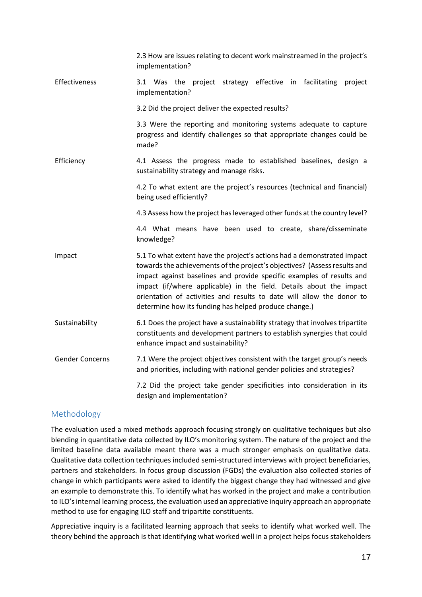|                        | 2.3 How are issues relating to decent work mainstreamed in the project's<br>implementation?                                                                                                                                                                                                                                                                                                                                            |
|------------------------|----------------------------------------------------------------------------------------------------------------------------------------------------------------------------------------------------------------------------------------------------------------------------------------------------------------------------------------------------------------------------------------------------------------------------------------|
| Effectiveness          | 3.1 Was the project strategy effective in facilitating<br>project<br>implementation?                                                                                                                                                                                                                                                                                                                                                   |
|                        | 3.2 Did the project deliver the expected results?                                                                                                                                                                                                                                                                                                                                                                                      |
|                        | 3.3 Were the reporting and monitoring systems adequate to capture<br>progress and identify challenges so that appropriate changes could be<br>made?                                                                                                                                                                                                                                                                                    |
| Efficiency             | 4.1 Assess the progress made to established baselines, design a<br>sustainability strategy and manage risks.                                                                                                                                                                                                                                                                                                                           |
|                        | 4.2 To what extent are the project's resources (technical and financial)<br>being used efficiently?                                                                                                                                                                                                                                                                                                                                    |
|                        | 4.3 Assess how the project has leveraged other funds at the country level?                                                                                                                                                                                                                                                                                                                                                             |
|                        | 4.4 What means have been used to create, share/disseminate<br>knowledge?                                                                                                                                                                                                                                                                                                                                                               |
| Impact                 | 5.1 To what extent have the project's actions had a demonstrated impact<br>towards the achievements of the project's objectives? (Assess results and<br>impact against baselines and provide specific examples of results and<br>impact (if/where applicable) in the field. Details about the impact<br>orientation of activities and results to date will allow the donor to<br>determine how its funding has helped produce change.) |
| Sustainability         | 6.1 Does the project have a sustainability strategy that involves tripartite<br>constituents and development partners to establish synergies that could<br>enhance impact and sustainability?                                                                                                                                                                                                                                          |
| <b>Gender Concerns</b> | 7.1 Were the project objectives consistent with the target group's needs<br>and priorities, including with national gender policies and strategies?                                                                                                                                                                                                                                                                                    |
|                        | 7.2 Did the project take gender specificities into consideration in its<br>design and implementation?                                                                                                                                                                                                                                                                                                                                  |

## <span id="page-17-0"></span>Methodology

The evaluation used a mixed methods approach focusing strongly on qualitative techniques but also blending in quantitative data collected by ILO's monitoring system. The nature of the project and the limited baseline data available meant there was a much stronger emphasis on qualitative data. Qualitative data collection techniques included semi-structured interviews with project beneficiaries, partners and stakeholders. In focus group discussion (FGDs) the evaluation also collected stories of change in which participants were asked to identify the biggest change they had witnessed and give an example to demonstrate this. To identify what has worked in the project and make a contribution to ILO's internal learning process, the evaluation used an appreciative inquiry approach an appropriate method to use for engaging ILO staff and tripartite constituents.

Appreciative inquiry is a facilitated learning approach that seeks to identify what worked well. The theory behind the approach is that identifying what worked well in a project helps focus stakeholders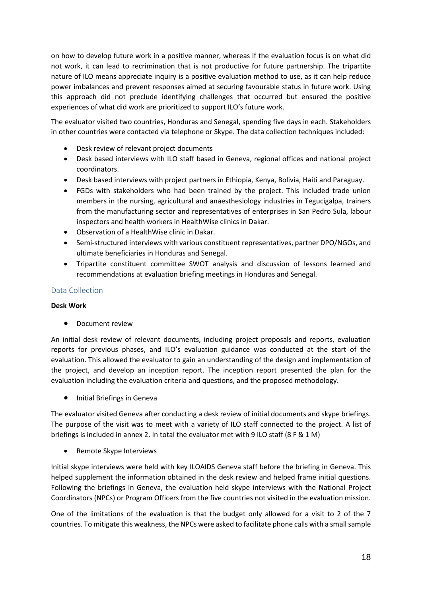on how to develop future work in a positive manner, whereas if the evaluation focus is on what did not work, it can lead to recrimination that is not productive for future partnership. The tripartite nature of ILO means appreciate inquiry is a positive evaluation method to use, as it can help reduce power imbalances and prevent responses aimed at securing favourable status in future work. Using this approach did not preclude identifying challenges that occurred but ensured the positive experiences of what did work are prioritized to support ILO's future work.

The evaluator visited two countries, Honduras and Senegal, spending five days in each. Stakeholders in other countries were contacted via telephone or Skype. The data collection techniques included:

- Desk review of relevant project documents
- Desk based interviews with ILO staff based in Geneva, regional offices and national project coordinators.
- Desk based interviews with project partners in Ethiopia, Kenya, Bolivia, Haiti and Paraguay.
- FGDs with stakeholders who had been trained by the project. This included trade union members in the nursing, agricultural and anaesthesiology industries in Tegucigalpa, trainers from the manufacturing sector and representatives of enterprises in San Pedro Sula, labour inspectors and health workers in HealthWise clinics in Dakar.
- Observation of a HealthWise clinic in Dakar.
- Semi-structured interviews with various constituent representatives, partner DPO/NGOs, and ultimate beneficiaries in Honduras and Senegal.
- Tripartite constituent committee SWOT analysis and discussion of lessons learned and recommendations at evaluation briefing meetings in Honduras and Senegal.

## <span id="page-18-0"></span>Data Collection

## **Desk Work**

**•** Document review

An initial desk review of relevant documents, including project proposals and reports, evaluation reports for previous phases, and ILO's evaluation guidance was conducted at the start of the evaluation. This allowed the evaluator to gain an understanding of the design and implementation of the project, and develop an inception report. The inception report presented the plan for the evaluation including the evaluation criteria and questions, and the proposed methodology.

• Initial Briefings in Geneva

The evaluator visited Geneva after conducting a desk review of initial documents and skype briefings. The purpose of the visit was to meet with a variety of ILO staff connected to the project. A list of briefings is included in annex 2. In total the evaluator met with 9 ILO staff (8 F & 1 M)

• Remote Skype Interviews

Initial skype interviews were held with key ILOAIDS Geneva staff before the briefing in Geneva. This helped supplement the information obtained in the desk review and helped frame initial questions. Following the briefings in Geneva, the evaluation held skype interviews with the National Project Coordinators (NPCs) or Program Officers from the five countries not visited in the evaluation mission.

One of the limitations of the evaluation is that the budget only allowed for a visit to 2 of the 7 countries. To mitigate this weakness, the NPCs were asked to facilitate phone calls with a small sample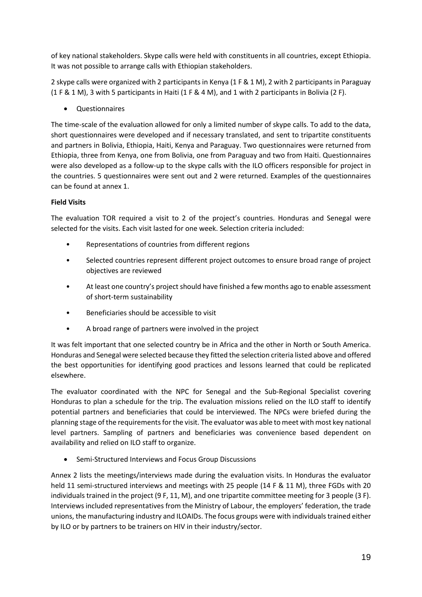of key national stakeholders. Skype calls were held with constituents in all countries, except Ethiopia. It was not possible to arrange calls with Ethiopian stakeholders.

2 skype calls were organized with 2 participants in Kenya (1 F & 1 M), 2 with 2 participants in Paraguay (1 F & 1 M), 3 with 5 participants in Haiti (1 F & 4 M), and 1 with 2 participants in Bolivia (2 F).

**Questionnaires** 

The time-scale of the evaluation allowed for only a limited number of skype calls. To add to the data, short questionnaires were developed and if necessary translated, and sent to tripartite constituents and partners in Bolivia, Ethiopia, Haiti, Kenya and Paraguay. Two questionnaires were returned from Ethiopia, three from Kenya, one from Bolivia, one from Paraguay and two from Haiti. Questionnaires were also developed as a follow-up to the skype calls with the ILO officers responsible for project in the countries. 5 questionnaires were sent out and 2 were returned. Examples of the questionnaires can be found at annex 1.

## **Field Visits**

The evaluation TOR required a visit to 2 of the project's countries. Honduras and Senegal were selected for the visits. Each visit lasted for one week. Selection criteria included:

- Representations of countries from different regions
- Selected countries represent different project outcomes to ensure broad range of project objectives are reviewed
- At least one country's project should have finished a few months ago to enable assessment of short-term sustainability
- Beneficiaries should be accessible to visit
- A broad range of partners were involved in the project

It was felt important that one selected country be in Africa and the other in North or South America. Honduras and Senegal were selected because they fitted the selection criteria listed above and offered the best opportunities for identifying good practices and lessons learned that could be replicated elsewhere.

The evaluator coordinated with the NPC for Senegal and the Sub-Regional Specialist covering Honduras to plan a schedule for the trip. The evaluation missions relied on the ILO staff to identify potential partners and beneficiaries that could be interviewed. The NPCs were briefed during the planning stage of the requirements for the visit. The evaluator was able to meet with most key national level partners. Sampling of partners and beneficiaries was convenience based dependent on availability and relied on ILO staff to organize.

• Semi-Structured Interviews and Focus Group Discussions

Annex 2 lists the meetings/interviews made during the evaluation visits. In Honduras the evaluator held 11 semi-structured interviews and meetings with 25 people (14 F & 11 M), three FGDs with 20 individuals trained in the project (9 F, 11, M), and one tripartite committee meeting for 3 people (3 F). Interviews included representatives from the Ministry of Labour, the employers' federation, the trade unions, the manufacturing industry and ILOAIDs. The focus groups were with individuals trained either by ILO or by partners to be trainers on HIV in their industry/sector.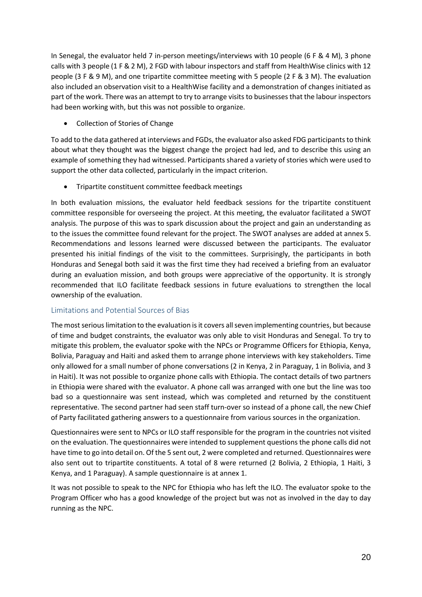In Senegal, the evaluator held 7 in-person meetings/interviews with 10 people (6 F & 4 M), 3 phone calls with 3 people (1 F & 2 M), 2 FGD with labour inspectors and staff from HealthWise clinics with 12 people (3 F & 9 M), and one tripartite committee meeting with 5 people (2 F & 3 M). The evaluation also included an observation visit to a HealthWise facility and a demonstration of changes initiated as part of the work. There was an attempt to try to arrange visits to businesses that the labour inspectors had been working with, but this was not possible to organize.

• Collection of Stories of Change

To add to the data gathered at interviews and FGDs, the evaluator also asked FDG participants to think about what they thought was the biggest change the project had led, and to describe this using an example of something they had witnessed. Participants shared a variety of stories which were used to support the other data collected, particularly in the impact criterion.

• Tripartite constituent committee feedback meetings

In both evaluation missions, the evaluator held feedback sessions for the tripartite constituent committee responsible for overseeing the project. At this meeting, the evaluator facilitated a SWOT analysis. The purpose of this was to spark discussion about the project and gain an understanding as to the issues the committee found relevant for the project. The SWOT analyses are added at annex 5. Recommendations and lessons learned were discussed between the participants. The evaluator presented his initial findings of the visit to the committees. Surprisingly, the participants in both Honduras and Senegal both said it was the first time they had received a briefing from an evaluator during an evaluation mission, and both groups were appreciative of the opportunity. It is strongly recommended that ILO facilitate feedback sessions in future evaluations to strengthen the local ownership of the evaluation.

## <span id="page-20-0"></span>Limitations and Potential Sources of Bias

The most serious limitation to the evaluation is it covers all seven implementing countries, but because of time and budget constraints, the evaluator was only able to visit Honduras and Senegal. To try to mitigate this problem, the evaluator spoke with the NPCs or Programme Officers for Ethiopia, Kenya, Bolivia, Paraguay and Haiti and asked them to arrange phone interviews with key stakeholders. Time only allowed for a small number of phone conversations (2 in Kenya, 2 in Paraguay, 1 in Bolivia, and 3 in Haiti). It was not possible to organize phone calls with Ethiopia. The contact details of two partners in Ethiopia were shared with the evaluator. A phone call was arranged with one but the line was too bad so a questionnaire was sent instead, which was completed and returned by the constituent representative. The second partner had seen staff turn-over so instead of a phone call, the new Chief of Party facilitated gathering answers to a questionnaire from various sources in the organization.

Questionnaires were sent to NPCs or ILO staff responsible for the program in the countries not visited on the evaluation. The questionnaires were intended to supplement questions the phone calls did not have time to go into detail on. Of the 5 sent out, 2 were completed and returned. Questionnaires were also sent out to tripartite constituents. A total of 8 were returned (2 Bolivia, 2 Ethiopia, 1 Haiti, 3 Kenya, and 1 Paraguay). A sample questionnaire is at annex 1.

It was not possible to speak to the NPC for Ethiopia who has left the ILO. The evaluator spoke to the Program Officer who has a good knowledge of the project but was not as involved in the day to day running as the NPC.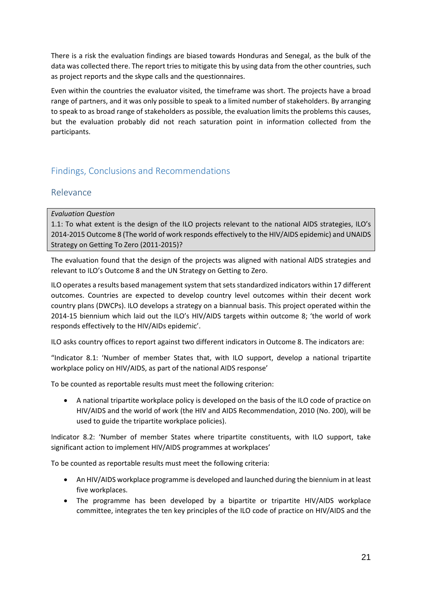There is a risk the evaluation findings are biased towards Honduras and Senegal, as the bulk of the data was collected there. The report tries to mitigate this by using data from the other countries, such as project reports and the skype calls and the questionnaires.

Even within the countries the evaluator visited, the timeframe was short. The projects have a broad range of partners, and it was only possible to speak to a limited number of stakeholders. By arranging to speak to as broad range of stakeholders as possible, the evaluation limits the problems this causes, but the evaluation probably did not reach saturation point in information collected from the participants.

# <span id="page-21-0"></span>Findings, Conclusions and Recommendations

## <span id="page-21-1"></span>Relevance

## *Evaluation Question*

1.1: To what extent is the design of the ILO projects relevant to the national AIDS strategies, ILO's 2014-2015 Outcome 8 (The world of work responds effectively to the HIV/AIDS epidemic) and UNAIDS Strategy on Getting To Zero (2011-2015)?

The evaluation found that the design of the projects was aligned with national AIDS strategies and relevant to ILO's Outcome 8 and the UN Strategy on Getting to Zero.

ILO operates a results based management system that sets standardized indicators within 17 different outcomes. Countries are expected to develop country level outcomes within their decent work country plans (DWCPs). ILO develops a strategy on a biannual basis. This project operated within the 2014-15 biennium which laid out the ILO's HIV/AIDS targets within outcome 8; 'the world of work responds effectively to the HIV/AIDs epidemic'.

ILO asks country offices to report against two different indicators in Outcome 8. The indicators are:

"Indicator 8.1: 'Number of member States that, with ILO support, develop a national tripartite workplace policy on HIV/AIDS, as part of the national AIDS response'

To be counted as reportable results must meet the following criterion:

• A national tripartite workplace policy is developed on the basis of the ILO code of practice on HIV/AIDS and the world of work (the HIV and AIDS Recommendation, 2010 (No. 200), will be used to guide the tripartite workplace policies).

Indicator 8.2: 'Number of member States where tripartite constituents, with ILO support, take significant action to implement HIV/AIDS programmes at workplaces'

To be counted as reportable results must meet the following criteria:

- An HIV/AIDS workplace programme is developed and launched during the biennium in at least five workplaces.
- The programme has been developed by a bipartite or tripartite HIV/AIDS workplace committee, integrates the ten key principles of the ILO code of practice on HIV/AIDS and the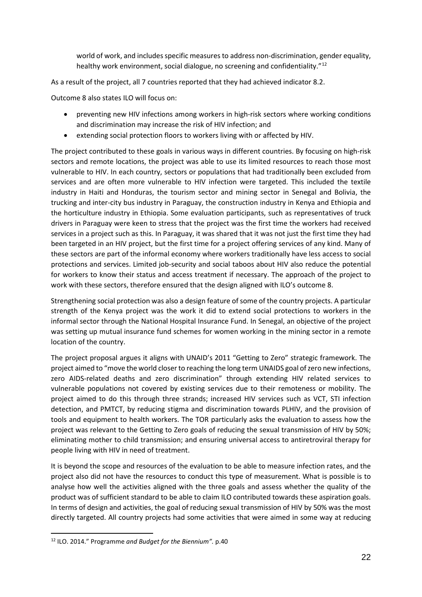world of work, and includes specific measures to address non-discrimination, gender equality, healthy work environment, social dialogue, no screening and confidentiality."<sup>[12](#page-22-0)</sup>

As a result of the project, all 7 countries reported that they had achieved indicator 8.2.

Outcome 8 also states ILO will focus on:

- preventing new HIV infections among workers in high-risk sectors where working conditions and discrimination may increase the risk of HIV infection; and
- extending social protection floors to workers living with or affected by HIV.

The project contributed to these goals in various ways in different countries. By focusing on high-risk sectors and remote locations, the project was able to use its limited resources to reach those most vulnerable to HIV. In each country, sectors or populations that had traditionally been excluded from services and are often more vulnerable to HIV infection were targeted. This included the textile industry in Haiti and Honduras, the tourism sector and mining sector in Senegal and Bolivia, the trucking and inter-city bus industry in Paraguay, the construction industry in Kenya and Ethiopia and the horticulture industry in Ethiopia. Some evaluation participants, such as representatives of truck drivers in Paraguay were keen to stress that the project was the first time the workers had received services in a project such as this. In Paraguay, it was shared that it was not just the first time they had been targeted in an HIV project, but the first time for a project offering services of any kind. Many of these sectors are part of the informal economy where workers traditionally have less access to social protections and services. Limited job-security and social taboos about HIV also reduce the potential for workers to know their status and access treatment if necessary. The approach of the project to work with these sectors, therefore ensured that the design aligned with ILO's outcome 8.

Strengthening social protection was also a design feature of some of the country projects. A particular strength of the Kenya project was the work it did to extend social protections to workers in the informal sector through the National Hospital Insurance Fund. In Senegal, an objective of the project was setting up mutual insurance fund schemes for women working in the mining sector in a remote location of the country.

The project proposal argues it aligns with UNAID's 2011 "Getting to Zero" strategic framework. The project aimed to "move the world closer to reaching the long term UNAIDS goal of zero new infections, zero AIDS-related deaths and zero discrimination" through extending HIV related services to vulnerable populations not covered by existing services due to their remoteness or mobility. The project aimed to do this through three strands; increased HIV services such as VCT, STI infection detection, and PMTCT, by reducing stigma and discrimination towards PLHIV, and the provision of tools and equipment to health workers. The TOR particularly asks the evaluation to assess how the project was relevant to the Getting to Zero goals of reducing the sexual transmission of HIV by 50%; eliminating mother to child transmission; and ensuring universal access to antiretroviral therapy for people living with HIV in need of treatment.

It is beyond the scope and resources of the evaluation to be able to measure infection rates, and the project also did not have the resources to conduct this type of measurement. What is possible is to analyse how well the activities aligned with the three goals and assess whether the quality of the product was of sufficient standard to be able to claim ILO contributed towards these aspiration goals. In terms of design and activities, the goal of reducing sexual transmission of HIV by 50% was the most directly targeted. All country projects had some activities that were aimed in some way at reducing

<span id="page-22-0"></span> <sup>12</sup> ILO. 2014." Programme *and Budget for the Biennium".* p.40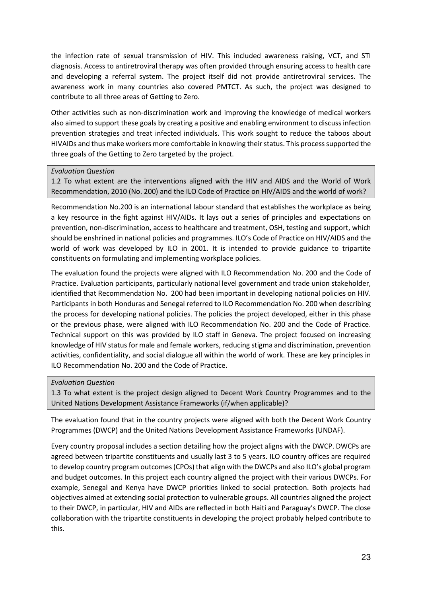the infection rate of sexual transmission of HIV. This included awareness raising, VCT, and STI diagnosis. Access to antiretroviral therapy was often provided through ensuring access to health care and developing a referral system. The project itself did not provide antiretroviral services. The awareness work in many countries also covered PMTCT. As such, the project was designed to contribute to all three areas of Getting to Zero.

Other activities such as non-discrimination work and improving the knowledge of medical workers also aimed to support these goals by creating a positive and enabling environment to discuss infection prevention strategies and treat infected individuals. This work sought to reduce the taboos about HIVAIDs and thus make workers more comfortable in knowing their status. This process supported the three goals of the Getting to Zero targeted by the project.

## *Evaluation Question*

1.2 To what extent are the interventions aligned with the HIV and AIDS and the World of Work Recommendation, 2010 (No. 200) and the ILO Code of Practice on HIV/AIDS and the world of work?

Recommendation No.200 is an international labour standard that establishes the workplace as being a key resource in the fight against HIV/AIDs. It lays out a series of principles and expectations on prevention, non-discrimination, access to healthcare and treatment, OSH, testing and support, which should be enshrined in national policies and programmes. ILO's Code of Practice on HIV/AIDS and the world of work was developed by ILO in 2001. It is intended to provide guidance to tripartite constituents on formulating and implementing workplace policies.

The evaluation found the projects were aligned with ILO Recommendation No. 200 and the Code of Practice. Evaluation participants, particularly national level government and trade union stakeholder, identified that Recommendation No. 200 had been important in developing national policies on HIV. Participants in both Honduras and Senegal referred to ILO Recommendation No. 200 when describing the process for developing national policies. The policies the project developed, either in this phase or the previous phase, were aligned with ILO Recommendation No. 200 and the Code of Practice. Technical support on this was provided by ILO staff in Geneva. The project focused on increasing knowledge of HIV status for male and female workers, reducing stigma and discrimination, prevention activities, confidentiality, and social dialogue all within the world of work. These are key principles in ILO Recommendation No. 200 and the Code of Practice.

#### *Evaluation Question*

1.3 To what extent is the project design aligned to Decent Work Country Programmes and to the United Nations Development Assistance Frameworks (if/when applicable)?

The evaluation found that in the country projects were aligned with both the Decent Work Country Programmes (DWCP) and the United Nations Development Assistance Frameworks (UNDAF).

Every country proposal includes a section detailing how the project aligns with the DWCP. DWCPs are agreed between tripartite constituents and usually last 3 to 5 years. ILO country offices are required to develop country program outcomes (CPOs) that align with the DWCPs and also ILO's global program and budget outcomes. In this project each country aligned the project with their various DWCPs. For example, Senegal and Kenya have DWCP priorities linked to social protection. Both projects had objectives aimed at extending social protection to vulnerable groups. All countries aligned the project to their DWCP, in particular, HIV and AIDs are reflected in both Haiti and Paraguay's DWCP. The close collaboration with the tripartite constituents in developing the project probably helped contribute to this.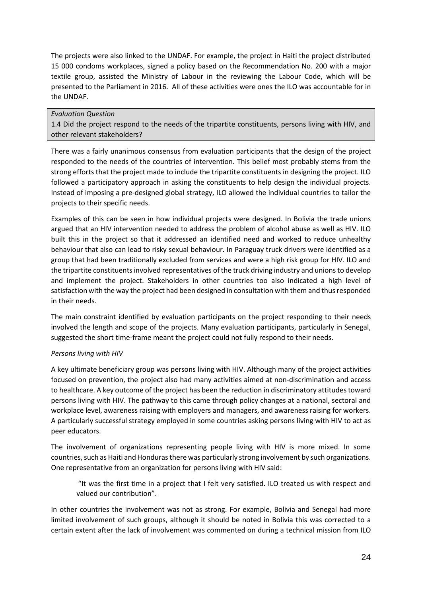The projects were also linked to the UNDAF. For example, the project in Haiti the project distributed 15 000 condoms workplaces, signed a policy based on the Recommendation No. 200 with a major textile group, assisted the Ministry of Labour in the reviewing the Labour Code, which will be presented to the Parliament in 2016. All of these activities were ones the ILO was accountable for in the UNDAF.

## *Evaluation Question*

1.4 Did the project respond to the needs of the tripartite constituents, persons living with HIV, and other relevant stakeholders?

There was a fairly unanimous consensus from evaluation participants that the design of the project responded to the needs of the countries of intervention. This belief most probably stems from the strong efforts that the project made to include the tripartite constituents in designing the project. ILO followed a participatory approach in asking the constituents to help design the individual projects. Instead of imposing a pre-designed global strategy, ILO allowed the individual countries to tailor the projects to their specific needs.

Examples of this can be seen in how individual projects were designed. In Bolivia the trade unions argued that an HIV intervention needed to address the problem of alcohol abuse as well as HIV. ILO built this in the project so that it addressed an identified need and worked to reduce unhealthy behaviour that also can lead to risky sexual behaviour. In Paraguay truck drivers were identified as a group that had been traditionally excluded from services and were a high risk group for HIV. ILO and the tripartite constituents involved representatives of the truck driving industry and unions to develop and implement the project. Stakeholders in other countries too also indicated a high level of satisfaction with the way the project had been designed in consultation with them and thus responded in their needs.

The main constraint identified by evaluation participants on the project responding to their needs involved the length and scope of the projects. Many evaluation participants, particularly in Senegal, suggested the short time-frame meant the project could not fully respond to their needs.

## *Persons living with HIV*

A key ultimate beneficiary group was persons living with HIV. Although many of the project activities focused on prevention, the project also had many activities aimed at non-discrimination and access to healthcare. A key outcome of the project has been the reduction in discriminatory attitudestoward persons living with HIV. The pathway to this came through policy changes at a national, sectoral and workplace level, awareness raising with employers and managers, and awareness raising for workers. A particularly successful strategy employed in some countries asking persons living with HIV to act as peer educators.

The involvement of organizations representing people living with HIV is more mixed. In some countries, such as Haiti and Honduras there was particularly strong involvement by such organizations. One representative from an organization for persons living with HIV said:

"It was the first time in a project that I felt very satisfied. ILO treated us with respect and valued our contribution".

In other countries the involvement was not as strong. For example, Bolivia and Senegal had more limited involvement of such groups, although it should be noted in Bolivia this was corrected to a certain extent after the lack of involvement was commented on during a technical mission from ILO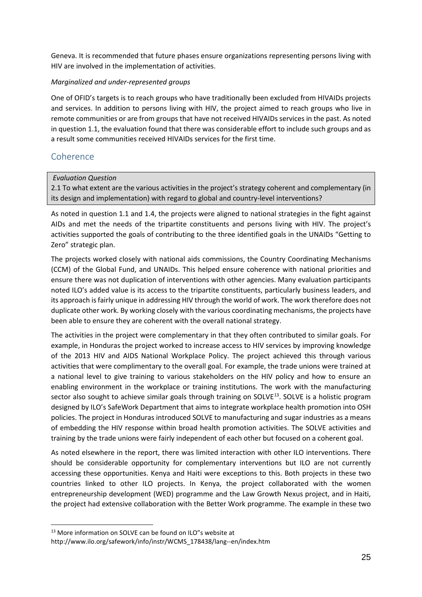Geneva. It is recommended that future phases ensure organizations representing persons living with HIV are involved in the implementation of activities.

## *Marginalized and under-represented groups*

One of OFID's targets is to reach groups who have traditionally been excluded from HIVAIDs projects and services. In addition to persons living with HIV, the project aimed to reach groups who live in remote communities or are from groups that have not received HIVAIDs services in the past. As noted in question 1.1, the evaluation found that there was considerable effort to include such groups and as a result some communities received HIVAIDs services for the first time.

## <span id="page-25-0"></span>Coherence

## *Evaluation Question*

2.1 To what extent are the various activities in the project's strategy coherent and complementary (in its design and implementation) with regard to global and country-level interventions?

As noted in question 1.1 and 1.4, the projects were aligned to national strategies in the fight against AIDs and met the needs of the tripartite constituents and persons living with HIV. The project's activities supported the goals of contributing to the three identified goals in the UNAIDs "Getting to Zero" strategic plan.

The projects worked closely with national aids commissions, the Country Coordinating Mechanisms (CCM) of the Global Fund, and UNAIDs. This helped ensure coherence with national priorities and ensure there was not duplication of interventions with other agencies. Many evaluation participants noted ILO's added value is its access to the tripartite constituents, particularly business leaders, and its approach is fairly unique in addressing HIV through the world of work. The work therefore does not duplicate other work. By working closely with the various coordinating mechanisms, the projects have been able to ensure they are coherent with the overall national strategy.

The activities in the project were complementary in that they often contributed to similar goals. For example, in Honduras the project worked to increase access to HIV services by improving knowledge of the 2013 HIV and AIDS National Workplace Policy. The project achieved this through various activities that were complimentary to the overall goal. For example, the trade unions were trained at a national level to give training to various stakeholders on the HIV policy and how to ensure an enabling environment in the workplace or training institutions. The work with the manufacturing sector also sought to achieve similar goals through training on SOLVE<sup>13</sup>. SOLVE is a holistic program designed by ILO's SafeWork Department that aims to integrate workplace health promotion into OSH policies. The project in Honduras introduced SOLVE to manufacturing and sugar industries as a means of embedding the HIV response within broad health promotion activities. The SOLVE activities and training by the trade unions were fairly independent of each other but focused on a coherent goal.

As noted elsewhere in the report, there was limited interaction with other ILO interventions. There should be considerable opportunity for complementary interventions but ILO are not currently accessing these opportunities. Kenya and Haiti were exceptions to this. Both projects in these two countries linked to other ILO projects. In Kenya, the project collaborated with the women entrepreneurship development (WED) programme and the Law Growth Nexus project, and in Haiti, the project had extensive collaboration with the Better Work programme. The example in these two

<span id="page-25-1"></span><sup>&</sup>lt;sup>13</sup> More information on SOLVE can be found on ILO"s website at

http://www.ilo.org/safework/info/instr/WCMS\_178438/lang--en/index.htm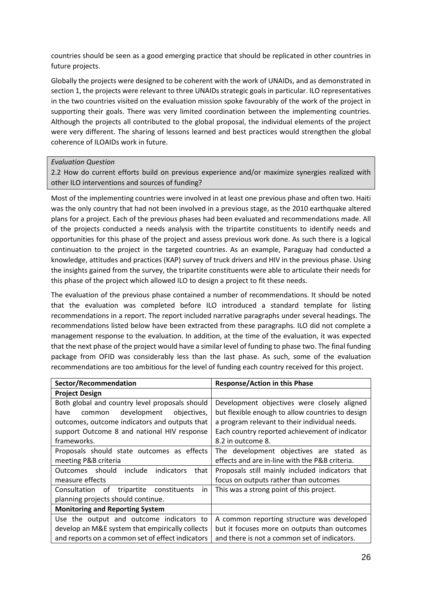countries should be seen as a good emerging practice that should be replicated in other countries in future projects.

Globally the projects were designed to be coherent with the work of UNAIDs, and as demonstrated in section 1, the projects were relevant to three UNAIDs strategic goals in particular. ILO representatives in the two countries visited on the evaluation mission spoke favourably of the work of the project in supporting their goals. There was very limited coordination between the implementing countries. Although the projects all contributed to the global proposal, the individual elements of the project were very different. The sharing of lessons learned and best practices would strengthen the global coherence of ILOAIDs work in future.

## *Evaluation Question*

2.2 How do current efforts build on previous experience and/or maximize synergies realized with other ILO interventions and sources of funding?

Most of the implementing countries were involved in at least one previous phase and often two. Haiti was the only country that had not been involved in a previous stage, as the 2010 earthquake altered plans for a project. Each of the previous phases had been evaluated and recommendations made. All of the projects conducted a needs analysis with the tripartite constituents to identify needs and opportunities for this phase of the project and assess previous work done. As such there is a logical continuation to the project in the targeted countries. As an example, Paraguay had conducted a knowledge, attitudes and practices (KAP) survey of truck drivers and HIV in the previous phase. Using the insights gained from the survey, the tripartite constituents were able to articulate their needs for this phase of the project which allowed ILO to design a project to fit these needs.

The evaluation of the previous phase contained a number of recommendations. It should be noted that the evaluation was completed before ILO introduced a standard template for listing recommendations in a report. The report included narrative paragraphs under several headings. The recommendations listed below have been extracted from these paragraphs. ILO did not complete a management response to the evaluation. In addition, at the time of the evaluation, it was expected that the next phase of the project would have a similar level of funding to phase two. The final funding package from OFID was considerably less than the last phase. As such, some of the evaluation recommendations are too ambitious for the level of funding each country received for this project.

| Sector/Recommendation                             | <b>Response/Action in this Phase</b>             |
|---------------------------------------------------|--------------------------------------------------|
| <b>Project Design</b>                             |                                                  |
| Both global and country level proposals should    | Development objectives were closely aligned      |
| development<br>objectives,<br>have<br>common      | but flexible enough to allow countries to design |
| outcomes, outcome indicators and outputs that     | a program relevant to their individual needs.    |
| support Outcome 8 and national HIV response       | Each country reported achievement of indicator   |
| frameworks.                                       | 8.2 in outcome 8.                                |
| Proposals should state outcomes as effects        | The development objectives are stated as         |
| meeting P&B criteria                              | effects and are in-line with the P&B criteria.   |
| include<br>Outcomes should<br>indicators<br>that  | Proposals still mainly included indicators that  |
| measure effects                                   | focus on outputs rather than outcomes            |
| Consultation of<br>tripartite constituents<br>in. | This was a strong point of this project.         |
| planning projects should continue.                |                                                  |
| <b>Monitoring and Reporting System</b>            |                                                  |
| Use the output and outcome indicators to          | A common reporting structure was developed       |
| develop an M&E system that empirically collects   | but it focuses more on outputs than outcomes     |
| and reports on a common set of effect indicators  | and there is not a common set of indicators.     |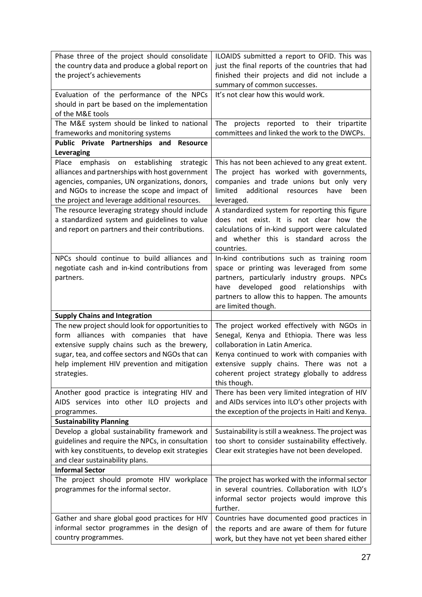| Phase three of the project should consolidate<br>the country data and produce a global report on<br>the project's achievements                                                                                                                                 | ILOAIDS submitted a report to OFID. This was<br>just the final reports of the countries that had<br>finished their projects and did not include a                                                                                                                                         |
|----------------------------------------------------------------------------------------------------------------------------------------------------------------------------------------------------------------------------------------------------------------|-------------------------------------------------------------------------------------------------------------------------------------------------------------------------------------------------------------------------------------------------------------------------------------------|
| Evaluation of the performance of the NPCs<br>should in part be based on the implementation<br>of the M&E tools                                                                                                                                                 | summary of common successes.<br>It's not clear how this would work.                                                                                                                                                                                                                       |
| The M&E system should be linked to national<br>frameworks and monitoring systems                                                                                                                                                                               | The<br>projects reported to their tripartite<br>committees and linked the work to the DWCPs.                                                                                                                                                                                              |
| Public Private Partnerships and Resource<br>Leveraging                                                                                                                                                                                                         |                                                                                                                                                                                                                                                                                           |
| establishing<br>Place<br>emphasis<br>strategic<br>on<br>alliances and partnerships with host government<br>agencies, companies, UN organizations, donors,<br>and NGOs to increase the scope and impact of<br>the project and leverage additional resources.    | This has not been achieved to any great extent.<br>The project has worked with governments,<br>companies and trade unions but only very<br>limited<br>additional resources<br>have<br>been<br>leveraged.                                                                                  |
| The resource leveraging strategy should include<br>a standardized system and guidelines to value<br>and report on partners and their contributions.                                                                                                            | A standardized system for reporting this figure<br>does not exist. It is not clear how the<br>calculations of in-kind support were calculated<br>and whether this is standard across the<br>countries.                                                                                    |
| NPCs should continue to build alliances and<br>negotiate cash and in-kind contributions from<br>partners.                                                                                                                                                      | In-kind contributions such as training room<br>space or printing was leveraged from some<br>partners, particularly industry groups. NPCs<br>have developed good relationships<br>with<br>partners to allow this to happen. The amounts<br>are limited though.                             |
| <b>Supply Chains and Integration</b>                                                                                                                                                                                                                           |                                                                                                                                                                                                                                                                                           |
| The new project should look for opportunities to<br>form alliances with companies that have<br>extensive supply chains such as the brewery,<br>sugar, tea, and coffee sectors and NGOs that can<br>help implement HIV prevention and mitigation<br>strategies. | The project worked effectively with NGOs in<br>Senegal, Kenya and Ethiopia. There was less<br>collaboration in Latin America.<br>Kenya continued to work with companies with<br>extensive supply chains. There was not a<br>coherent project strategy globally to address<br>this though. |
| Another good practice is integrating HIV and<br>AIDS services into other ILO projects and<br>programmes.                                                                                                                                                       | There has been very limited integration of HIV<br>and AIDs services into ILO's other projects with<br>the exception of the projects in Haiti and Kenya.                                                                                                                                   |
| <b>Sustainability Planning</b>                                                                                                                                                                                                                                 |                                                                                                                                                                                                                                                                                           |
| Develop a global sustainability framework and<br>guidelines and require the NPCs, in consultation<br>with key constituents, to develop exit strategies<br>and clear sustainability plans.                                                                      | Sustainability is still a weakness. The project was<br>too short to consider sustainability effectively.<br>Clear exit strategies have not been developed.                                                                                                                                |
| <b>Informal Sector</b>                                                                                                                                                                                                                                         |                                                                                                                                                                                                                                                                                           |
| The project should promote HIV workplace<br>programmes for the informal sector.                                                                                                                                                                                | The project has worked with the informal sector<br>in several countries. Collaboration with ILO's<br>informal sector projects would improve this<br>further.                                                                                                                              |
| Gather and share global good practices for HIV                                                                                                                                                                                                                 | Countries have documented good practices in                                                                                                                                                                                                                                               |
| informal sector programmes in the design of<br>country programmes.                                                                                                                                                                                             | the reports and are aware of them for future<br>work, but they have not yet been shared either                                                                                                                                                                                            |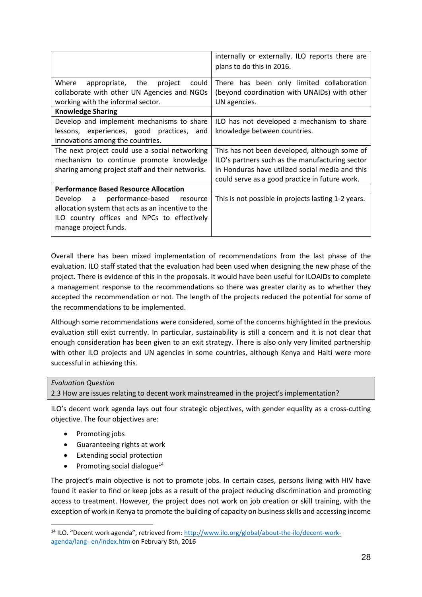|                                                    | internally or externally. ILO reports there are<br>plans to do this in 2016. |
|----------------------------------------------------|------------------------------------------------------------------------------|
| Where<br>appropriate, the<br>could<br>project      | There has been only limited collaboration                                    |
| collaborate with other UN Agencies and NGOs        | (beyond coordination with UNAIDs) with other                                 |
| working with the informal sector.                  | UN agencies.                                                                 |
| <b>Knowledge Sharing</b>                           |                                                                              |
| Develop and implement mechanisms to share          | ILO has not developed a mechanism to share                                   |
| lessons, experiences, good practices, and          | knowledge between countries.                                                 |
| innovations among the countries.                   |                                                                              |
| The next project could use a social networking     | This has not been developed, although some of                                |
| mechanism to continue promote knowledge            | ILO's partners such as the manufacturing sector                              |
| sharing among project staff and their networks.    | in Honduras have utilized social media and this                              |
|                                                    | could serve as a good practice in future work.                               |
| <b>Performance Based Resource Allocation</b>       |                                                                              |
| performance-based resource<br>Develop a            | This is not possible in projects lasting 1-2 years.                          |
| allocation system that acts as an incentive to the |                                                                              |
| ILO country offices and NPCs to effectively        |                                                                              |
| manage project funds.                              |                                                                              |
|                                                    |                                                                              |

Overall there has been mixed implementation of recommendations from the last phase of the evaluation. ILO staff stated that the evaluation had been used when designing the new phase of the project. There is evidence of this in the proposals. It would have been useful for ILOAIDs to complete a management response to the recommendations so there was greater clarity as to whether they accepted the recommendation or not. The length of the projects reduced the potential for some of the recommendations to be implemented.

Although some recommendations were considered, some of the concerns highlighted in the previous evaluation still exist currently. In particular, sustainability is still a concern and it is not clear that enough consideration has been given to an exit strategy. There is also only very limited partnership with other ILO projects and UN agencies in some countries, although Kenya and Haiti were more successful in achieving this.

#### *Evaluation Question*

2.3 How are issues relating to decent work mainstreamed in the project's implementation?

ILO's decent work agenda lays out four strategic objectives, with gender equality as a cross-cutting objective. The four objectives are:

- Promoting jobs
- Guaranteeing rights at work
- Extending social protection
- Promoting social dialogue<sup>[14](#page-28-0)</sup>

The project's main objective is not to promote jobs. In certain cases, persons living with HIV have found it easier to find or keep jobs as a result of the project reducing discrimination and promoting access to treatment. However, the project does not work on job creation or skill training, with the exception of work in Kenya to promote the building of capacity on business skills and accessing income

<span id="page-28-0"></span><sup>&</sup>lt;sup>14</sup> ILO. "Decent work agenda", retrieved from: [http://www.ilo.org/global/about-the-ilo/decent-work](http://www.ilo.org/global/about-the-ilo/decent-work-agenda/lang--en/index.htm)[agenda/lang--en/index.htm](http://www.ilo.org/global/about-the-ilo/decent-work-agenda/lang--en/index.htm) on February 8th, 2016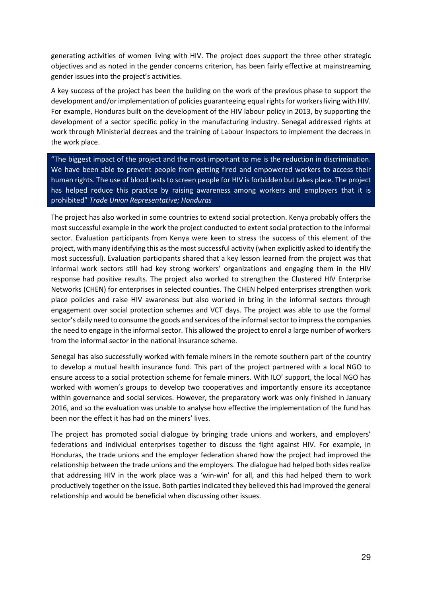generating activities of women living with HIV. The project does support the three other strategic objectives and as noted in the gender concerns criterion, has been fairly effective at mainstreaming gender issues into the project's activities.

A key success of the project has been the building on the work of the previous phase to support the development and/or implementation of policies guaranteeing equal rights for workers living with HIV. For example, Honduras built on the development of the HIV labour policy in 2013, by supporting the development of a sector specific policy in the manufacturing industry. Senegal addressed rights at work through Ministerial decrees and the training of Labour Inspectors to implement the decrees in the work place.

"The biggest impact of the project and the most important to me is the reduction in discrimination. We have been able to prevent people from getting fired and empowered workers to access their human rights. The use of blood tests to screen people for HIV is forbidden but takes place. The project has helped reduce this practice by raising awareness among workers and employers that it is prohibited" *Trade Union Representative; Honduras*

The project has also worked in some countries to extend social protection. Kenya probably offers the most successful example in the work the project conducted to extent social protection to the informal sector. Evaluation participants from Kenya were keen to stress the success of this element of the project, with many identifying this as the most successful activity (when explicitly asked to identify the most successful). Evaluation participants shared that a key lesson learned from the project was that informal work sectors still had key strong workers' organizations and engaging them in the HIV response had positive results. The project also worked to strengthen the Clustered HIV Enterprise Networks (CHEN) for enterprises in selected counties. The CHEN helped enterprises strengthen work place policies and raise HIV awareness but also worked in bring in the informal sectors through engagement over social protection schemes and VCT days. The project was able to use the formal sector's daily need to consume the goods and services of the informal sector to impress the companies the need to engage in the informal sector. This allowed the project to enrol a large number of workers from the informal sector in the national insurance scheme.

Senegal has also successfully worked with female miners in the remote southern part of the country to develop a mutual health insurance fund. This part of the project partnered with a local NGO to ensure access to a social protection scheme for female miners. With ILO' support, the local NGO has worked with women's groups to develop two cooperatives and importantly ensure its acceptance within governance and social services. However, the preparatory work was only finished in January 2016, and so the evaluation was unable to analyse how effective the implementation of the fund has been nor the effect it has had on the miners' lives.

The project has promoted social dialogue by bringing trade unions and workers, and employers' federations and individual enterprises together to discuss the fight against HIV. For example, in Honduras, the trade unions and the employer federation shared how the project had improved the relationship between the trade unions and the employers. The dialogue had helped both sides realize that addressing HIV in the work place was a 'win-win' for all, and this had helped them to work productively together on the issue. Both parties indicated they believed this had improved the general relationship and would be beneficial when discussing other issues.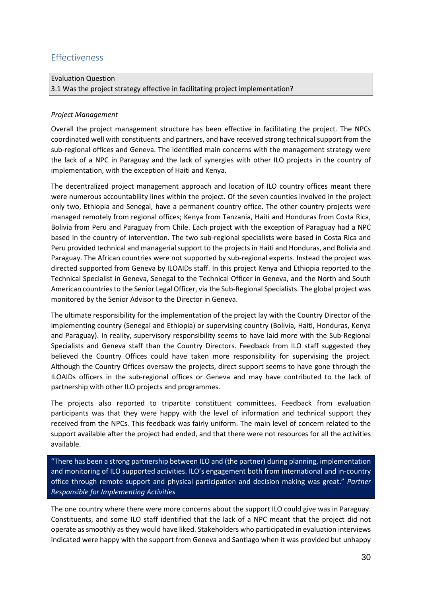# <span id="page-30-0"></span>Effectiveness

| <b>Evaluation Question</b>                                                     |
|--------------------------------------------------------------------------------|
| 3.1 Was the project strategy effective in facilitating project implementation? |

## *Project Management*

Overall the project management structure has been effective in facilitating the project. The NPCs coordinated well with constituents and partners, and have received strong technical support from the sub-regional offices and Geneva. The identified main concerns with the management strategy were the lack of a NPC in Paraguay and the lack of synergies with other ILO projects in the country of implementation, with the exception of Haiti and Kenya.

The decentralized project management approach and location of ILO country offices meant there were numerous accountability lines within the project. Of the seven counties involved in the project only two, Ethiopia and Senegal, have a permanent country office. The other country projects were managed remotely from regional offices; Kenya from Tanzania, Haiti and Honduras from Costa Rica, Bolivia from Peru and Paraguay from Chile. Each project with the exception of Paraguay had a NPC based in the country of intervention. The two sub-regional specialists were based in Costa Rica and Peru provided technical and managerial support to the projects in Haiti and Honduras, and Bolivia and Paraguay. The African countries were not supported by sub-regional experts. Instead the project was directed supported from Geneva by ILOAIDs staff. In this project Kenya and Ethiopia reported to the Technical Specialist in Geneva, Senegal to the Technical Officer in Geneva, and the North and South American countries to the Senior Legal Officer, via the Sub-Regional Specialists. The global project was monitored by the Senior Advisor to the Director in Geneva.

The ultimate responsibility for the implementation of the project lay with the Country Director of the implementing country (Senegal and Ethiopia) or supervising country (Bolivia, Haiti, Honduras, Kenya and Paraguay). In reality, supervisory responsibility seems to have laid more with the Sub-Regional Specialists and Geneva staff than the Country Directors. Feedback from ILO staff suggested they believed the Country Offices could have taken more responsibility for supervising the project. Although the Country Offices oversaw the projects, direct support seems to have gone through the ILOAIDs officers in the sub-regional offices or Geneva and may have contributed to the lack of partnership with other ILO projects and programmes.

The projects also reported to tripartite constituent committees. Feedback from evaluation participants was that they were happy with the level of information and technical support they received from the NPCs. This feedback was fairly uniform. The main level of concern related to the support available after the project had ended, and that there were not resources for all the activities available.

"There has been a strong partnership between ILO and (the partner) during planning, implementation and monitoring of ILO supported activities. ILO's engagement both from international and in-country office through remote support and physical participation and decision making was great." *Partner Responsible for Implementing Activities*

The one country where there were more concerns about the support ILO could give was in Paraguay. Constituents, and some ILO staff identified that the lack of a NPC meant that the project did not operate as smoothly as they would have liked. Stakeholders who participated in evaluation interviews indicated were happy with the support from Geneva and Santiago when it was provided but unhappy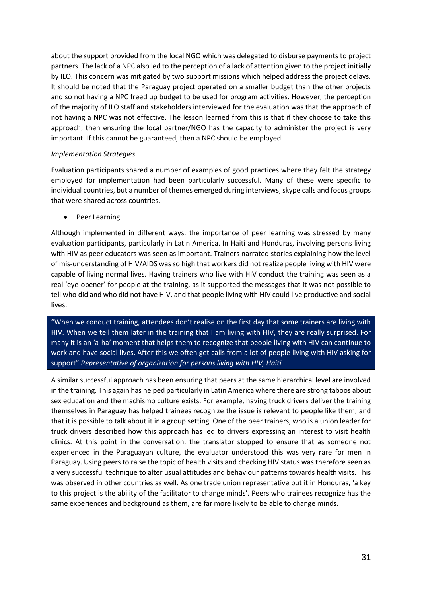about the support provided from the local NGO which was delegated to disburse payments to project partners. The lack of a NPC also led to the perception of a lack of attention given to the project initially by ILO. This concern was mitigated by two support missions which helped address the project delays. It should be noted that the Paraguay project operated on a smaller budget than the other projects and so not having a NPC freed up budget to be used for program activities. However, the perception of the majority of ILO staff and stakeholders interviewed for the evaluation was that the approach of not having a NPC was not effective. The lesson learned from this is that if they choose to take this approach, then ensuring the local partner/NGO has the capacity to administer the project is very important. If this cannot be guaranteed, then a NPC should be employed.

## *Implementation Strategies*

Evaluation participants shared a number of examples of good practices where they felt the strategy employed for implementation had been particularly successful. Many of these were specific to individual countries, but a number of themes emerged during interviews, skype calls and focus groups that were shared across countries.

Peer Learning

Although implemented in different ways, the importance of peer learning was stressed by many evaluation participants, particularly in Latin America. In Haiti and Honduras, involving persons living with HIV as peer educators was seen as important. Trainers narrated stories explaining how the level of mis-understanding of HIV/AIDS was so high that workers did not realize people living with HIV were capable of living normal lives. Having trainers who live with HIV conduct the training was seen as a real 'eye-opener' for people at the training, as it supported the messages that it was not possible to tell who did and who did not have HIV, and that people living with HIV could live productive and social lives.

"When we conduct training, attendees don't realise on the first day that some trainers are living with HIV. When we tell them later in the training that I am living with HIV, they are really surprised. For many it is an 'a-ha' moment that helps them to recognize that people living with HIV can continue to work and have social lives. After this we often get calls from a lot of people living with HIV asking for support" *Representative of organization for persons living with HIV, Haiti*

A similar successful approach has been ensuring that peers at the same hierarchical level are involved in the training. This again has helped particularly in Latin America where there are strong taboos about sex education and the machismo culture exists. For example, having truck drivers deliver the training themselves in Paraguay has helped trainees recognize the issue is relevant to people like them, and that it is possible to talk about it in a group setting. One of the peer trainers, who is a union leader for truck drivers described how this approach has led to drivers expressing an interest to visit health clinics. At this point in the conversation, the translator stopped to ensure that as someone not experienced in the Paraguayan culture, the evaluator understood this was very rare for men in Paraguay. Using peers to raise the topic of health visits and checking HIV status was therefore seen as a very successful technique to alter usual attitudes and behaviour patterns towards health visits. This was observed in other countries as well. As one trade union representative put it in Honduras, 'a key to this project is the ability of the facilitator to change minds'. Peers who trainees recognize has the same experiences and background as them, are far more likely to be able to change minds.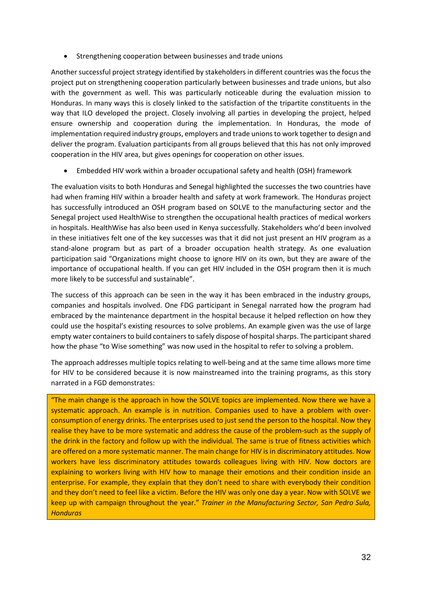• Strengthening cooperation between businesses and trade unions

Another successful project strategy identified by stakeholders in different countries was the focus the project put on strengthening cooperation particularly between businesses and trade unions, but also with the government as well. This was particularly noticeable during the evaluation mission to Honduras. In many ways this is closely linked to the satisfaction of the tripartite constituents in the way that ILO developed the project. Closely involving all parties in developing the project, helped ensure ownership and cooperation during the implementation. In Honduras, the mode of implementation required industry groups, employers and trade unions to work together to design and deliver the program. Evaluation participants from all groups believed that this has not only improved cooperation in the HIV area, but gives openings for cooperation on other issues.

• Embedded HIV work within a broader occupational safety and health (OSH) framework

The evaluation visits to both Honduras and Senegal highlighted the successes the two countries have had when framing HIV within a broader health and safety at work framework. The Honduras project has successfully introduced an OSH program based on SOLVE to the manufacturing sector and the Senegal project used HealthWise to strengthen the occupational health practices of medical workers in hospitals. HealthWise has also been used in Kenya successfully. Stakeholders who'd been involved in these initiatives felt one of the key successes was that it did not just present an HIV program as a stand-alone program but as part of a broader occupation health strategy. As one evaluation participation said "Organizations might choose to ignore HIV on its own, but they are aware of the importance of occupational health. If you can get HIV included in the OSH program then it is much more likely to be successful and sustainable".

The success of this approach can be seen in the way it has been embraced in the industry groups, companies and hospitals involved. One FDG participant in Senegal narrated how the program had embraced by the maintenance department in the hospital because it helped reflection on how they could use the hospital's existing resources to solve problems. An example given was the use of large empty water containers to build containers to safely dispose of hospital sharps. The participant shared how the phase "to Wise something" was now used in the hospital to refer to solving a problem.

The approach addresses multiple topics relating to well-being and at the same time allows more time for HIV to be considered because it is now mainstreamed into the training programs, as this story narrated in a FGD demonstrates:

"The main change is the approach in how the SOLVE topics are implemented. Now there we have a systematic approach. An example is in nutrition. Companies used to have a problem with overconsumption of energy drinks. The enterprises used to just send the person to the hospital. Now they realise they have to be more systematic and address the cause of the problem-such as the supply of the drink in the factory and follow up with the individual. The same is true of fitness activities which are offered on a more systematic manner. The main change for HIV is in discriminatory attitudes. Now workers have less discriminatory attitudes towards colleagues living with HIV. Now doctors are explaining to workers living with HIV how to manage their emotions and their condition inside an enterprise. For example, they explain that they don't need to share with everybody their condition and they don't need to feel like a victim. Before the HIV was only one day a year. Now with SOLVE we keep up with campaign throughout the year." *Trainer in the Manufacturing Sector, San Pedro Sula, Honduras*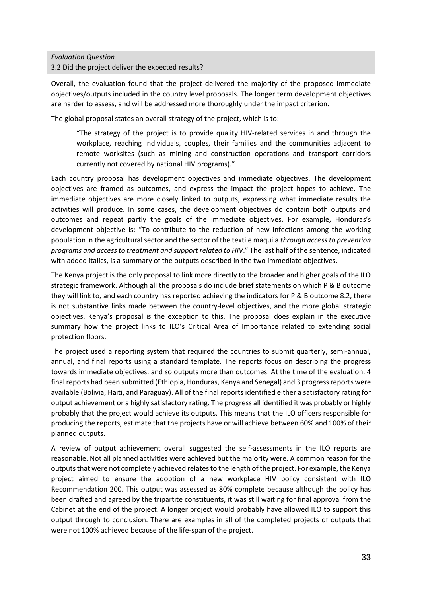## *Evaluation Question* 3.2 Did the project deliver the expected results?

Overall, the evaluation found that the project delivered the majority of the proposed immediate objectives/outputs included in the country level proposals. The longer term development objectives are harder to assess, and will be addressed more thoroughly under the impact criterion.

The global proposal states an overall strategy of the project, which is to:

"The strategy of the project is to provide quality HIV-related services in and through the workplace, reaching individuals, couples, their families and the communities adjacent to remote worksites (such as mining and construction operations and transport corridors currently not covered by national HIV programs)."

Each country proposal has development objectives and immediate objectives. The development objectives are framed as outcomes, and express the impact the project hopes to achieve. The immediate objectives are more closely linked to outputs, expressing what immediate results the activities will produce. In some cases, the development objectives do contain both outputs and outcomes and repeat partly the goals of the immediate objectives. For example, Honduras's development objective is: "To contribute to the reduction of new infections among the working population in the agricultural sector and the sector of the textile maquila *through access to prevention programs and access to treatment and support related to HIV*." The last half of the sentence, indicated with added italics, is a summary of the outputs described in the two immediate objectives.

The Kenya project is the only proposal to link more directly to the broader and higher goals of the ILO strategic framework. Although all the proposals do include brief statements on which P & B outcome they will link to, and each country has reported achieving the indicators for P & B outcome 8.2, there is not substantive links made between the country-level objectives, and the more global strategic objectives. Kenya's proposal is the exception to this. The proposal does explain in the executive summary how the project links to ILO's Critical Area of Importance related to extending social protection floors.

The project used a reporting system that required the countries to submit quarterly, semi-annual, annual, and final reports using a standard template. The reports focus on describing the progress towards immediate objectives, and so outputs more than outcomes. At the time of the evaluation, 4 final reports had been submitted (Ethiopia, Honduras, Kenya and Senegal) and 3 progress reports were available (Bolivia, Haiti, and Paraguay). All of the final reports identified either a satisfactory rating for output achievement or a highly satisfactory rating. The progress all identified it was probably or highly probably that the project would achieve its outputs. This means that the ILO officers responsible for producing the reports, estimate that the projects have or will achieve between 60% and 100% of their planned outputs.

A review of output achievement overall suggested the self-assessments in the ILO reports are reasonable. Not all planned activities were achieved but the majority were. A common reason for the outputs that were not completely achieved relates to the length of the project. For example, the Kenya project aimed to ensure the adoption of a new workplace HIV policy consistent with ILO Recommendation 200. This output was assessed as 80% complete because although the policy has been drafted and agreed by the tripartite constituents, it was still waiting for final approval from the Cabinet at the end of the project. A longer project would probably have allowed ILO to support this output through to conclusion. There are examples in all of the completed projects of outputs that were not 100% achieved because of the life-span of the project.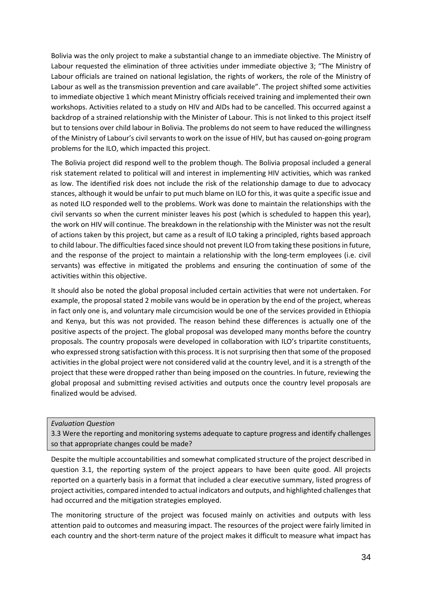Bolivia was the only project to make a substantial change to an immediate objective. The Ministry of Labour requested the elimination of three activities under immediate objective 3; "The Ministry of Labour officials are trained on national legislation, the rights of workers, the role of the Ministry of Labour as well as the transmission prevention and care available". The project shifted some activities to immediate objective 1 which meant Ministry officials received training and implemented their own workshops. Activities related to a study on HIV and AIDs had to be cancelled. This occurred against a backdrop of a strained relationship with the Minister of Labour. This is not linked to this project itself but to tensions over child labour in Bolivia. The problems do not seem to have reduced the willingness of the Ministry of Labour's civil servants to work on the issue of HIV, but has caused on-going program problems for the ILO, which impacted this project.

The Bolivia project did respond well to the problem though. The Bolivia proposal included a general risk statement related to political will and interest in implementing HIV activities, which was ranked as low. The identified risk does not include the risk of the relationship damage to due to advocacy stances, although it would be unfair to put much blame on ILO for this, it was quite a specific issue and as noted ILO responded well to the problems. Work was done to maintain the relationships with the civil servants so when the current minister leaves his post (which is scheduled to happen this year), the work on HIV will continue. The breakdown in the relationship with the Minister was not the result of actions taken by this project, but came as a result of ILO taking a principled, rights based approach to child labour. The difficulties faced since should not prevent ILO from taking these positions in future, and the response of the project to maintain a relationship with the long-term employees (i.e. civil servants) was effective in mitigated the problems and ensuring the continuation of some of the activities within this objective.

It should also be noted the global proposal included certain activities that were not undertaken. For example, the proposal stated 2 mobile vans would be in operation by the end of the project, whereas in fact only one is, and voluntary male circumcision would be one of the services provided in Ethiopia and Kenya, but this was not provided. The reason behind these differences is actually one of the positive aspects of the project. The global proposal was developed many months before the country proposals. The country proposals were developed in collaboration with ILO's tripartite constituents, who expressed strong satisfaction with this process. It is not surprising then that some of the proposed activities in the global project were not considered valid at the country level, and it is a strength of the project that these were dropped rather than being imposed on the countries. In future, reviewing the global proposal and submitting revised activities and outputs once the country level proposals are finalized would be advised.

#### *Evaluation Question*

3.3 Were the reporting and monitoring systems adequate to capture progress and identify challenges so that appropriate changes could be made?

Despite the multiple accountabilities and somewhat complicated structure of the project described in question 3.1, the reporting system of the project appears to have been quite good. All projects reported on a quarterly basis in a format that included a clear executive summary, listed progress of project activities, compared intended to actual indicators and outputs, and highlighted challenges that had occurred and the mitigation strategies employed.

The monitoring structure of the project was focused mainly on activities and outputs with less attention paid to outcomes and measuring impact. The resources of the project were fairly limited in each country and the short-term nature of the project makes it difficult to measure what impact has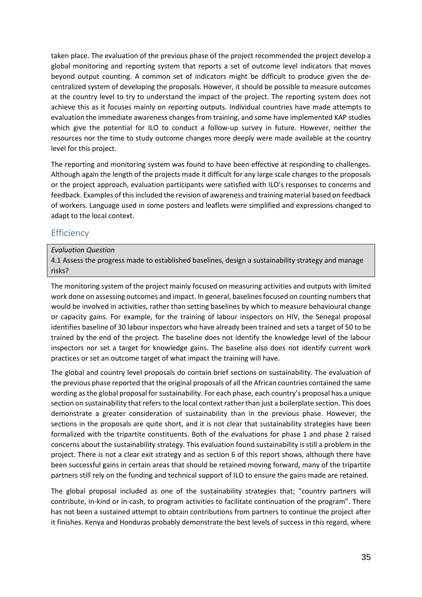taken place. The evaluation of the previous phase of the project recommended the project develop a global monitoring and reporting system that reports a set of outcome level indicators that moves beyond output counting. A common set of indicators might be difficult to produce given the decentralized system of developing the proposals. However, it should be possible to measure outcomes at the country level to try to understand the impact of the project. The reporting system does not achieve this as it focuses mainly on reporting outputs. Individual countries have made attempts to evaluation the immediate awareness changes from training, and some have implemented KAP studies which give the potential for ILO to conduct a follow-up survey in future. However, neither the resources nor the time to study outcome changes more deeply were made available at the country level for this project.

The reporting and monitoring system was found to have been effective at responding to challenges. Although again the length of the projects made it difficult for any large scale changes to the proposals or the project approach, evaluation participants were satisfied with ILO's responses to concerns and feedback. Examples of this included the revision of awareness and training material based on feedback of workers. Language used in some posters and leaflets were simplified and expressions changed to adapt to the local context.

# <span id="page-35-0"></span>**Efficiency**

## *Evaluation Question*

4.1 Assess the progress made to established baselines, design a sustainability strategy and manage risks?

The monitoring system of the project mainly focused on measuring activities and outputs with limited work done on assessing outcomes and impact. In general, baselines focused on counting numbers that would be involved in activities, rather than setting baselines by which to measure behavioural change or capacity gains. For example, for the training of labour inspectors on HIV, the Senegal proposal identifies baseline of 30 labour inspectors who have already been trained and sets a target of 50 to be trained by the end of the project. The baseline does not identify the knowledge level of the labour inspectors nor set a target for knowledge gains. The baseline also does not identify current work practices or set an outcome target of what impact the training will have.

The global and country level proposals do contain brief sections on sustainability. The evaluation of the previous phase reported that the original proposals of all the African countries contained the same wording as the global proposal for sustainability. For each phase, each country's proposal has a unique section on sustainability that refers to the local context rather than just a boilerplate section. This does demonstrate a greater consideration of sustainability than in the previous phase. However, the sections in the proposals are quite short, and it is not clear that sustainability strategies have been formalized with the tripartite constituents. Both of the evaluations for phase 1 and phase 2 raised concerns about the sustainability strategy. This evaluation found sustainability is still a problem in the project. There is not a clear exit strategy and as section 6 of this report shows, although there have been successful gains in certain areas that should be retained moving forward, many of the tripartite partners still rely on the funding and technical support of ILO to ensure the gains made are retained.

The global proposal included as one of the sustainability strategies that; "country partners will contribute, in-kind or in-cash, to program activities to facilitate continuation of the program". There has not been a sustained attempt to obtain contributions from partners to continue the project after it finishes. Kenya and Honduras probably demonstrate the best levels of success in this regard, where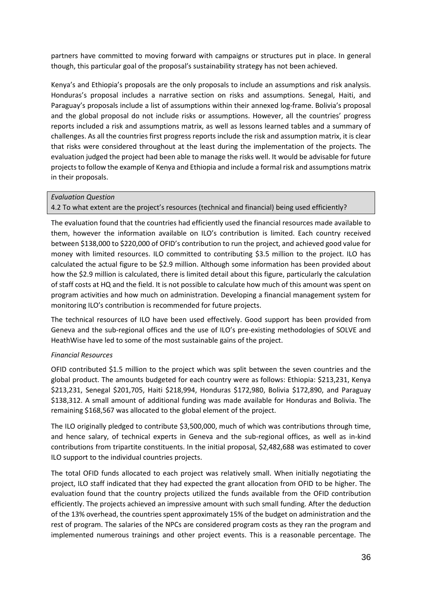partners have committed to moving forward with campaigns or structures put in place. In general though, this particular goal of the proposal's sustainability strategy has not been achieved.

Kenya's and Ethiopia's proposals are the only proposals to include an assumptions and risk analysis. Honduras's proposal includes a narrative section on risks and assumptions. Senegal, Haiti, and Paraguay's proposals include a list of assumptions within their annexed log-frame. Bolivia's proposal and the global proposal do not include risks or assumptions. However, all the countries' progress reports included a risk and assumptions matrix, as well as lessons learned tables and a summary of challenges. As all the countries first progress reports include the risk and assumption matrix, it is clear that risks were considered throughout at the least during the implementation of the projects. The evaluation judged the project had been able to manage the risks well. It would be advisable for future projects to follow the example of Kenya and Ethiopia and include a formal risk and assumptions matrix in their proposals.

### *Evaluation Question*

# 4.2 To what extent are the project's resources (technical and financial) being used efficiently?

The evaluation found that the countries had efficiently used the financial resources made available to them, however the information available on ILO's contribution is limited. Each country received between \$138,000 to \$220,000 of OFID's contribution to run the project, and achieved good value for money with limited resources. ILO committed to contributing \$3.5 million to the project. ILO has calculated the actual figure to be \$2.9 million. Although some information has been provided about how the \$2.9 million is calculated, there is limited detail about this figure, particularly the calculation of staff costs at HQ and the field. It is not possible to calculate how much of this amount was spent on program activities and how much on administration. Developing a financial management system for monitoring ILO's contribution is recommended for future projects.

The technical resources of ILO have been used effectively. Good support has been provided from Geneva and the sub-regional offices and the use of ILO's pre-existing methodologies of SOLVE and HeathWise have led to some of the most sustainable gains of the project.

# *Financial Resources*

OFID contributed \$1.5 million to the project which was split between the seven countries and the global product. The amounts budgeted for each country were as follows: Ethiopia: \$213,231, Kenya \$213,231, Senegal \$201,705, Haiti \$218,994, Honduras \$172,980, Bolivia \$172,890, and Paraguay \$138,312. A small amount of additional funding was made available for Honduras and Bolivia. The remaining \$168,567 was allocated to the global element of the project.

The ILO originally pledged to contribute \$3,500,000, much of which was contributions through time, and hence salary, of technical experts in Geneva and the sub-regional offices, as well as in-kind contributions from tripartite constituents. In the initial proposal, \$2,482,688 was estimated to cover ILO support to the individual countries projects.

The total OFID funds allocated to each project was relatively small. When initially negotiating the project, ILO staff indicated that they had expected the grant allocation from OFID to be higher. The evaluation found that the country projects utilized the funds available from the OFID contribution efficiently. The projects achieved an impressive amount with such small funding. After the deduction of the 13% overhead, the countries spent approximately 15% of the budget on administration and the rest of program. The salaries of the NPCs are considered program costs as they ran the program and implemented numerous trainings and other project events. This is a reasonable percentage. The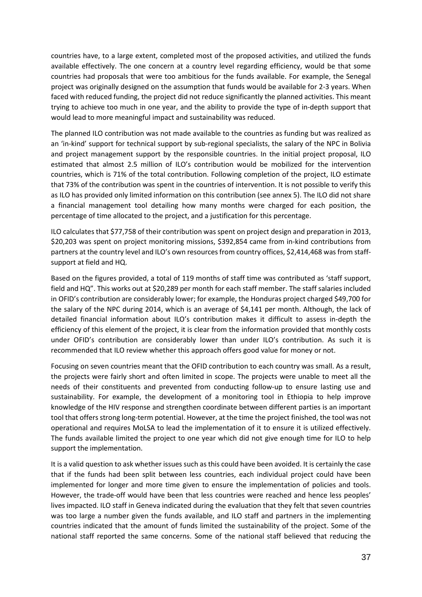countries have, to a large extent, completed most of the proposed activities, and utilized the funds available effectively. The one concern at a country level regarding efficiency, would be that some countries had proposals that were too ambitious for the funds available. For example, the Senegal project was originally designed on the assumption that funds would be available for 2-3 years. When faced with reduced funding, the project did not reduce significantly the planned activities. This meant trying to achieve too much in one year, and the ability to provide the type of in-depth support that would lead to more meaningful impact and sustainability was reduced.

The planned ILO contribution was not made available to the countries as funding but was realized as an 'in-kind' support for technical support by sub-regional specialists, the salary of the NPC in Bolivia and project management support by the responsible countries. In the initial project proposal, ILO estimated that almost 2.5 million of ILO's contribution would be mobilized for the intervention countries, which is 71% of the total contribution. Following completion of the project, ILO estimate that 73% of the contribution was spent in the countries of intervention. It is not possible to verify this as ILO has provided only limited information on this contribution (see annex 5). The ILO did not share a financial management tool detailing how many months were charged for each position, the percentage of time allocated to the project, and a justification for this percentage.

ILO calculates that \$77,758 of their contribution was spent on project design and preparation in 2013, \$20,203 was spent on project monitoring missions, \$392,854 came from in-kind contributions from partners at the country level and ILO's own resources from country offices, \$2,414,468 was from staffsupport at field and HQ.

Based on the figures provided, a total of 119 months of staff time was contributed as 'staff support, field and HQ". This works out at \$20,289 per month for each staff member. The staff salaries included in OFID's contribution are considerably lower; for example, the Honduras project charged \$49,700 for the salary of the NPC during 2014, which is an average of \$4,141 per month. Although, the lack of detailed financial information about ILO's contribution makes it difficult to assess in-depth the efficiency of this element of the project, it is clear from the information provided that monthly costs under OFID's contribution are considerably lower than under ILO's contribution. As such it is recommended that ILO review whether this approach offers good value for money or not.

Focusing on seven countries meant that the OFID contribution to each country was small. As a result, the projects were fairly short and often limited in scope. The projects were unable to meet all the needs of their constituents and prevented from conducting follow-up to ensure lasting use and sustainability. For example, the development of a monitoring tool in Ethiopia to help improve knowledge of the HIV response and strengthen coordinate between different parties is an important tool that offers strong long-term potential. However, at the time the project finished, the tool was not operational and requires MoLSA to lead the implementation of it to ensure it is utilized effectively. The funds available limited the project to one year which did not give enough time for ILO to help support the implementation.

It is a valid question to ask whether issues such as this could have been avoided. It is certainly the case that if the funds had been split between less countries, each individual project could have been implemented for longer and more time given to ensure the implementation of policies and tools. However, the trade-off would have been that less countries were reached and hence less peoples' lives impacted. ILO staff in Geneva indicated during the evaluation that they felt that seven countries was too large a number given the funds available, and ILO staff and partners in the implementing countries indicated that the amount of funds limited the sustainability of the project. Some of the national staff reported the same concerns. Some of the national staff believed that reducing the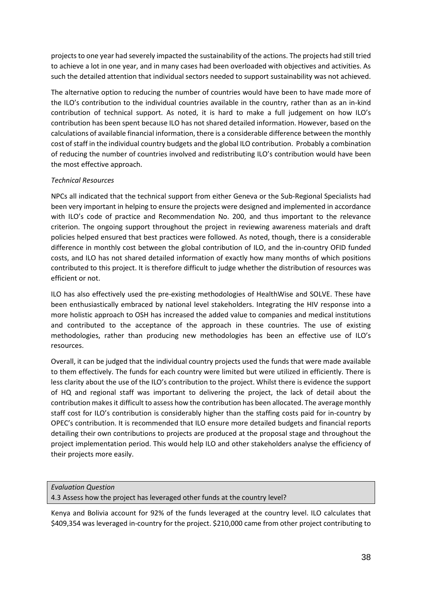projects to one year had severely impacted the sustainability of the actions. The projects had still tried to achieve a lot in one year, and in many cases had been overloaded with objectives and activities. As such the detailed attention that individual sectors needed to support sustainability was not achieved.

The alternative option to reducing the number of countries would have been to have made more of the ILO's contribution to the individual countries available in the country, rather than as an in-kind contribution of technical support. As noted, it is hard to make a full judgement on how ILO's contribution has been spent because ILO has not shared detailed information. However, based on the calculations of available financial information, there is a considerable difference between the monthly cost of staff in the individual country budgets and the global ILO contribution. Probably a combination of reducing the number of countries involved and redistributing ILO's contribution would have been the most effective approach.

# *Technical Resources*

NPCs all indicated that the technical support from either Geneva or the Sub-Regional Specialists had been very important in helping to ensure the projects were designed and implemented in accordance with ILO's code of practice and Recommendation No. 200, and thus important to the relevance criterion. The ongoing support throughout the project in reviewing awareness materials and draft policies helped ensured that best practices were followed. As noted, though, there is a considerable difference in monthly cost between the global contribution of ILO, and the in-country OFID funded costs, and ILO has not shared detailed information of exactly how many months of which positions contributed to this project. It is therefore difficult to judge whether the distribution of resources was efficient or not.

ILO has also effectively used the pre-existing methodologies of HealthWise and SOLVE. These have been enthusiastically embraced by national level stakeholders. Integrating the HIV response into a more holistic approach to OSH has increased the added value to companies and medical institutions and contributed to the acceptance of the approach in these countries. The use of existing methodologies, rather than producing new methodologies has been an effective use of ILO's resources.

Overall, it can be judged that the individual country projects used the funds that were made available to them effectively. The funds for each country were limited but were utilized in efficiently. There is less clarity about the use of the ILO's contribution to the project. Whilst there is evidence the support of HQ and regional staff was important to delivering the project, the lack of detail about the contribution makes it difficult to assess how the contribution has been allocated. The average monthly staff cost for ILO's contribution is considerably higher than the staffing costs paid for in-country by OPEC's contribution. It is recommended that ILO ensure more detailed budgets and financial reports detailing their own contributions to projects are produced at the proposal stage and throughout the project implementation period. This would help ILO and other stakeholders analyse the efficiency of their projects more easily.

### *Evaluation Question* 4.3 Assess how the project has leveraged other funds at the country level?

Kenya and Bolivia account for 92% of the funds leveraged at the country level. ILO calculates that \$409,354 was leveraged in-country for the project. \$210,000 came from other project contributing to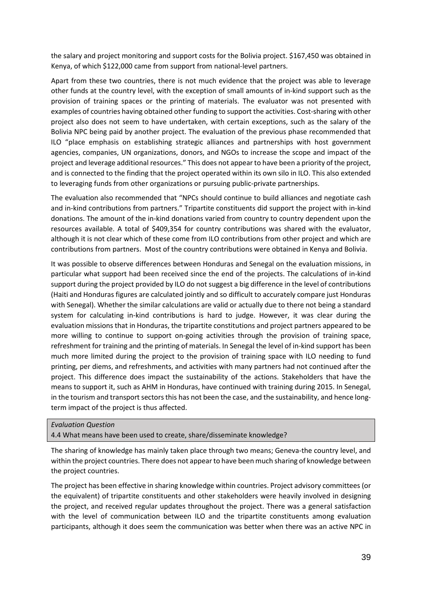the salary and project monitoring and support costs for the Bolivia project. \$167,450 was obtained in Kenya, of which \$122,000 came from support from national-level partners.

Apart from these two countries, there is not much evidence that the project was able to leverage other funds at the country level, with the exception of small amounts of in-kind support such as the provision of training spaces or the printing of materials. The evaluator was not presented with examples of countries having obtained other funding to support the activities. Cost-sharing with other project also does not seem to have undertaken, with certain exceptions, such as the salary of the Bolivia NPC being paid by another project. The evaluation of the previous phase recommended that ILO "place emphasis on establishing strategic alliances and partnerships with host government agencies, companies, UN organizations, donors, and NGOs to increase the scope and impact of the project and leverage additional resources." This does not appear to have been a priority of the project, and is connected to the finding that the project operated within its own silo in ILO. This also extended to leveraging funds from other organizations or pursuing public-private partnerships.

The evaluation also recommended that "NPCs should continue to build alliances and negotiate cash and in-kind contributions from partners." Tripartite constituents did support the project with in-kind donations. The amount of the in-kind donations varied from country to country dependent upon the resources available. A total of \$409,354 for country contributions was shared with the evaluator, although it is not clear which of these come from ILO contributions from other project and which are contributions from partners. Most of the country contributions were obtained in Kenya and Bolivia.

It was possible to observe differences between Honduras and Senegal on the evaluation missions, in particular what support had been received since the end of the projects. The calculations of in-kind support during the project provided by ILO do not suggest a big difference in the level of contributions (Haiti and Honduras figures are calculated jointly and so difficult to accurately compare just Honduras with Senegal). Whether the similar calculations are valid or actually due to there not being a standard system for calculating in-kind contributions is hard to judge. However, it was clear during the evaluation missions that in Honduras, the tripartite constitutions and project partners appeared to be more willing to continue to support on-going activities through the provision of training space, refreshment for training and the printing of materials. In Senegal the level of in-kind support has been much more limited during the project to the provision of training space with ILO needing to fund printing, per diems, and refreshments, and activities with many partners had not continued after the project. This difference does impact the sustainability of the actions. Stakeholders that have the means to support it, such as AHM in Honduras, have continued with training during 2015. In Senegal, in the tourism and transport sectors this has not been the case, and the sustainability, and hence longterm impact of the project is thus affected.

### *Evaluation Question*

4.4 What means have been used to create, share/disseminate knowledge?

The sharing of knowledge has mainly taken place through two means; Geneva-the country level, and within the project countries. There does not appear to have been much sharing of knowledge between the project countries.

The project has been effective in sharing knowledge within countries. Project advisory committees (or the equivalent) of tripartite constituents and other stakeholders were heavily involved in designing the project, and received regular updates throughout the project. There was a general satisfaction with the level of communication between ILO and the tripartite constituents among evaluation participants, although it does seem the communication was better when there was an active NPC in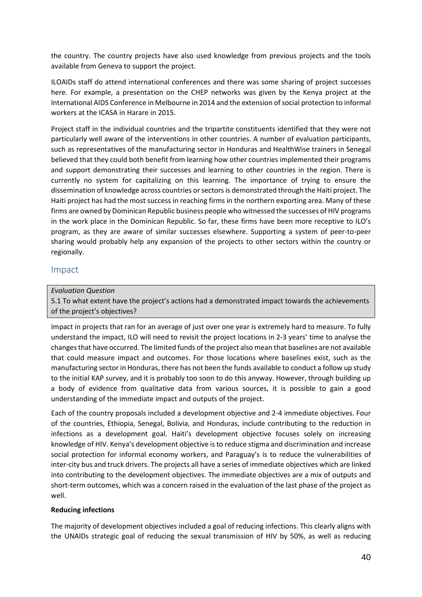the country. The country projects have also used knowledge from previous projects and the tools available from Geneva to support the project.

ILOAIDs staff do attend international conferences and there was some sharing of project successes here. For example, a presentation on the CHEP networks was given by the Kenya project at the International AIDS Conference in Melbourne in 2014 and the extension of social protection to informal workers at the ICASA in Harare in 2015.

Project staff in the individual countries and the tripartite constituents identified that they were not particularly well aware of the interventions in other countries. A number of evaluation participants, such as representatives of the manufacturing sector in Honduras and HealthWise trainers in Senegal believed that they could both benefit from learning how other countries implemented their programs and support demonstrating their successes and learning to other countries in the region. There is currently no system for capitalizing on this learning. The importance of trying to ensure the dissemination of knowledge across countries or sectors is demonstrated through the Haiti project. The Haiti project has had the most success in reaching firms in the northern exporting area. Many of these firms are owned by Dominican Republic business people who witnessed the successes of HIV programs in the work place in the Dominican Republic. So far, these firms have been more receptive to ILO's program, as they are aware of similar successes elsewhere. Supporting a system of peer-to-peer sharing would probably help any expansion of the projects to other sectors within the country or regionally.

# Impact

# *Evaluation Question*

5.1 To what extent have the project's actions had a demonstrated impact towards the achievements of the project's objectives?

Impact in projects that ran for an average of just over one year is extremely hard to measure. To fully understand the impact, ILO will need to revisit the project locations in 2-3 years' time to analyse the changes that have occurred. The limited funds of the project also mean that baselines are not available that could measure impact and outcomes. For those locations where baselines exist, such as the manufacturing sector in Honduras, there has not been the funds available to conduct a follow up study to the initial KAP survey, and it is probably too soon to do this anyway. However, through building up a body of evidence from qualitative data from various sources, it is possible to gain a good understanding of the immediate impact and outputs of the project.

Each of the country proposals included a development objective and 2-4 immediate objectives. Four of the countries, Ethiopia, Senegal, Bolivia, and Honduras, include contributing to the reduction in infections as a development goal. Haiti's development objective focuses solely on increasing knowledge of HIV. Kenya's development objective is to reduce stigma and discrimination and increase social protection for informal economy workers, and Paraguay's is to reduce the vulnerabilities of inter-city bus and truck drivers. The projects all have a series of immediate objectives which are linked into contributing to the development objectives. The immediate objectives are a mix of outputs and short-term outcomes, which was a concern raised in the evaluation of the last phase of the project as well.

### **Reducing infections**

The majority of development objectives included a goal of reducing infections. This clearly aligns with the UNAIDs strategic goal of reducing the sexual transmission of HIV by 50%, as well as reducing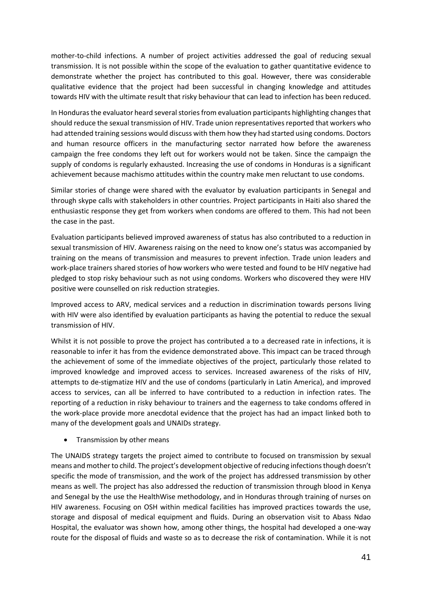mother-to-child infections. A number of project activities addressed the goal of reducing sexual transmission. It is not possible within the scope of the evaluation to gather quantitative evidence to demonstrate whether the project has contributed to this goal. However, there was considerable qualitative evidence that the project had been successful in changing knowledge and attitudes towards HIV with the ultimate result that risky behaviour that can lead to infection has been reduced.

In Honduras the evaluator heard several stories from evaluation participants highlighting changes that should reduce the sexual transmission of HIV. Trade union representatives reported that workers who had attended training sessions would discuss with them how they had started using condoms. Doctors and human resource officers in the manufacturing sector narrated how before the awareness campaign the free condoms they left out for workers would not be taken. Since the campaign the supply of condoms is regularly exhausted. Increasing the use of condoms in Honduras is a significant achievement because machismo attitudes within the country make men reluctant to use condoms.

Similar stories of change were shared with the evaluator by evaluation participants in Senegal and through skype calls with stakeholders in other countries. Project participants in Haiti also shared the enthusiastic response they get from workers when condoms are offered to them. This had not been the case in the past.

Evaluation participants believed improved awareness of status has also contributed to a reduction in sexual transmission of HIV. Awareness raising on the need to know one's status was accompanied by training on the means of transmission and measures to prevent infection. Trade union leaders and work-place trainers shared stories of how workers who were tested and found to be HIV negative had pledged to stop risky behaviour such as not using condoms. Workers who discovered they were HIV positive were counselled on risk reduction strategies.

Improved access to ARV, medical services and a reduction in discrimination towards persons living with HIV were also identified by evaluation participants as having the potential to reduce the sexual transmission of HIV.

Whilst it is not possible to prove the project has contributed a to a decreased rate in infections, it is reasonable to infer it has from the evidence demonstrated above. This impact can be traced through the achievement of some of the immediate objectives of the project, particularly those related to improved knowledge and improved access to services. Increased awareness of the risks of HIV, attempts to de-stigmatize HIV and the use of condoms (particularly in Latin America), and improved access to services, can all be inferred to have contributed to a reduction in infection rates. The reporting of a reduction in risky behaviour to trainers and the eagerness to take condoms offered in the work-place provide more anecdotal evidence that the project has had an impact linked both to many of the development goals and UNAIDs strategy.

• Transmission by other means

The UNAIDS strategy targets the project aimed to contribute to focused on transmission by sexual means and mother to child. The project's development objective of reducing infections though doesn't specific the mode of transmission, and the work of the project has addressed transmission by other means as well. The project has also addressed the reduction of transmission through blood in Kenya and Senegal by the use the HealthWise methodology, and in Honduras through training of nurses on HIV awareness. Focusing on OSH within medical facilities has improved practices towards the use, storage and disposal of medical equipment and fluids. During an observation visit to Abass Ndao Hospital, the evaluator was shown how, among other things, the hospital had developed a one-way route for the disposal of fluids and waste so as to decrease the risk of contamination. While it is not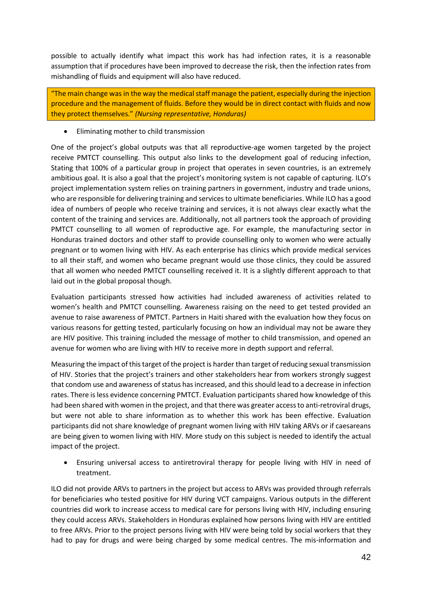possible to actually identify what impact this work has had infection rates, it is a reasonable assumption that if procedures have been improved to decrease the risk, then the infection rates from mishandling of fluids and equipment will also have reduced.

"The main change was in the way the medical staff manage the patient, especially during the injection procedure and the management of fluids. Before they would be in direct contact with fluids and now they protect themselves." *(Nursing representative, Honduras)*

• Eliminating mother to child transmission

One of the project's global outputs was that all reproductive-age women targeted by the project receive PMTCT counselling. This output also links to the development goal of reducing infection, Stating that 100% of a particular group in project that operates in seven countries, is an extremely ambitious goal. It is also a goal that the project's monitoring system is not capable of capturing. ILO's project implementation system relies on training partners in government, industry and trade unions, who are responsible for delivering training and services to ultimate beneficiaries. While ILO has a good idea of numbers of people who receive training and services, it is not always clear exactly what the content of the training and services are. Additionally, not all partners took the approach of providing PMTCT counselling to all women of reproductive age. For example, the manufacturing sector in Honduras trained doctors and other staff to provide counselling only to women who were actually pregnant or to women living with HIV. As each enterprise has clinics which provide medical services to all their staff, and women who became pregnant would use those clinics, they could be assured that all women who needed PMTCT counselling received it. It is a slightly different approach to that laid out in the global proposal though.

Evaluation participants stressed how activities had included awareness of activities related to women's health and PMTCT counselling. Awareness raising on the need to get tested provided an avenue to raise awareness of PMTCT. Partners in Haiti shared with the evaluation how they focus on various reasons for getting tested, particularly focusing on how an individual may not be aware they are HIV positive. This training included the message of mother to child transmission, and opened an avenue for women who are living with HIV to receive more in depth support and referral.

Measuring the impact of this target of the project is harder than target of reducing sexual transmission of HIV. Stories that the project's trainers and other stakeholders hear from workers strongly suggest that condom use and awareness of status has increased, and this should lead to a decrease in infection rates. There is less evidence concerning PMTCT. Evaluation participants shared how knowledge of this had been shared with women in the project, and that there was greater access to anti-retroviral drugs, but were not able to share information as to whether this work has been effective. Evaluation participants did not share knowledge of pregnant women living with HIV taking ARVs or if caesareans are being given to women living with HIV. More study on this subject is needed to identify the actual impact of the project.

• Ensuring universal access to antiretroviral therapy for people living with HIV in need of treatment.

ILO did not provide ARVs to partners in the project but access to ARVs was provided through referrals for beneficiaries who tested positive for HIV during VCT campaigns. Various outputs in the different countries did work to increase access to medical care for persons living with HIV, including ensuring they could access ARVs. Stakeholders in Honduras explained how persons living with HIV are entitled to free ARVs. Prior to the project persons living with HIV were being told by social workers that they had to pay for drugs and were being charged by some medical centres. The mis-information and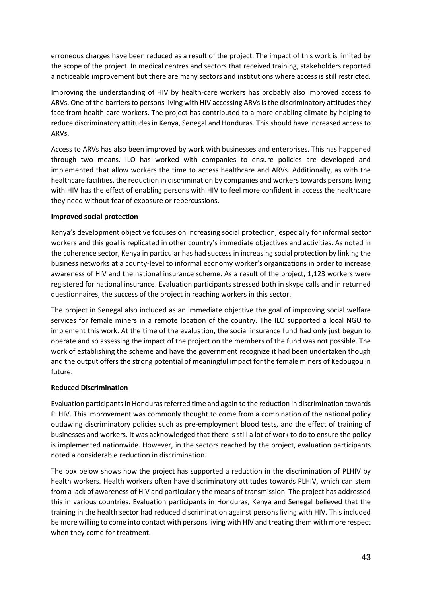erroneous charges have been reduced as a result of the project. The impact of this work is limited by the scope of the project. In medical centres and sectors that received training, stakeholders reported a noticeable improvement but there are many sectors and institutions where access is still restricted.

Improving the understanding of HIV by health-care workers has probably also improved access to ARVs. One of the barriers to persons living with HIV accessing ARVs is the discriminatory attitudes they face from health-care workers. The project has contributed to a more enabling climate by helping to reduce discriminatory attitudes in Kenya, Senegal and Honduras. This should have increased access to ARVs.

Access to ARVs has also been improved by work with businesses and enterprises. This has happened through two means. ILO has worked with companies to ensure policies are developed and implemented that allow workers the time to access healthcare and ARVs. Additionally, as with the healthcare facilities, the reduction in discrimination by companies and workers towards persons living with HIV has the effect of enabling persons with HIV to feel more confident in access the healthcare they need without fear of exposure or repercussions.

# **Improved social protection**

Kenya's development objective focuses on increasing social protection, especially for informal sector workers and this goal is replicated in other country's immediate objectives and activities. As noted in the coherence sector, Kenya in particular has had success in increasing social protection by linking the business networks at a county-level to informal economy worker's organizations in order to increase awareness of HIV and the national insurance scheme. As a result of the project, 1,123 workers were registered for national insurance. Evaluation participants stressed both in skype calls and in returned questionnaires, the success of the project in reaching workers in this sector.

The project in Senegal also included as an immediate objective the goal of improving social welfare services for female miners in a remote location of the country. The ILO supported a local NGO to implement this work. At the time of the evaluation, the social insurance fund had only just begun to operate and so assessing the impact of the project on the members of the fund was not possible. The work of establishing the scheme and have the government recognize it had been undertaken though and the output offers the strong potential of meaningful impact for the female miners of Kedougou in future.

# **Reduced Discrimination**

Evaluation participants in Honduras referred time and again to the reduction in discrimination towards PLHIV. This improvement was commonly thought to come from a combination of the national policy outlawing discriminatory policies such as pre-employment blood tests, and the effect of training of businesses and workers. It was acknowledged that there is still a lot of work to do to ensure the policy is implemented nationwide. However, in the sectors reached by the project, evaluation participants noted a considerable reduction in discrimination.

The box below shows how the project has supported a reduction in the discrimination of PLHIV by health workers. Health workers often have discriminatory attitudes towards PLHIV, which can stem from a lack of awareness of HIV and particularly the means of transmission. The project has addressed this in various countries. Evaluation participants in Honduras, Kenya and Senegal believed that the training in the health sector had reduced discrimination against persons living with HIV. This included be more willing to come into contact with persons living with HIV and treating them with more respect when they come for treatment.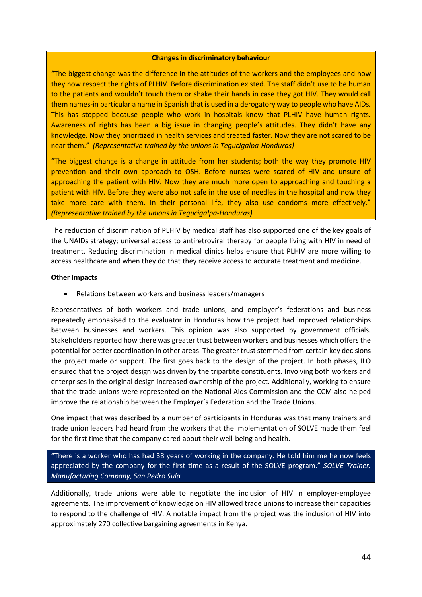### **Changes in discriminatory behaviour**

"The biggest change was the difference in the attitudes of the workers and the employees and how they now respect the rights of PLHIV. Before discrimination existed. The staff didn't use to be human to the patients and wouldn't touch them or shake their hands in case they got HIV. They would call them names-in particular a name in Spanish that is used in a derogatory way to people who have AIDs. This has stopped because people who work in hospitals know that PLHIV have human rights. Awareness of rights has been a big issue in changing people's attitudes. They didn't have any knowledge. Now they prioritized in health services and treated faster. Now they are not scared to be near them." *(Representative trained by the unions in Tegucigalpa-Honduras)*

"The biggest change is a change in attitude from her students; both the way they promote HIV prevention and their own approach to OSH. Before nurses were scared of HIV and unsure of approaching the patient with HIV. Now they are much more open to approaching and touching a patient with HIV. Before they were also not safe in the use of needles in the hospital and now they take more care with them. In their personal life, they also use condoms more effectively." *(Representative trained by the unions in Tegucigalpa-Honduras)*

The reduction of discrimination of PLHIV by medical staff has also supported one of the key goals of the UNAIDs strategy; universal access to antiretroviral therapy for people living with HIV in need of treatment. Reducing discrimination in medical clinics helps ensure that PLHIV are more willing to access healthcare and when they do that they receive access to accurate treatment and medicine.

### **Other Impacts**

• Relations between workers and business leaders/managers

Representatives of both workers and trade unions, and employer's federations and business repeatedly emphasised to the evaluator in Honduras how the project had improved relationships between businesses and workers. This opinion was also supported by government officials. Stakeholders reported how there was greater trust between workers and businesses which offers the potential for better coordination in other areas. The greater trust stemmed from certain key decisions the project made or support. The first goes back to the design of the project. In both phases, ILO ensured that the project design was driven by the tripartite constituents. Involving both workers and enterprises in the original design increased ownership of the project. Additionally, working to ensure that the trade unions were represented on the National Aids Commission and the CCM also helped improve the relationship between the Employer's Federation and the Trade Unions.

One impact that was described by a number of participants in Honduras was that many trainers and trade union leaders had heard from the workers that the implementation of SOLVE made them feel for the first time that the company cared about their well-being and health.

"There is a worker who has had 38 years of working in the company. He told him me he now feels appreciated by the company for the first time as a result of the SOLVE program." *SOLVE Trainer, Manufacturing Company, San Pedro Sula*

Additionally, trade unions were able to negotiate the inclusion of HIV in employer-employee agreements. The improvement of knowledge on HIV allowed trade unions to increase their capacities to respond to the challenge of HIV. A notable impact from the project was the inclusion of HIV into approximately 270 collective bargaining agreements in Kenya.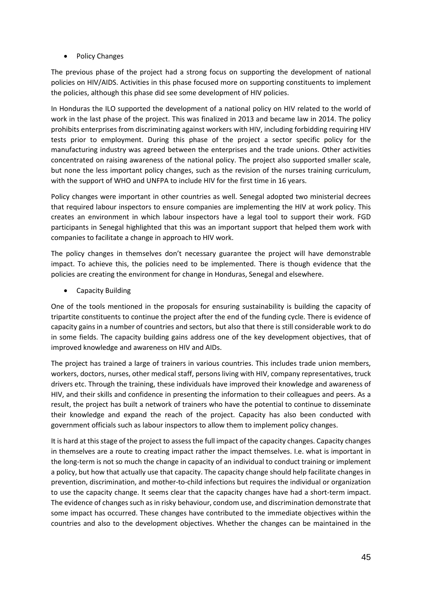• Policy Changes

The previous phase of the project had a strong focus on supporting the development of national policies on HIV/AIDS. Activities in this phase focused more on supporting constituents to implement the policies, although this phase did see some development of HIV policies.

In Honduras the ILO supported the development of a national policy on HIV related to the world of work in the last phase of the project. This was finalized in 2013 and became law in 2014. The policy prohibits enterprises from discriminating against workers with HIV, including forbidding requiring HIV tests prior to employment. During this phase of the project a sector specific policy for the manufacturing industry was agreed between the enterprises and the trade unions. Other activities concentrated on raising awareness of the national policy. The project also supported smaller scale, but none the less important policy changes, such as the revision of the nurses training curriculum, with the support of WHO and UNFPA to include HIV for the first time in 16 years.

Policy changes were important in other countries as well. Senegal adopted two ministerial decrees that required labour inspectors to ensure companies are implementing the HIV at work policy. This creates an environment in which labour inspectors have a legal tool to support their work. FGD participants in Senegal highlighted that this was an important support that helped them work with companies to facilitate a change in approach to HIV work.

The policy changes in themselves don't necessary guarantee the project will have demonstrable impact. To achieve this, the policies need to be implemented. There is though evidence that the policies are creating the environment for change in Honduras, Senegal and elsewhere.

• Capacity Building

One of the tools mentioned in the proposals for ensuring sustainability is building the capacity of tripartite constituents to continue the project after the end of the funding cycle. There is evidence of capacity gains in a number of countries and sectors, but also that there is still considerable work to do in some fields. The capacity building gains address one of the key development objectives, that of improved knowledge and awareness on HIV and AIDs.

The project has trained a large of trainers in various countries. This includes trade union members, workers, doctors, nurses, other medical staff, persons living with HIV, company representatives, truck drivers etc. Through the training, these individuals have improved their knowledge and awareness of HIV, and their skills and confidence in presenting the information to their colleagues and peers. As a result, the project has built a network of trainers who have the potential to continue to disseminate their knowledge and expand the reach of the project. Capacity has also been conducted with government officials such as labour inspectors to allow them to implement policy changes.

It is hard at this stage of the project to assess the full impact of the capacity changes. Capacity changes in themselves are a route to creating impact rather the impact themselves. I.e. what is important in the long-term is not so much the change in capacity of an individual to conduct training or implement a policy, but how that actually use that capacity. The capacity change should help facilitate changes in prevention, discrimination, and mother-to-child infections but requires the individual or organization to use the capacity change. It seems clear that the capacity changes have had a short-term impact. The evidence of changes such as in risky behaviour, condom use, and discrimination demonstrate that some impact has occurred. These changes have contributed to the immediate objectives within the countries and also to the development objectives. Whether the changes can be maintained in the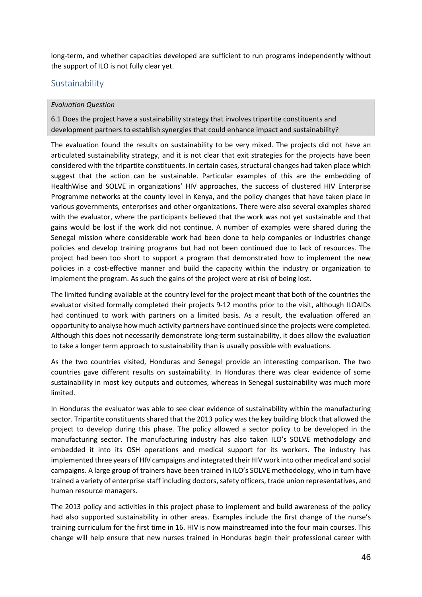long-term, and whether capacities developed are sufficient to run programs independently without the support of ILO is not fully clear yet.

# Sustainability

### *Evaluation Question*

6.1 Does the project have a sustainability strategy that involves tripartite constituents and development partners to establish synergies that could enhance impact and sustainability?

The evaluation found the results on sustainability to be very mixed. The projects did not have an articulated sustainability strategy, and it is not clear that exit strategies for the projects have been considered with the tripartite constituents. In certain cases, structural changes had taken place which suggest that the action can be sustainable. Particular examples of this are the embedding of HealthWise and SOLVE in organizations' HIV approaches, the success of clustered HIV Enterprise Programme networks at the county level in Kenya, and the policy changes that have taken place in various governments, enterprises and other organizations. There were also several examples shared with the evaluator, where the participants believed that the work was not yet sustainable and that gains would be lost if the work did not continue. A number of examples were shared during the Senegal mission where considerable work had been done to help companies or industries change policies and develop training programs but had not been continued due to lack of resources. The project had been too short to support a program that demonstrated how to implement the new policies in a cost-effective manner and build the capacity within the industry or organization to implement the program. As such the gains of the project were at risk of being lost.

The limited funding available at the country level for the project meant that both of the countries the evaluator visited formally completed their projects 9-12 months prior to the visit, although ILOAIDs had continued to work with partners on a limited basis. As a result, the evaluation offered an opportunity to analyse how much activity partners have continued since the projects were completed. Although this does not necessarily demonstrate long-term sustainability, it does allow the evaluation to take a longer term approach to sustainability than is usually possible with evaluations.

As the two countries visited, Honduras and Senegal provide an interesting comparison. The two countries gave different results on sustainability. In Honduras there was clear evidence of some sustainability in most key outputs and outcomes, whereas in Senegal sustainability was much more limited.

In Honduras the evaluator was able to see clear evidence of sustainability within the manufacturing sector. Tripartite constituents shared that the 2013 policy was the key building block that allowed the project to develop during this phase. The policy allowed a sector policy to be developed in the manufacturing sector. The manufacturing industry has also taken ILO's SOLVE methodology and embedded it into its OSH operations and medical support for its workers. The industry has implemented three years of HIV campaigns and integrated their HIV work into other medical and social campaigns. A large group of trainers have been trained in ILO's SOLVE methodology, who in turn have trained a variety of enterprise staff including doctors, safety officers, trade union representatives, and human resource managers.

The 2013 policy and activities in this project phase to implement and build awareness of the policy had also supported sustainability in other areas. Examples include the first change of the nurse's training curriculum for the first time in 16. HIV is now mainstreamed into the four main courses. This change will help ensure that new nurses trained in Honduras begin their professional career with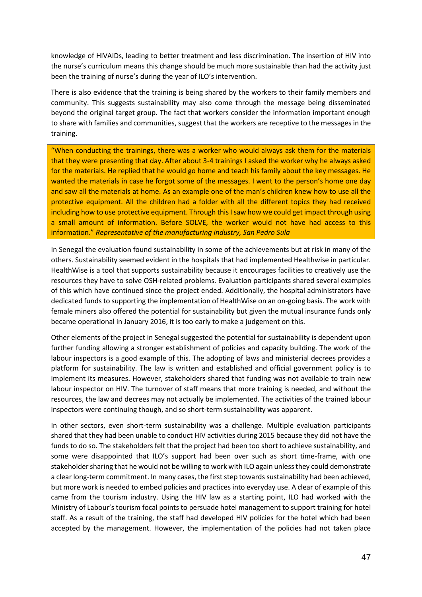knowledge of HIVAIDs, leading to better treatment and less discrimination. The insertion of HIV into the nurse's curriculum means this change should be much more sustainable than had the activity just been the training of nurse's during the year of ILO's intervention.

There is also evidence that the training is being shared by the workers to their family members and community. This suggests sustainability may also come through the message being disseminated beyond the original target group. The fact that workers consider the information important enough to share with families and communities, suggest that the workers are receptive to the messages in the training.

"When conducting the trainings, there was a worker who would always ask them for the materials that they were presenting that day. After about 3-4 trainings I asked the worker why he always asked for the materials. He replied that he would go home and teach his family about the key messages. He wanted the materials in case he forgot some of the messages. I went to the person's home one day and saw all the materials at home. As an example one of the man's children knew how to use all the protective equipment. All the children had a folder with all the different topics they had received including how to use protective equipment. Through this I saw how we could get impact through using a small amount of information. Before SOLVE, the worker would not have had access to this information." *Representative of the manufacturing industry, San Pedro Sula*

In Senegal the evaluation found sustainability in some of the achievements but at risk in many of the others. Sustainability seemed evident in the hospitals that had implemented Healthwise in particular. HealthWise is a tool that supports sustainability because it encourages facilities to creatively use the resources they have to solve OSH-related problems. Evaluation participants shared several examples of this which have continued since the project ended. Additionally, the hospital administrators have dedicated funds to supporting the implementation of HealthWise on an on-going basis. The work with female miners also offered the potential for sustainability but given the mutual insurance funds only became operational in January 2016, it is too early to make a judgement on this.

Other elements of the project in Senegal suggested the potential for sustainability is dependent upon further funding allowing a stronger establishment of policies and capacity building. The work of the labour inspectors is a good example of this. The adopting of laws and ministerial decrees provides a platform for sustainability. The law is written and established and official government policy is to implement its measures. However, stakeholders shared that funding was not available to train new labour inspector on HIV. The turnover of staff means that more training is needed, and without the resources, the law and decrees may not actually be implemented. The activities of the trained labour inspectors were continuing though, and so short-term sustainability was apparent.

In other sectors, even short-term sustainability was a challenge. Multiple evaluation participants shared that they had been unable to conduct HIV activities during 2015 because they did not have the funds to do so. The stakeholders felt that the project had been too short to achieve sustainability, and some were disappointed that ILO's support had been over such as short time-frame, with one stakeholder sharing that he would not be willing to work with ILO again unless they could demonstrate a clear long-term commitment. In many cases, the first step towards sustainability had been achieved, but more work is needed to embed policies and practices into everyday use. A clear of example of this came from the tourism industry. Using the HIV law as a starting point, ILO had worked with the Ministry of Labour's tourism focal points to persuade hotel management to support training for hotel staff. As a result of the training, the staff had developed HIV policies for the hotel which had been accepted by the management. However, the implementation of the policies had not taken place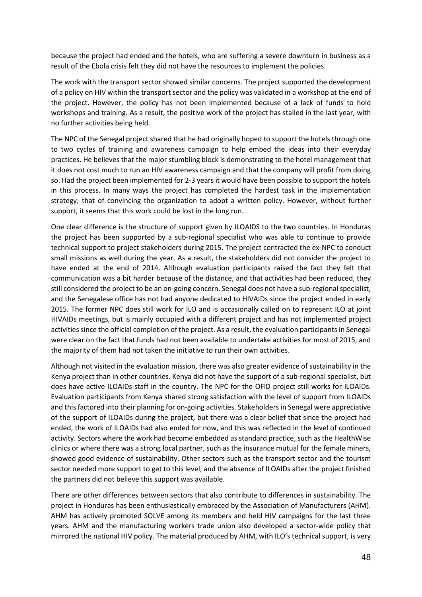because the project had ended and the hotels, who are suffering a severe downturn in business as a result of the Ebola crisis felt they did not have the resources to implement the policies.

The work with the transport sector showed similar concerns. The project supported the development of a policy on HIV within the transport sector and the policy was validated in a workshop at the end of the project. However, the policy has not been implemented because of a lack of funds to hold workshops and training. As a result, the positive work of the project has stalled in the last year, with no further activities being held.

The NPC of the Senegal project shared that he had originally hoped to support the hotels through one to two cycles of training and awareness campaign to help embed the ideas into their everyday practices. He believes that the major stumbling block is demonstrating to the hotel management that it does not cost much to run an HIV awareness campaign and that the company will profit from doing so. Had the project been implemented for 2-3 years it would have been possible to support the hotels in this process. In many ways the project has completed the hardest task in the implementation strategy; that of convincing the organization to adopt a written policy. However, without further support, it seems that this work could be lost in the long run.

One clear difference is the structure of support given by ILOAIDS to the two countries. In Honduras the project has been supported by a sub-regional specialist who was able to continue to provide technical support to project stakeholders during 2015. The project contracted the ex-NPC to conduct small missions as well during the year. As a result, the stakeholders did not consider the project to have ended at the end of 2014. Although evaluation participants raised the fact they felt that communication was a bit harder because of the distance, and that activities had been reduced, they still considered the project to be an on-going concern. Senegal does not have a sub-regional specialist, and the Senegalese office has not had anyone dedicated to HIVAIDs since the project ended in early 2015. The former NPC does still work for ILO and is occasionally called on to represent ILO at joint HIVAIDs meetings, but is mainly occupied with a different project and has not implemented project activities since the official completion of the project. As a result, the evaluation participants in Senegal were clear on the fact that funds had not been available to undertake activities for most of 2015, and the majority of them had not taken the initiative to run their own activities.

Although not visited in the evaluation mission, there was also greater evidence of sustainability in the Kenya project than in other countries. Kenya did not have the support of a sub-regional specialist, but does have active ILOAIDs staff in the country. The NPC for the OFID project still works for ILOAIDs. Evaluation participants from Kenya shared strong satisfaction with the level of support from ILOAIDs and this factored into their planning for on-going activities. Stakeholders in Senegal were appreciative of the support of ILOAIDs during the project, but there was a clear belief that since the project had ended, the work of ILOAIDs had also ended for now, and this was reflected in the level of continued activity. Sectors where the work had become embedded as standard practice, such as the HealthWise clinics or where there was a strong local partner, such as the insurance mutual for the female miners, showed good evidence of sustainability. Other sectors such as the transport sector and the tourism sector needed more support to get to this level, and the absence of ILOAIDs after the project finished the partners did not believe this support was available.

There are other differences between sectors that also contribute to differences in sustainability. The project in Honduras has been enthusiastically embraced by the Association of Manufacturers (AHM). AHM has actively promoted SOLVE among its members and held HIV campaigns for the last three years. AHM and the manufacturing workers trade union also developed a sector-wide policy that mirrored the national HIV policy. The material produced by AHM, with ILO's technical support, is very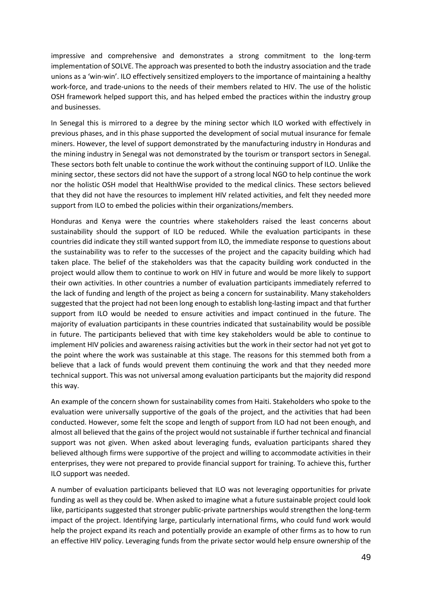impressive and comprehensive and demonstrates a strong commitment to the long-term implementation of SOLVE. The approach was presented to both the industry association and the trade unions as a 'win-win'. ILO effectively sensitized employers to the importance of maintaining a healthy work-force, and trade-unions to the needs of their members related to HIV. The use of the holistic OSH framework helped support this, and has helped embed the practices within the industry group and businesses.

In Senegal this is mirrored to a degree by the mining sector which ILO worked with effectively in previous phases, and in this phase supported the development of social mutual insurance for female miners. However, the level of support demonstrated by the manufacturing industry in Honduras and the mining industry in Senegal was not demonstrated by the tourism or transport sectors in Senegal. These sectors both felt unable to continue the work without the continuing support of ILO. Unlike the mining sector, these sectors did not have the support of a strong local NGO to help continue the work nor the holistic OSH model that HealthWise provided to the medical clinics. These sectors believed that they did not have the resources to implement HIV related activities, and felt they needed more support from ILO to embed the policies within their organizations/members.

Honduras and Kenya were the countries where stakeholders raised the least concerns about sustainability should the support of ILO be reduced. While the evaluation participants in these countries did indicate they still wanted support from ILO, the immediate response to questions about the sustainability was to refer to the successes of the project and the capacity building which had taken place. The belief of the stakeholders was that the capacity building work conducted in the project would allow them to continue to work on HIV in future and would be more likely to support their own activities. In other countries a number of evaluation participants immediately referred to the lack of funding and length of the project as being a concern for sustainability. Many stakeholders suggested that the project had not been long enough to establish long-lasting impact and that further support from ILO would be needed to ensure activities and impact continued in the future. The majority of evaluation participants in these countries indicated that sustainability would be possible in future. The participants believed that with time key stakeholders would be able to continue to implement HIV policies and awareness raising activities but the work in their sector had not yet got to the point where the work was sustainable at this stage. The reasons for this stemmed both from a believe that a lack of funds would prevent them continuing the work and that they needed more technical support. This was not universal among evaluation participants but the majority did respond this way.

An example of the concern shown for sustainability comes from Haiti. Stakeholders who spoke to the evaluation were universally supportive of the goals of the project, and the activities that had been conducted. However, some felt the scope and length of support from ILO had not been enough, and almost all believed that the gains of the project would not sustainable if further technical and financial support was not given. When asked about leveraging funds, evaluation participants shared they believed although firms were supportive of the project and willing to accommodate activities in their enterprises, they were not prepared to provide financial support for training. To achieve this, further ILO support was needed.

A number of evaluation participants believed that ILO was not leveraging opportunities for private funding as well as they could be. When asked to imagine what a future sustainable project could look like, participants suggested that stronger public-private partnerships would strengthen the long-term impact of the project. Identifying large, particularly international firms, who could fund work would help the project expand its reach and potentially provide an example of other firms as to how to run an effective HIV policy. Leveraging funds from the private sector would help ensure ownership of the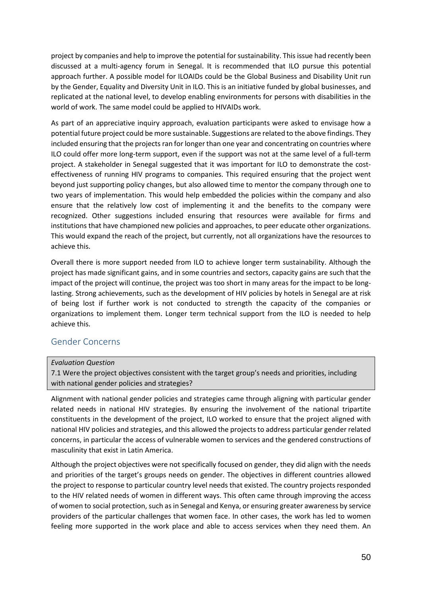project by companies and help to improve the potential for sustainability. This issue had recently been discussed at a multi-agency forum in Senegal. It is recommended that ILO pursue this potential approach further. A possible model for ILOAIDs could be the Global Business and Disability Unit run by the Gender, Equality and Diversity Unit in ILO. This is an initiative funded by global businesses, and replicated at the national level, to develop enabling environments for persons with disabilities in the world of work. The same model could be applied to HIVAIDs work.

As part of an appreciative inquiry approach, evaluation participants were asked to envisage how a potential future project could be more sustainable. Suggestions are related to the above findings. They included ensuring that the projects ran for longer than one year and concentrating on countries where ILO could offer more long-term support, even if the support was not at the same level of a full-term project. A stakeholder in Senegal suggested that it was important for ILO to demonstrate the costeffectiveness of running HIV programs to companies. This required ensuring that the project went beyond just supporting policy changes, but also allowed time to mentor the company through one to two years of implementation. This would help embedded the policies within the company and also ensure that the relatively low cost of implementing it and the benefits to the company were recognized. Other suggestions included ensuring that resources were available for firms and institutions that have championed new policies and approaches, to peer educate other organizations. This would expand the reach of the project, but currently, not all organizations have the resources to achieve this.

Overall there is more support needed from ILO to achieve longer term sustainability. Although the project has made significant gains, and in some countries and sectors, capacity gains are such that the impact of the project will continue, the project was too short in many areas for the impact to be longlasting. Strong achievements, such as the development of HIV policies by hotels in Senegal are at risk of being lost if further work is not conducted to strength the capacity of the companies or organizations to implement them. Longer term technical support from the ILO is needed to help achieve this.

# Gender Concerns

# *Evaluation Question*

7.1 Were the project objectives consistent with the target group's needs and priorities, including with national gender policies and strategies?

Alignment with national gender policies and strategies came through aligning with particular gender related needs in national HIV strategies. By ensuring the involvement of the national tripartite constituents in the development of the project, ILO worked to ensure that the project aligned with national HIV policies and strategies, and this allowed the projects to address particular gender related concerns, in particular the access of vulnerable women to services and the gendered constructions of masculinity that exist in Latin America.

Although the project objectives were not specifically focused on gender, they did align with the needs and priorities of the target's groups needs on gender. The objectives in different countries allowed the project to response to particular country level needs that existed. The country projects responded to the HIV related needs of women in different ways. This often came through improving the access of women to social protection, such as in Senegal and Kenya, or ensuring greater awareness by service providers of the particular challenges that women face. In other cases, the work has led to women feeling more supported in the work place and able to access services when they need them. An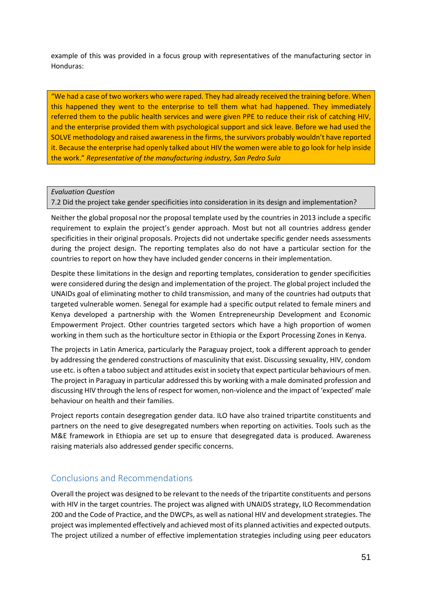example of this was provided in a focus group with representatives of the manufacturing sector in Honduras:

"We had a case of two workers who were raped. They had already received the training before. When this happened they went to the enterprise to tell them what had happened. They immediately referred them to the public health services and were given PPE to reduce their risk of catching HIV, and the enterprise provided them with psychological support and sick leave. Before we had used the SOLVE methodology and raised awareness in the firms, the survivors probably wouldn't have reported it. Because the enterprise had openly talked about HIV the women were able to go look for help inside the work." *Representative of the manufacturing industry, San Pedro Sula*

*Evaluation Question*

7.2 Did the project take gender specificities into consideration in its design and implementation?

Neither the global proposal nor the proposal template used by the countries in 2013 include a specific requirement to explain the project's gender approach. Most but not all countries address gender specificities in their original proposals. Projects did not undertake specific gender needs assessments during the project design. The reporting templates also do not have a particular section for the countries to report on how they have included gender concerns in their implementation.

Despite these limitations in the design and reporting templates, consideration to gender specificities were considered during the design and implementation of the project. The global project included the UNAIDs goal of eliminating mother to child transmission, and many of the countries had outputs that targeted vulnerable women. Senegal for example had a specific output related to female miners and Kenya developed a partnership with the Women Entrepreneurship Development and Economic Empowerment Project. Other countries targeted sectors which have a high proportion of women working in them such as the horticulture sector in Ethiopia or the Export Processing Zones in Kenya.

The projects in Latin America, particularly the Paraguay project, took a different approach to gender by addressing the gendered constructions of masculinity that exist. Discussing sexuality, HIV, condom use etc. is often a taboo subject and attitudes exist in society that expect particular behaviours of men. The project in Paraguay in particular addressed this by working with a male dominated profession and discussing HIV through the lens of respect for women, non-violence and the impact of 'expected' male behaviour on health and their families.

Project reports contain desegregation gender data. ILO have also trained tripartite constituents and partners on the need to give desegregated numbers when reporting on activities. Tools such as the M&E framework in Ethiopia are set up to ensure that desegregated data is produced. Awareness raising materials also addressed gender specific concerns.

# Conclusions and Recommendations

Overall the project was designed to be relevant to the needs of the tripartite constituents and persons with HIV in the target countries. The project was aligned with UNAIDS strategy, ILO Recommendation 200 and the Code of Practice, and the DWCPs, as well as national HIV and development strategies. The project was implemented effectively and achieved most of its planned activities and expected outputs. The project utilized a number of effective implementation strategies including using peer educators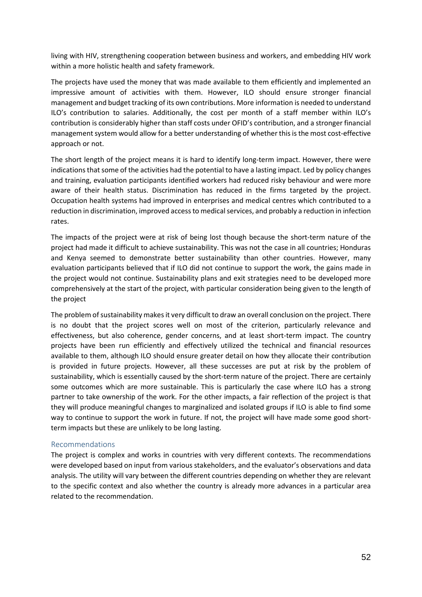living with HIV, strengthening cooperation between business and workers, and embedding HIV work within a more holistic health and safety framework.

The projects have used the money that was made available to them efficiently and implemented an impressive amount of activities with them. However, ILO should ensure stronger financial management and budget tracking of its own contributions. More information is needed to understand ILO's contribution to salaries. Additionally, the cost per month of a staff member within ILO's contribution is considerably higher than staff costs under OFID's contribution, and a stronger financial management system would allow for a better understanding of whether this is the most cost-effective approach or not.

The short length of the project means it is hard to identify long-term impact. However, there were indications that some of the activities had the potential to have a lasting impact. Led by policy changes and training, evaluation participants identified workers had reduced risky behaviour and were more aware of their health status. Discrimination has reduced in the firms targeted by the project. Occupation health systems had improved in enterprises and medical centres which contributed to a reduction in discrimination, improved access to medical services, and probably a reduction in infection rates.

The impacts of the project were at risk of being lost though because the short-term nature of the project had made it difficult to achieve sustainability. This was not the case in all countries; Honduras and Kenya seemed to demonstrate better sustainability than other countries. However, many evaluation participants believed that if ILO did not continue to support the work, the gains made in the project would not continue. Sustainability plans and exit strategies need to be developed more comprehensively at the start of the project, with particular consideration being given to the length of the project

The problem of sustainability makes it very difficult to draw an overall conclusion on the project. There is no doubt that the project scores well on most of the criterion, particularly relevance and effectiveness, but also coherence, gender concerns, and at least short-term impact. The country projects have been run efficiently and effectively utilized the technical and financial resources available to them, although ILO should ensure greater detail on how they allocate their contribution is provided in future projects. However, all these successes are put at risk by the problem of sustainability, which is essentially caused by the short-term nature of the project. There are certainly some outcomes which are more sustainable. This is particularly the case where ILO has a strong partner to take ownership of the work. For the other impacts, a fair reflection of the project is that they will produce meaningful changes to marginalized and isolated groups if ILO is able to find some way to continue to support the work in future. If not, the project will have made some good shortterm impacts but these are unlikely to be long lasting.

### Recommendations

The project is complex and works in countries with very different contexts. The recommendations were developed based on input from various stakeholders, and the evaluator's observations and data analysis. The utility will vary between the different countries depending on whether they are relevant to the specific context and also whether the country is already more advances in a particular area related to the recommendation.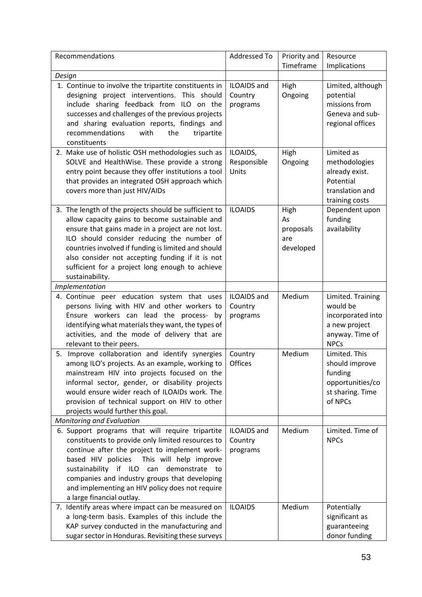| Recommendations                                                                                                                                                                                                                                                                                                                                                                             | Addressed To                              | Priority and<br>Timeframe                   | Resource<br>Implications                                                                              |
|---------------------------------------------------------------------------------------------------------------------------------------------------------------------------------------------------------------------------------------------------------------------------------------------------------------------------------------------------------------------------------------------|-------------------------------------------|---------------------------------------------|-------------------------------------------------------------------------------------------------------|
| Design                                                                                                                                                                                                                                                                                                                                                                                      |                                           |                                             |                                                                                                       |
| 1. Continue to involve the tripartite constituents in<br>designing project interventions. This should<br>include sharing feedback from ILO on the<br>successes and challenges of the previous projects<br>and sharing evaluation reports, findings and<br>with<br>recommendations<br>the<br>tripartite<br>constituents                                                                      | <b>ILOAIDS</b> and<br>Country<br>programs | High<br>Ongoing                             | Limited, although<br>potential<br>missions from<br>Geneva and sub-<br>regional offices                |
| 2. Make use of holistic OSH methodologies such as<br>SOLVE and HealthWise. These provide a strong<br>entry point because they offer institutions a tool<br>that provides an integrated OSH approach which<br>covers more than just HIV/AIDs                                                                                                                                                 | ILOAIDS,<br>Responsible<br>Units          | High<br>Ongoing                             | Limited as<br>methodologies<br>already exist.<br>Potential<br>translation and<br>training costs       |
| 3. The length of the projects should be sufficient to<br>allow capacity gains to become sustainable and<br>ensure that gains made in a project are not lost.<br>ILO should consider reducing the number of<br>countries involved if funding is limited and should<br>also consider not accepting funding if it is not<br>sufficient for a project long enough to achieve<br>sustainability. | <b>ILOAIDS</b>                            | High<br>As<br>proposals<br>are<br>developed | Dependent upon<br>funding<br>availability                                                             |
| <b>Implementation</b>                                                                                                                                                                                                                                                                                                                                                                       |                                           |                                             |                                                                                                       |
| 4. Continue peer education system that uses<br>persons living with HIV and other workers to<br>Ensure workers can lead the process- by<br>identifying what materials they want, the types of<br>activities, and the mode of delivery that are<br>relevant to their peers.                                                                                                                   | <b>ILOAIDS</b> and<br>Country<br>programs | Medium                                      | Limited. Training<br>would be<br>incorporated into<br>a new project<br>anyway. Time of<br><b>NPCs</b> |
| 5. Improve collaboration and identify synergies<br>among ILO's projects. As an example, working to<br>mainstream HIV into projects focused on the<br>informal sector, gender, or disability projects<br>would ensure wider reach of ILOAIDs work. The<br>provision of technical support on HIV to other<br>projects would further this goal.                                                | Country<br><b>Offices</b>                 | Medium                                      | Limited. This<br>should improve<br>funding<br>opportunities/co<br>st sharing. Time<br>of NPCs         |
| Monitoring and Evaluation                                                                                                                                                                                                                                                                                                                                                                   |                                           |                                             |                                                                                                       |
| 6. Support programs that will require tripartite<br>constituents to provide only limited resources to<br>continue after the project to implement work-<br>based HIV policies This will help improve<br>sustainability if ILO can<br>demonstrate to<br>companies and industry groups that developing<br>and implementing an HIV policy does not require<br>a large financial outlay.         | <b>ILOAIDS</b> and<br>Country<br>programs | Medium                                      | Limited. Time of<br><b>NPCs</b>                                                                       |
| 7. Identify areas where impact can be measured on<br>a long-term basis. Examples of this include the<br>KAP survey conducted in the manufacturing and<br>sugar sector in Honduras. Revisiting these surveys                                                                                                                                                                                 | <b>ILOAIDS</b>                            | Medium                                      | Potentially<br>significant as<br>guaranteeing<br>donor funding                                        |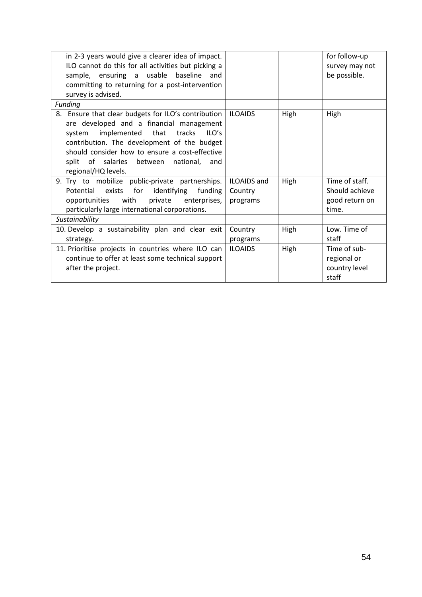| in 2-3 years would give a clearer idea of impact.   |                    |      | for follow-up  |
|-----------------------------------------------------|--------------------|------|----------------|
| ILO cannot do this for all activities but picking a |                    |      | survey may not |
| sample, ensuring a usable baseline and              |                    |      | be possible.   |
| committing to returning for a post-intervention     |                    |      |                |
| survey is advised.                                  |                    |      |                |
| Funding                                             |                    |      |                |
| 8. Ensure that clear budgets for ILO's contribution | <b>ILOAIDS</b>     | High | High           |
| are developed and a financial management            |                    |      |                |
| implemented that tracks<br><b>ILO's</b><br>system   |                    |      |                |
| contribution. The development of the budget         |                    |      |                |
| should consider how to ensure a cost-effective      |                    |      |                |
| split of salaries between national,<br>and          |                    |      |                |
| regional/HQ levels.                                 |                    |      |                |
| 9. Try to mobilize public-private partnerships.     | <b>ILOAIDS</b> and | High | Time of staff. |
| Potential exists for identifying funding            | Country            |      | Should achieve |
| with<br>private enterprises,<br>opportunities       | programs           |      | good return on |
| particularly large international corporations.      |                    |      | time.          |
| Sustainability                                      |                    |      |                |
| 10. Develop a sustainability plan and clear exit    | Country            | High | Low. Time of   |
| strategy.                                           | programs           |      | staff          |
| 11. Prioritise projects in countries where ILO can  | <b>ILOAIDS</b>     | High | Time of sub-   |
| continue to offer at least some technical support   |                    |      | regional or    |
| after the project.                                  |                    |      | country level  |
|                                                     |                    |      | staff          |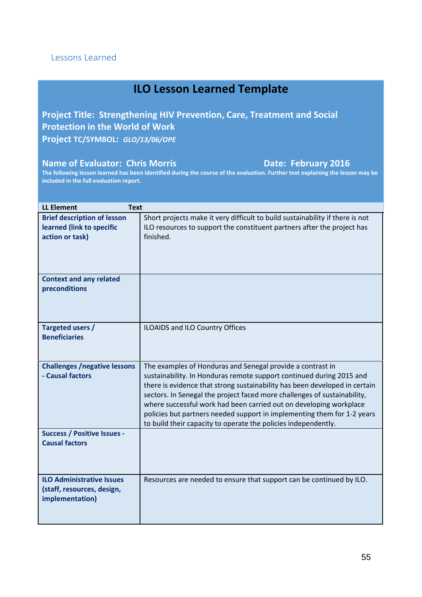**Project Title: Strengthening HIV Prevention, Care, Treatment and Social Protection in the World of Work Project TC/SYMBOL:** *GLO/13/06/OPE*

# **Name of Evaluator: Chris Morris Chris And Access 2016**

| <b>LL Element</b><br><b>Text</b>                                                   |                                                                                                                                                                                                                                                                                                                                                                                                                                                                                                                 |
|------------------------------------------------------------------------------------|-----------------------------------------------------------------------------------------------------------------------------------------------------------------------------------------------------------------------------------------------------------------------------------------------------------------------------------------------------------------------------------------------------------------------------------------------------------------------------------------------------------------|
| <b>Brief description of lesson</b><br>learned (link to specific<br>action or task) | Short projects make it very difficult to build sustainability if there is not<br>ILO resources to support the constituent partners after the project has<br>finished.                                                                                                                                                                                                                                                                                                                                           |
| <b>Context and any related</b><br>preconditions                                    |                                                                                                                                                                                                                                                                                                                                                                                                                                                                                                                 |
| Targeted users /<br><b>Beneficiaries</b>                                           | ILOAIDS and ILO Country Offices                                                                                                                                                                                                                                                                                                                                                                                                                                                                                 |
| <b>Challenges /negative lessons</b><br>- Causal factors                            | The examples of Honduras and Senegal provide a contrast in<br>sustainability. In Honduras remote support continued during 2015 and<br>there is evidence that strong sustainability has been developed in certain<br>sectors. In Senegal the project faced more challenges of sustainability,<br>where successful work had been carried out on developing workplace<br>policies but partners needed support in implementing them for 1-2 years<br>to build their capacity to operate the policies independently. |
| <b>Success / Positive Issues -</b><br><b>Causal factors</b>                        |                                                                                                                                                                                                                                                                                                                                                                                                                                                                                                                 |
| <b>ILO Administrative Issues</b><br>(staff, resources, design,<br>implementation)  | Resources are needed to ensure that support can be continued by ILO.                                                                                                                                                                                                                                                                                                                                                                                                                                            |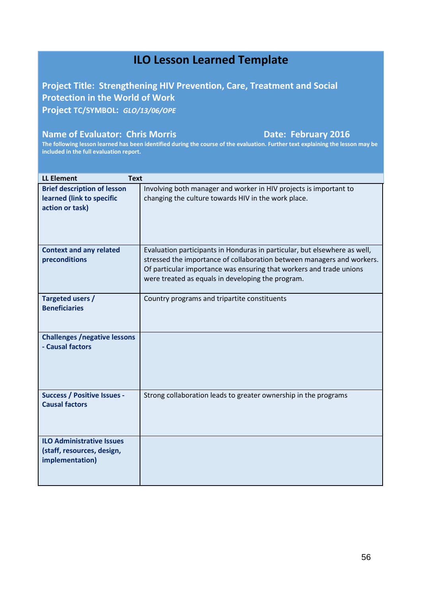# **Project Title: Strengthening HIV Prevention, Care, Treatment and Social Protection in the World of Work Project TC/SYMBOL:** *GLO/13/06/OPE*

# **Name of Evaluator: Chris Morris Norgeon Contract Date: February 2016**

| <b>LL Element</b><br><b>Text</b>                                                   |                                                                                                                                                                                                                                                                                 |
|------------------------------------------------------------------------------------|---------------------------------------------------------------------------------------------------------------------------------------------------------------------------------------------------------------------------------------------------------------------------------|
| <b>Brief description of lesson</b><br>learned (link to specific<br>action or task) | Involving both manager and worker in HIV projects is important to<br>changing the culture towards HIV in the work place.                                                                                                                                                        |
| <b>Context and any related</b><br>preconditions                                    | Evaluation participants in Honduras in particular, but elsewhere as well,<br>stressed the importance of collaboration between managers and workers.<br>Of particular importance was ensuring that workers and trade unions<br>were treated as equals in developing the program. |
| Targeted users /<br><b>Beneficiaries</b>                                           | Country programs and tripartite constituents                                                                                                                                                                                                                                    |
| <b>Challenges /negative lessons</b><br>- Causal factors                            |                                                                                                                                                                                                                                                                                 |
| <b>Success / Positive Issues -</b><br><b>Causal factors</b>                        | Strong collaboration leads to greater ownership in the programs                                                                                                                                                                                                                 |
| <b>ILO Administrative Issues</b><br>(staff, resources, design,<br>implementation)  |                                                                                                                                                                                                                                                                                 |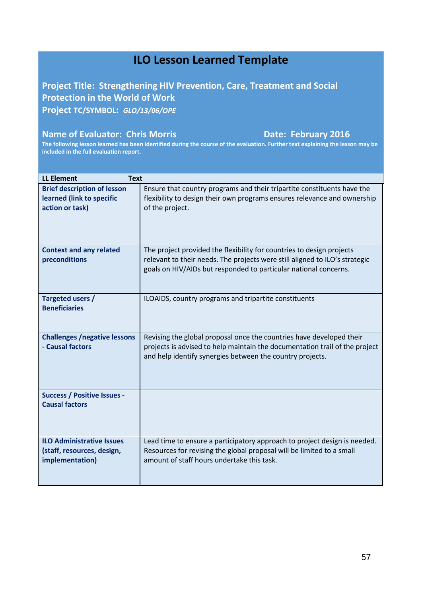# **Project Title: Strengthening HIV Prevention, Care, Treatment and Social Protection in the World of Work Project TC/SYMBOL:** *GLO/13/06/OPE*

# **Name of Evaluator: Chris Morris Norgeon Contract Date: February 2016**

| <b>LL Element</b><br><b>Text</b>                                                   |                                                                                                                                                                                                                  |
|------------------------------------------------------------------------------------|------------------------------------------------------------------------------------------------------------------------------------------------------------------------------------------------------------------|
| <b>Brief description of lesson</b><br>learned (link to specific<br>action or task) | Ensure that country programs and their tripartite constituents have the<br>flexibility to design their own programs ensures relevance and ownership<br>of the project.                                           |
| <b>Context and any related</b><br>preconditions                                    | The project provided the flexibility for countries to design projects<br>relevant to their needs. The projects were still aligned to ILO's strategic                                                             |
|                                                                                    | goals on HIV/AIDs but responded to particular national concerns.                                                                                                                                                 |
| Targeted users /                                                                   | ILOAIDS, country programs and tripartite constituents                                                                                                                                                            |
| <b>Beneficiaries</b>                                                               |                                                                                                                                                                                                                  |
| <b>Challenges /negative lessons</b><br>- Causal factors                            | Revising the global proposal once the countries have developed their<br>projects is advised to help maintain the documentation trail of the project<br>and help identify synergies between the country projects. |
| <b>Success / Positive Issues -</b><br><b>Causal factors</b>                        |                                                                                                                                                                                                                  |
| <b>ILO Administrative Issues</b>                                                   | Lead time to ensure a participatory approach to project design is needed.                                                                                                                                        |
| (staff, resources, design,<br>implementation)                                      | Resources for revising the global proposal will be limited to a small<br>amount of staff hours undertake this task.                                                                                              |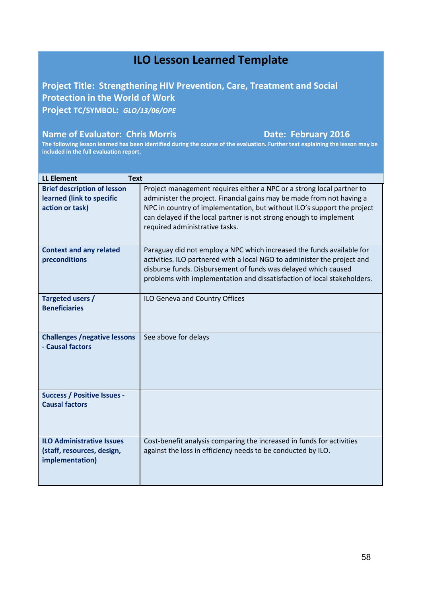**Project Title: Strengthening HIV Prevention, Care, Treatment and Social Protection in the World of Work Project TC/SYMBOL:** *GLO/13/06/OPE*

# **Name of Evaluator: Chris Morris Norgeon Contract Date: February 2016**

| <b>LL Element</b><br><b>Text</b>                                                   |                                                                                                                                                                                                                                                                                                                                   |
|------------------------------------------------------------------------------------|-----------------------------------------------------------------------------------------------------------------------------------------------------------------------------------------------------------------------------------------------------------------------------------------------------------------------------------|
| <b>Brief description of lesson</b><br>learned (link to specific<br>action or task) | Project management requires either a NPC or a strong local partner to<br>administer the project. Financial gains may be made from not having a<br>NPC in country of implementation, but without ILO's support the project<br>can delayed if the local partner is not strong enough to implement<br>required administrative tasks. |
| <b>Context and any related</b><br>preconditions                                    | Paraguay did not employ a NPC which increased the funds available for<br>activities. ILO partnered with a local NGO to administer the project and<br>disburse funds. Disbursement of funds was delayed which caused<br>problems with implementation and dissatisfaction of local stakeholders.                                    |
| Targeted users /<br><b>Beneficiaries</b>                                           | ILO Geneva and Country Offices                                                                                                                                                                                                                                                                                                    |
| <b>Challenges /negative lessons</b><br>- Causal factors                            | See above for delays                                                                                                                                                                                                                                                                                                              |
| <b>Success / Positive Issues -</b><br><b>Causal factors</b>                        |                                                                                                                                                                                                                                                                                                                                   |
| <b>ILO Administrative Issues</b><br>(staff, resources, design,<br>implementation)  | Cost-benefit analysis comparing the increased in funds for activities<br>against the loss in efficiency needs to be conducted by ILO.                                                                                                                                                                                             |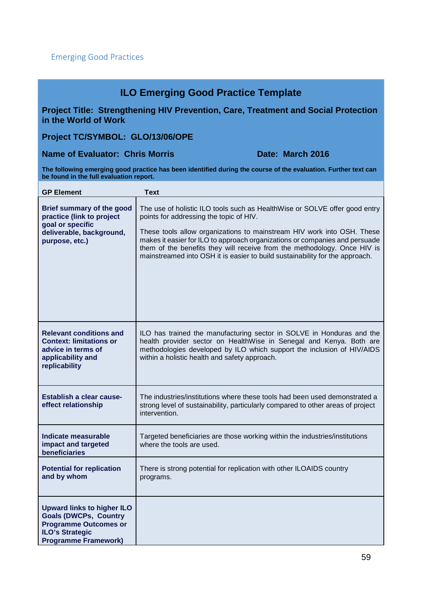# **ILO Emerging Good Practice Template**

**Project Title: Strengthening HIV Prevention, Care, Treatment and Social Protection in the World of Work** 

**Project TC/SYMBOL: GLO/13/06/OPE**

# **Name of Evaluator: Chris Morris Chris Date: March 2016**

**The following emerging good practice has been identified during the course of the evaluation. Further text can be found in the full evaluation report.** 

| <b>GP Element</b>                                                                                                                                          | <b>Text</b>                                                                                                                                                                                                                                                                                                                                                                                                                                |
|------------------------------------------------------------------------------------------------------------------------------------------------------------|--------------------------------------------------------------------------------------------------------------------------------------------------------------------------------------------------------------------------------------------------------------------------------------------------------------------------------------------------------------------------------------------------------------------------------------------|
| Brief summary of the good<br>practice (link to project<br>goal or specific<br>deliverable, background,<br>purpose, etc.)                                   | The use of holistic ILO tools such as HealthWise or SOLVE offer good entry<br>points for addressing the topic of HIV.<br>These tools allow organizations to mainstream HIV work into OSH. These<br>makes it easier for ILO to approach organizations or companies and persuade<br>them of the benefits they will receive from the methodology. Once HIV is<br>mainstreamed into OSH it is easier to build sustainability for the approach. |
| <b>Relevant conditions and</b><br><b>Context: limitations or</b><br>advice in terms of<br>applicability and<br>replicability                               | ILO has trained the manufacturing sector in SOLVE in Honduras and the<br>health provider sector on HealthWise in Senegal and Kenya. Both are<br>methodologies developed by ILO which support the inclusion of HIV/AIDS<br>within a holistic health and safety approach.                                                                                                                                                                    |
| Establish a clear cause-<br>effect relationship                                                                                                            | The industries/institutions where these tools had been used demonstrated a<br>strong level of sustainability, particularly compared to other areas of project<br>intervention.                                                                                                                                                                                                                                                             |
| Indicate measurable<br>impact and targeted<br>beneficiaries                                                                                                | Targeted beneficiaries are those working within the industries/institutions<br>where the tools are used.                                                                                                                                                                                                                                                                                                                                   |
| <b>Potential for replication</b><br>and by whom                                                                                                            | There is strong potential for replication with other ILOAIDS country<br>programs.                                                                                                                                                                                                                                                                                                                                                          |
| <b>Upward links to higher ILO</b><br><b>Goals (DWCPs, Country</b><br><b>Programme Outcomes or</b><br><b>ILO's Strategic</b><br><b>Programme Framework)</b> |                                                                                                                                                                                                                                                                                                                                                                                                                                            |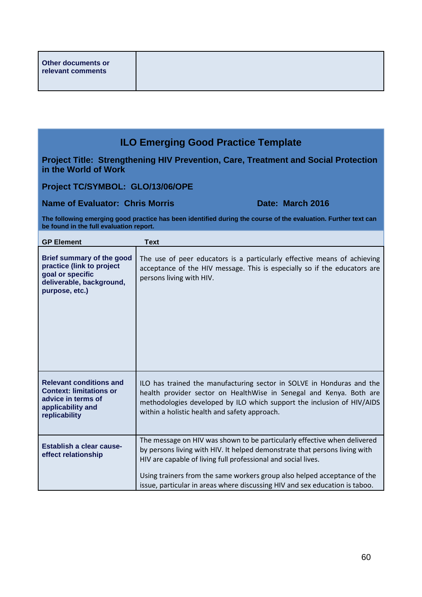# **ILO Emerging Good Practice Template**

**Project Title: Strengthening HIV Prevention, Care, Treatment and Social Protection in the World of Work** 

**Project TC/SYMBOL: GLO/13/06/OPE**

**Name of Evaluator: Chris Morris Chris Additional Pate: March 2016** 

**The following emerging good practice has been identified during the course of the evaluation. Further text can be found in the full evaluation report.** 

| <b>GP Element</b>                                                                                                            | <b>Text</b>                                                                                                                                                                                                                                                                                                                                                                        |
|------------------------------------------------------------------------------------------------------------------------------|------------------------------------------------------------------------------------------------------------------------------------------------------------------------------------------------------------------------------------------------------------------------------------------------------------------------------------------------------------------------------------|
| Brief summary of the good<br>practice (link to project<br>goal or specific<br>deliverable, background,<br>purpose, etc.)     | The use of peer educators is a particularly effective means of achieving<br>acceptance of the HIV message. This is especially so if the educators are<br>persons living with HIV.                                                                                                                                                                                                  |
| <b>Relevant conditions and</b><br><b>Context: limitations or</b><br>advice in terms of<br>applicability and<br>replicability | ILO has trained the manufacturing sector in SOLVE in Honduras and the<br>health provider sector on HealthWise in Senegal and Kenya. Both are<br>methodologies developed by ILO which support the inclusion of HIV/AIDS<br>within a holistic health and safety approach.                                                                                                            |
| Establish a clear cause-<br>effect relationship                                                                              | The message on HIV was shown to be particularly effective when delivered<br>by persons living with HIV. It helped demonstrate that persons living with<br>HIV are capable of living full professional and social lives.<br>Using trainers from the same workers group also helped acceptance of the<br>issue, particular in areas where discussing HIV and sex education is taboo. |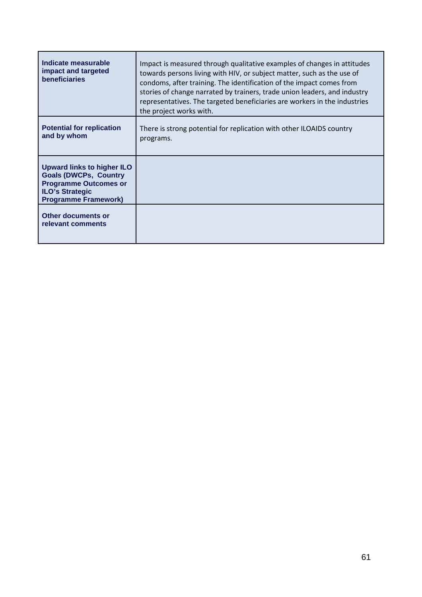| Indicate measurable<br>impact and targeted<br><b>beneficiaries</b>                                                                                         | Impact is measured through qualitative examples of changes in attitudes<br>towards persons living with HIV, or subject matter, such as the use of<br>condoms, after training. The identification of the impact comes from<br>stories of change narrated by trainers, trade union leaders, and industry<br>representatives. The targeted beneficiaries are workers in the industries<br>the project works with. |
|------------------------------------------------------------------------------------------------------------------------------------------------------------|----------------------------------------------------------------------------------------------------------------------------------------------------------------------------------------------------------------------------------------------------------------------------------------------------------------------------------------------------------------------------------------------------------------|
| <b>Potential for replication</b><br>and by whom                                                                                                            | There is strong potential for replication with other ILOAIDS country<br>programs.                                                                                                                                                                                                                                                                                                                              |
| <b>Upward links to higher ILO</b><br><b>Goals (DWCPs, Country</b><br><b>Programme Outcomes or</b><br><b>ILO's Strategic</b><br><b>Programme Framework)</b> |                                                                                                                                                                                                                                                                                                                                                                                                                |
| Other documents or<br>relevant comments                                                                                                                    |                                                                                                                                                                                                                                                                                                                                                                                                                |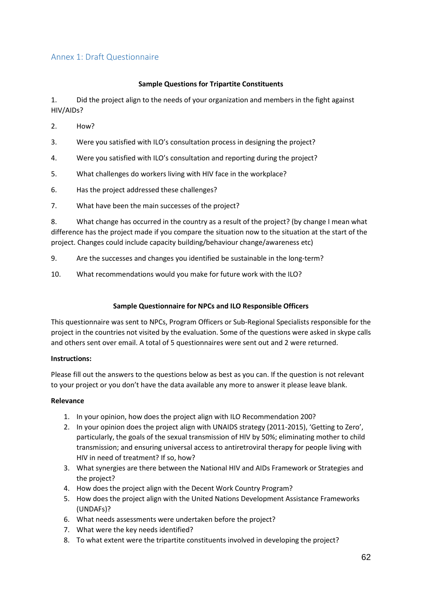# Annex 1: Draft Questionnaire

### **Sample Questions for Tripartite Constituents**

1. Did the project align to the needs of your organization and members in the fight against HIV/AIDs?

- 2. How?
- 3. Were you satisfied with ILO's consultation process in designing the project?
- 4. Were you satisfied with ILO's consultation and reporting during the project?
- 5. What challenges do workers living with HIV face in the workplace?
- 6. Has the project addressed these challenges?
- 7. What have been the main successes of the project?

8. What change has occurred in the country as a result of the project? (by change I mean what difference has the project made if you compare the situation now to the situation at the start of the project. Changes could include capacity building/behaviour change/awareness etc)

- 9. Are the successes and changes you identified be sustainable in the long-term?
- 10. What recommendations would you make for future work with the ILO?

### **Sample Questionnaire for NPCs and ILO Responsible Officers**

This questionnaire was sent to NPCs, Program Officers or Sub-Regional Specialists responsible for the project in the countries not visited by the evaluation. Some of the questions were asked in skype calls and others sent over email. A total of 5 questionnaires were sent out and 2 were returned.

### **Instructions:**

Please fill out the answers to the questions below as best as you can. If the question is not relevant to your project or you don't have the data available any more to answer it please leave blank.

### **Relevance**

- 1. In your opinion, how does the project align with ILO Recommendation 200?
- 2. In your opinion does the project align with UNAIDS strategy (2011-2015), 'Getting to Zero', particularly, the goals of the sexual transmission of HIV by 50%; eliminating mother to child transmission; and ensuring universal access to antiretroviral therapy for people living with HIV in need of treatment? If so, how?
- 3. What synergies are there between the National HIV and AIDs Framework or Strategies and the project?
- 4. How does the project align with the Decent Work Country Program?
- 5. How does the project align with the United Nations Development Assistance Frameworks (UNDAFs)?
- 6. What needs assessments were undertaken before the project?
- 7. What were the key needs identified?
- 8. To what extent were the tripartite constituents involved in developing the project?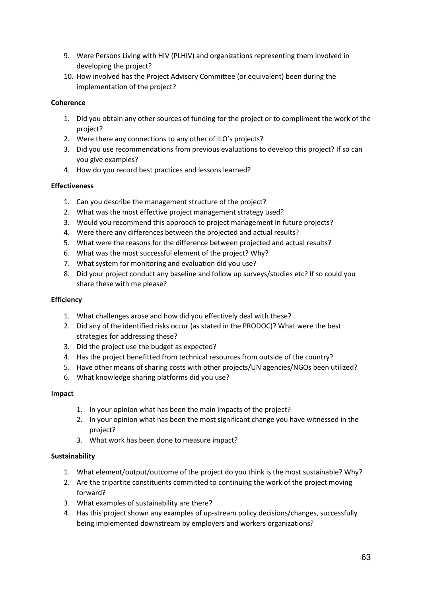- 9. Were Persons Living with HIV (PLHIV) and organizations representing them involved in developing the project?
- 10. How involved has the Project Advisory Committee (or equivalent) been during the implementation of the project?

# **Coherence**

- 1. Did you obtain any other sources of funding for the project or to compliment the work of the project?
- 2. Were there any connections to any other of ILO's projects?
- 3. Did you use recommendations from previous evaluations to develop this project? If so can you give examples?
- 4. How do you record best practices and lessons learned?

# **Effectiveness**

- 1. Can you describe the management structure of the project?
- 2. What was the most effective project management strategy used?
- 3. Would you recommend this approach to project management in future projects?
- 4. Were there any differences between the projected and actual results?
- 5. What were the reasons for the difference between projected and actual results?
- 6. What was the most successful element of the project? Why?
- 7. What system for monitoring and evaluation did you use?
- 8. Did your project conduct any baseline and follow up surveys/studies etc? If so could you share these with me please?

# **Efficiency**

- 1. What challenges arose and how did you effectively deal with these?
- 2. Did any of the identified risks occur (as stated in the PRODOC)? What were the best strategies for addressing these?
- 3. Did the project use the budget as expected?
- 4. Has the project benefitted from technical resources from outside of the country?
- 5. Have other means of sharing costs with other projects/UN agencies/NGOs been utilized?
- 6. What knowledge sharing platforms did you use?

# **Impact**

- 1. In your opinion what has been the main impacts of the project?
- 2. In your opinion what has been the most significant change you have witnessed in the project?
- 3. What work has been done to measure impact?

# **Sustainability**

- 1. What element/output/outcome of the project do you think is the most sustainable? Why?
- 2. Are the tripartite constituents committed to continuing the work of the project moving forward?
- 3. What examples of sustainability are there?
- 4. Has this project shown any examples of up-stream policy decisions/changes, successfully being implemented downstream by employers and workers organizations?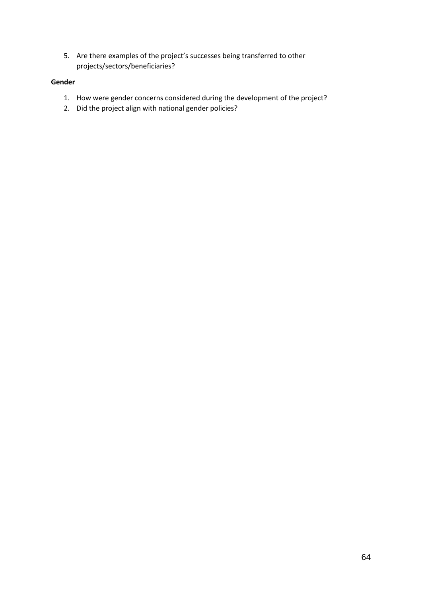5. Are there examples of the project's successes being transferred to other projects/sectors/beneficiaries?

# **Gender**

- 1. How were gender concerns considered during the development of the project?
- 2. Did the project align with national gender policies?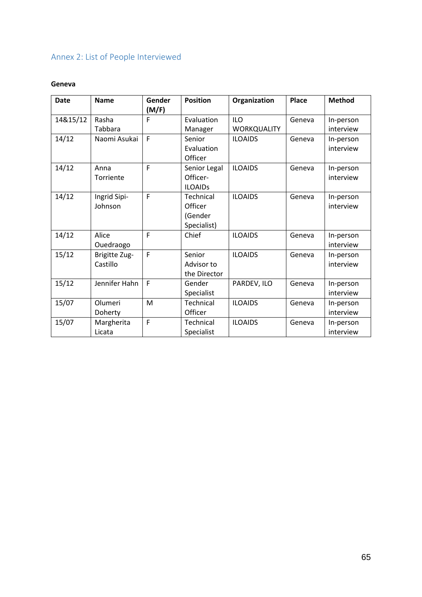# Annex 2: List of People Interviewed

# **Geneva**

| <b>Date</b> | <b>Name</b>               | Gender<br>(M/F) | <b>Position</b>                                | Organization                     | Place  | <b>Method</b>          |
|-------------|---------------------------|-----------------|------------------------------------------------|----------------------------------|--------|------------------------|
| 14&15/12    | Rasha<br>Tabbara          | F               | Evaluation<br>Manager                          | <b>ILO</b><br><b>WORKQUALITY</b> | Geneva | In-person<br>interview |
| 14/12       | Naomi Asukai              | F               | Senior<br>Evaluation<br>Officer                | <b>ILOAIDS</b>                   | Geneva | In-person<br>interview |
| 14/12       | Anna<br>Torriente         | F               | Senior Legal<br>Officer-<br><b>ILOAIDs</b>     | <b>ILOAIDS</b>                   | Geneva | In-person<br>interview |
| 14/12       | Ingrid Sipi-<br>Johnson   | F               | Technical<br>Officer<br>(Gender<br>Specialist) | <b>ILOAIDS</b>                   | Geneva | In-person<br>interview |
| 14/12       | Alice<br>Ouedraogo        | F               | Chief                                          | <b>ILOAIDS</b>                   | Geneva | In-person<br>interview |
| 15/12       | Brigitte Zug-<br>Castillo | F               | Senior<br>Advisor to<br>the Director           | <b>ILOAIDS</b>                   | Geneva | In-person<br>interview |
| 15/12       | Jennifer Hahn             | F               | Gender<br>Specialist                           | PARDEV, ILO                      | Geneva | In-person<br>interview |
| 15/07       | Olumeri<br>Doherty        | M               | Technical<br>Officer                           | <b>ILOAIDS</b>                   | Geneva | In-person<br>interview |
| 15/07       | Margherita<br>Licata      | F               | Technical<br>Specialist                        | <b>ILOAIDS</b>                   | Geneva | In-person<br>interview |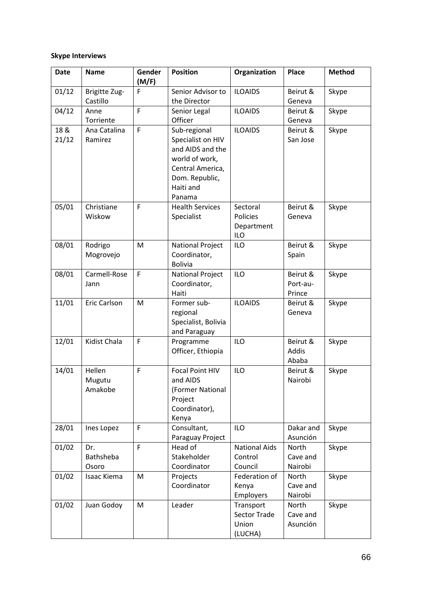# **Skype Interviews**

| <b>Date</b>   | <b>Name</b>                 | Gender<br>(M/F) | <b>Position</b>                                                                                                                      | Organization                                         | Place                               | <b>Method</b> |
|---------------|-----------------------------|-----------------|--------------------------------------------------------------------------------------------------------------------------------------|------------------------------------------------------|-------------------------------------|---------------|
| 01/12         | Brigitte Zug-<br>Castillo   | F               | Senior Advisor to<br>the Director                                                                                                    | <b>ILOAIDS</b>                                       | Beirut &<br>Geneva                  | Skype         |
| 04/12         | Anne<br>Torriente           | $\mathsf F$     | Senior Legal<br>Officer                                                                                                              | <b>ILOAIDS</b>                                       | Beirut &<br>Geneva                  | Skype         |
| 18 &<br>21/12 | Ana Catalina<br>Ramirez     | $\mathsf F$     | Sub-regional<br>Specialist on HIV<br>and AIDS and the<br>world of work,<br>Central America,<br>Dom. Republic,<br>Haiti and<br>Panama | <b>ILOAIDS</b>                                       | Beirut &<br>San Jose                | Skype         |
| 05/01         | Christiane<br>Wiskow        | $\overline{F}$  | <b>Health Services</b><br>Specialist                                                                                                 | Sectoral<br>Policies<br>Department<br><b>ILO</b>     | Beirut &<br>Geneva                  | Skype         |
| 08/01         | Rodrigo<br>Mogrovejo        | M               | <b>National Project</b><br>Coordinator,<br><b>Bolivia</b>                                                                            | <b>ILO</b>                                           | Beirut &<br>Spain                   | Skype         |
| 08/01         | Carmell-Rose<br>Jann        | $\mathsf F$     | <b>National Project</b><br>Coordinator,<br>Haiti                                                                                     | <b>ILO</b>                                           | Beirut &<br>Port-au-<br>Prince      | Skype         |
| 11/01         | Eric Carlson                | M               | Former sub-<br>regional<br>Specialist, Bolivia<br>and Paraguay                                                                       | <b>ILOAIDS</b>                                       | Beirut &<br>Geneva                  | Skype         |
| 12/01         | Kidist Chala                | F               | Programme<br>Officer, Ethiopia                                                                                                       | <b>ILO</b>                                           | Beirut &<br>Addis<br>Ababa          | Skype         |
| 14/01         | Hellen<br>Mugutu<br>Amakobe | F               | <b>Focal Point HIV</b><br>and AIDS<br>(Former National<br>Project<br>Coordinator),<br>Kenya                                          | <b>ILO</b>                                           | Beirut &<br>Nairobi                 | Skype         |
| 28/01         | Ines Lopez                  | F               | Consultant,<br>Paraguay Project                                                                                                      | <b>ILO</b>                                           | Dakar and<br>Asunción               | Skype         |
| 01/02         | Dr.<br>Bathsheba<br>Osoro   | F               | Head of<br>Stakeholder<br>Coordinator                                                                                                | <b>National Aids</b><br>Control<br>Council           | <b>North</b><br>Cave and<br>Nairobi | Skype         |
| 01/02         | Isaac Kiema                 | M               | Projects<br>Coordinator                                                                                                              | Federation of<br>Kenya<br>Employers                  | North<br>Cave and<br>Nairobi        | Skype         |
| 01/02         | Juan Godoy                  | M               | Leader                                                                                                                               | Transport<br><b>Sector Trade</b><br>Union<br>(LUCHA) | North<br>Cave and<br>Asunción       | Skype         |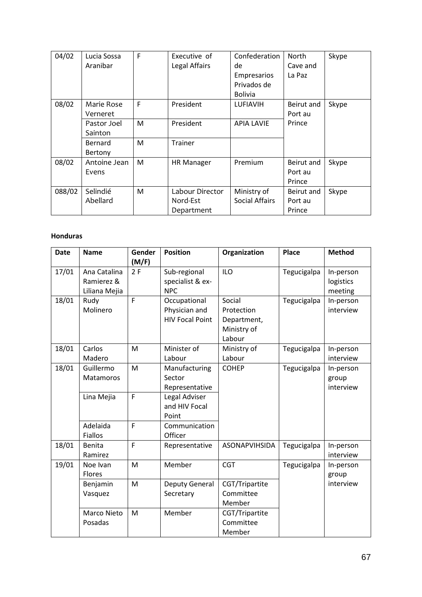| 04/02  | Lucia Sossa<br>Aranibar | F | Executive of<br>Legal Affairs | Confederation<br>de<br>Empresarios<br>Privados de | North<br>Cave and<br>La Paz | Skype |
|--------|-------------------------|---|-------------------------------|---------------------------------------------------|-----------------------------|-------|
|        |                         |   |                               | <b>Bolivia</b>                                    |                             |       |
| 08/02  | Marie Rose<br>Verneret  | F | President                     | <b>LUFIAVIH</b>                                   | Beirut and<br>Port au       | Skype |
|        | Pastor Joel<br>Sainton  | M | President                     | <b>APIA LAVIE</b>                                 | Prince                      |       |
|        | Bernard<br>Bertony      | M | <b>Trainer</b>                |                                                   |                             |       |
| 08/02  | Antoine Jean            | M | <b>HR Manager</b>             | Premium                                           | Beirut and                  | Skype |
|        | Evens                   |   |                               |                                                   | Port au                     |       |
|        |                         |   |                               |                                                   | Prince                      |       |
| 088/02 | Selindié                | M | Labour Director               | Ministry of                                       | Beirut and                  | Skype |
|        | Abellard                |   | Nord-Est                      | <b>Social Affairs</b>                             | Port au                     |       |
|        |                         |   | Department                    |                                                   | Prince                      |       |

# **Honduras**

| <b>Date</b> | <b>Name</b>                                 | Gender<br>(M/F) | <b>Position</b>                                         | Organization                                                 | <b>Place</b> | <b>Method</b>                     |
|-------------|---------------------------------------------|-----------------|---------------------------------------------------------|--------------------------------------------------------------|--------------|-----------------------------------|
| 17/01       | Ana Catalina<br>Ramierez &<br>Liliana Mejia | 2F              | Sub-regional<br>specialist & ex-<br><b>NPC</b>          | <b>ILO</b>                                                   | Tegucigalpa  | In-person<br>logistics<br>meeting |
| 18/01       | Rudy<br>Molinero                            | F               | Occupational<br>Physician and<br><b>HIV Focal Point</b> | Social<br>Protection<br>Department,<br>Ministry of<br>Labour | Tegucigalpa  | In-person<br>interview            |
| 18/01       | Carlos<br>Madero                            | M               | Minister of<br>Labour                                   | Ministry of<br>Labour                                        | Tegucigalpa  | In-person<br>interview            |
| 18/01       | Guillermo<br>Matamoros                      | M               | Manufacturing<br>Sector<br>Representative               | <b>COHEP</b>                                                 | Tegucigalpa  | In-person<br>group<br>interview   |
|             | Lina Mejia                                  | F               | Legal Adviser<br>and HIV Focal<br>Point                 |                                                              |              |                                   |
|             | Adelaida<br>Fiallos                         | F               | Communication<br>Officer                                |                                                              |              |                                   |
| 18/01       | Benita<br>Ramirez                           | F               | Representative                                          | <b>ASONAPVIHSIDA</b>                                         | Tegucigalpa  | In-person<br>interview            |
| 19/01       | Noe Ivan<br>Flores                          | M               | Member                                                  | <b>CGT</b>                                                   | Tegucigalpa  | In-person<br>group                |
|             | Benjamin<br>Vasquez                         | M               | Deputy General<br>Secretary                             | CGT/Tripartite<br>Committee<br>Member                        |              | interview                         |
|             | Marco Nieto<br>Posadas                      | M               | Member                                                  | CGT/Tripartite<br>Committee<br>Member                        |              |                                   |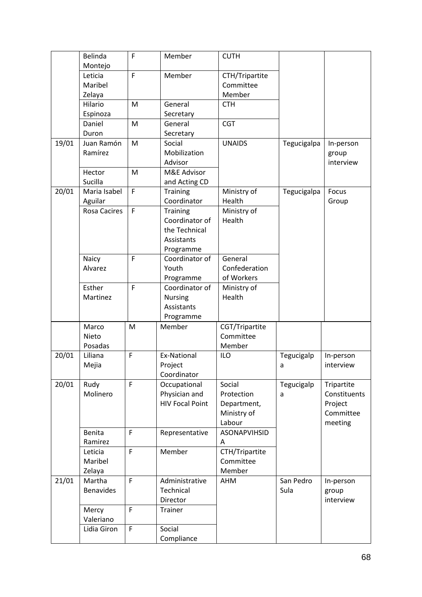|       | Belinda                  | F            | Member                 | <b>CUTH</b>           |             |              |
|-------|--------------------------|--------------|------------------------|-----------------------|-------------|--------------|
|       | Montejo                  |              |                        |                       |             |              |
|       | Leticia                  | F            | Member                 | CTH/Tripartite        |             |              |
|       | Maribel                  |              |                        | Committee             |             |              |
|       | Zelaya                   |              |                        | Member                |             |              |
|       | Hilario                  | M            | General                | <b>CTH</b>            |             |              |
|       | Espinoza                 |              | Secretary              |                       |             |              |
|       | Daniel                   | M            | General                | <b>CGT</b>            |             |              |
|       | Duron                    |              | Secretary              |                       |             |              |
| 19/01 | Juan Ramón               | M            | Social                 | <b>UNAIDS</b>         | Tegucigalpa | In-person    |
|       | Ramírez                  |              | Mobilization           |                       |             | group        |
|       |                          |              | Advisor                |                       |             | interview    |
|       | Hector                   | M            | M&E Advisor            |                       |             |              |
|       | Sucilla                  |              | and Acting CD          |                       |             |              |
| 20/01 | Maria Isabel             | F            | <b>Training</b>        | Ministry of           | Tegucigalpa | Focus        |
|       | Aguilar                  |              | Coordinator            | Health                |             | Group        |
|       | <b>Rosa Cacires</b>      | F            | Training               | Ministry of           |             |              |
|       |                          |              | Coordinator of         | Health                |             |              |
|       |                          |              | the Technical          |                       |             |              |
|       |                          |              | Assistants             |                       |             |              |
|       |                          |              | Programme              |                       |             |              |
|       | Naicy                    | F            | Coordinator of         | General               |             |              |
|       | Alvarez                  |              | Youth                  | Confederation         |             |              |
|       |                          |              | Programme              | of Workers            |             |              |
|       | Esther                   | F            | Coordinator of         | Ministry of           |             |              |
|       | Martinez                 |              | <b>Nursing</b>         | Health                |             |              |
|       |                          |              | Assistants             |                       |             |              |
|       |                          |              | Programme              |                       |             |              |
|       | Marco                    | M            | Member                 | CGT/Tripartite        |             |              |
|       | Nieto                    |              |                        | Committee             |             |              |
|       | Posadas                  |              |                        | Member                |             |              |
| 20/01 | Liliana                  | F            | Ex-National            | <b>ILO</b>            | Tegucigalp  | In-person    |
|       | Mejia                    |              | Project                |                       | a           | interview    |
|       |                          |              | Coordinator            |                       |             |              |
| 20/01 | Rudy                     | F            | Occupational           | Social                | Tegucigalp  | Tripartite   |
|       | Molinero                 |              | Physician and          | Protection            | a           | Constituents |
|       |                          |              | <b>HIV Focal Point</b> | Department,           |             | Project      |
|       |                          |              |                        | Ministry of<br>Labour |             | Committee    |
|       |                          | $\mathsf{F}$ |                        |                       |             | meeting      |
|       | Benita<br>Ramirez        |              | Representative         | ASONAPVIHSID          |             |              |
|       | Leticia                  | F            | Member                 | Α<br>CTH/Tripartite   |             |              |
|       | Maribel                  |              |                        | Committee             |             |              |
|       | Zelaya                   |              |                        | Member                |             |              |
| 21/01 | Martha                   | $\mathsf{F}$ | Administrative         | AHM                   | San Pedro   | In-person    |
|       | <b>Benavides</b>         |              | Technical              |                       | Sula        | group        |
|       |                          |              | Director               |                       |             | interview    |
|       | Mercy                    | F            | <b>Trainer</b>         |                       |             |              |
|       |                          |              |                        |                       |             |              |
|       |                          |              |                        |                       |             |              |
|       | Valeriano<br>Lidia Giron | $\mathsf F$  | Social                 |                       |             |              |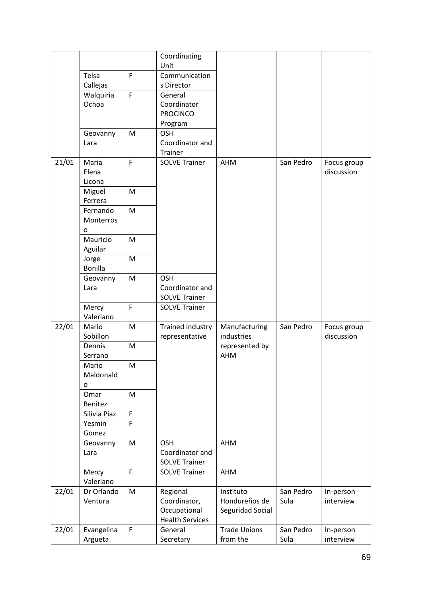|       |                            |                | Coordinating<br>Unit                                  |                             |           |                           |
|-------|----------------------------|----------------|-------------------------------------------------------|-----------------------------|-----------|---------------------------|
|       | Telsa                      | $\mathsf{F}$   | Communication                                         |                             |           |                           |
|       | Callejas                   |                | s Director                                            |                             |           |                           |
|       | Walquiria<br>Ochoa         | $\mathsf F$    | General<br>Coordinator<br><b>PROCINCO</b>             |                             |           |                           |
|       |                            | M              | Program<br><b>OSH</b>                                 |                             |           |                           |
|       | Geovanny<br>Lara           |                | Coordinator and<br>Trainer                            |                             |           |                           |
| 21/01 | Maria<br>Elena<br>Licona   | $\mathsf{F}$   | <b>SOLVE Trainer</b>                                  | AHM                         | San Pedro | Focus group<br>discussion |
|       | Miguel                     | M              |                                                       |                             |           |                           |
|       | Ferrera                    |                |                                                       |                             |           |                           |
|       | Fernando<br>Monterros<br>o | M              |                                                       |                             |           |                           |
|       | Mauricio<br>Aguilar        | M              |                                                       |                             |           |                           |
|       | Jorge<br><b>Bonilla</b>    | M              |                                                       |                             |           |                           |
|       | Geovanny<br>Lara           | M              | <b>OSH</b><br>Coordinator and<br><b>SOLVE Trainer</b> |                             |           |                           |
|       | Mercy<br>Valeriano         | $\overline{F}$ | <b>SOLVE Trainer</b>                                  |                             |           |                           |
| 22/01 | Mario<br>Sobillon          | M              | Trained industry<br>representative                    | Manufacturing<br>industries | San Pedro | Focus group<br>discussion |
|       | Dennis<br>Serrano          | M              |                                                       | represented by<br>AHM       |           |                           |
|       | Mario<br>Maldonald<br>o    | M              |                                                       |                             |           |                           |
|       | Omar<br>Benitez            | M              |                                                       |                             |           |                           |
|       | Silivia Piaz               | $\mathsf F$    |                                                       |                             |           |                           |
|       | Yesmin<br>Gomez            | F              |                                                       |                             |           |                           |
|       | Geovanny<br>Lara           | M              | <b>OSH</b><br>Coordinator and<br><b>SOLVE Trainer</b> | AHM                         |           |                           |
|       | Mercy<br>Valeriano         | $\mathsf{F}$   | <b>SOLVE Trainer</b>                                  | AHM                         |           |                           |
| 22/01 | Dr Orlando                 | M              | Regional                                              | Instituto                   | San Pedro | In-person                 |
|       | Ventura                    |                | Coordinator,                                          | Hondureños de               | Sula      | interview                 |
|       |                            |                | Occupational<br><b>Health Services</b>                | Seguridad Social            |           |                           |
| 22/01 | Evangelina                 | $\mathsf{F}$   | General                                               | <b>Trade Unions</b>         | San Pedro | In-person                 |
|       | Argueta                    |                | Secretary                                             | from the                    | Sula      | interview                 |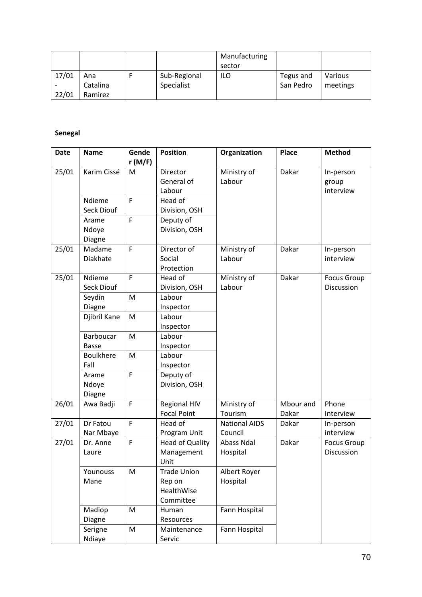|       |          |              | Manufacturing |           |          |
|-------|----------|--------------|---------------|-----------|----------|
|       |          |              | sector        |           |          |
| 17/01 | Ana      | Sub-Regional | <b>ILO</b>    | Tegus and | Various  |
|       | Catalina | Specialist   |               | San Pedro | meetings |
| 22/01 | Ramirez  |              |               |           |          |

# **Senegal**

| <b>Date</b> | <b>Name</b>      | Gende          | <b>Position</b>        | Organization         | <b>Place</b> | <b>Method</b>      |
|-------------|------------------|----------------|------------------------|----------------------|--------------|--------------------|
|             |                  | r(M/F)         |                        |                      |              |                    |
| 25/01       | Karim Cissé      | M              | Director               | Ministry of          | Dakar        | In-person          |
|             |                  |                | General of             | Labour               |              | group              |
|             |                  |                | Labour                 |                      |              | interview          |
|             | Ndieme           | $\mathsf{F}$   | Head of                |                      |              |                    |
|             | Seck Diouf       |                | Division, OSH          |                      |              |                    |
|             | Arame            | F              | Deputy of              |                      |              |                    |
|             | Ndoye            |                | Division, OSH          |                      |              |                    |
|             | Diagne           |                |                        |                      |              |                    |
| 25/01       | Madame           | F              | Director of            | Ministry of          | Dakar        | In-person          |
|             | Diakhate         |                | Social                 | Labour               |              | interview          |
|             |                  |                | Protection             |                      |              |                    |
| 25/01       | Ndieme           | F              | Head of                | Ministry of          | Dakar        | <b>Focus Group</b> |
|             | Seck Diouf       |                | Division, OSH          | Labour               |              | Discussion         |
|             | Seydin           | M              | Labour                 |                      |              |                    |
|             | Diagne           |                | Inspector              |                      |              |                    |
|             | Djibril Kane     | M              | Labour                 |                      |              |                    |
|             |                  |                | Inspector              |                      |              |                    |
|             | Barboucar        | M              | Labour                 |                      |              |                    |
|             | <b>Basse</b>     |                | Inspector              |                      |              |                    |
|             | <b>Boulkhere</b> | M              | Labour                 |                      |              |                    |
|             | Fall             |                | Inspector              |                      |              |                    |
|             | Arame            | $\overline{F}$ | Deputy of              |                      |              |                    |
|             | Ndoye            |                | Division, OSH          |                      |              |                    |
|             | Diagne           |                |                        |                      |              |                    |
| 26/01       | Awa Badji        | F              | <b>Regional HIV</b>    | Ministry of          | Mbour and    | Phone              |
|             |                  |                | <b>Focal Point</b>     | Tourism              | Dakar        | Interview          |
| 27/01       | Dr Fatou         | F              | Head of                | <b>National AIDS</b> | Dakar        | In-person          |
|             | Nar Mbaye        |                | Program Unit           | Council              |              | interview          |
| 27/01       | Dr. Anne         | F              | <b>Head of Quality</b> | Abass Ndal           | Dakar        | <b>Focus Group</b> |
|             | Laure            |                | Management             | Hospital             |              | Discussion         |
|             |                  |                | Unit                   |                      |              |                    |
|             | Younouss         | M              | <b>Trade Union</b>     | Albert Royer         |              |                    |
|             | Mane             |                | Rep on                 | Hospital             |              |                    |
|             |                  |                | HealthWise             |                      |              |                    |
|             |                  |                | Committee              |                      |              |                    |
|             | Madiop           | M              | Human                  | Fann Hospital        |              |                    |
|             | Diagne           |                | Resources              |                      |              |                    |
|             | Serigne          | M              | Maintenance            | Fann Hospital        |              |                    |
|             | Ndiaye           |                | Servic                 |                      |              |                    |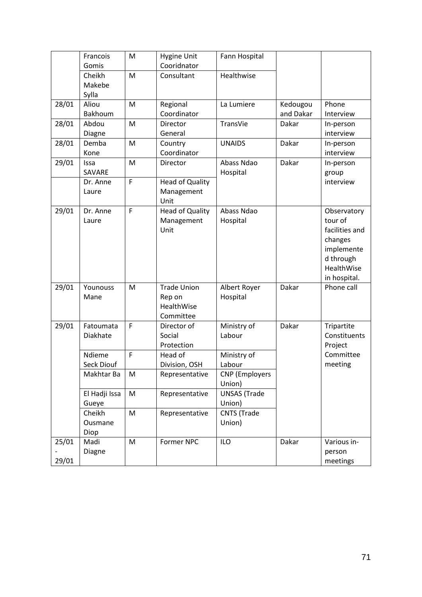|       | Francois      | M | <b>Hygine Unit</b>     | Fann Hospital         |           |                |
|-------|---------------|---|------------------------|-----------------------|-----------|----------------|
|       | Gomis         |   | Cooridnator            |                       |           |                |
|       | Cheikh        | M | Consultant             | Healthwise            |           |                |
|       | Makebe        |   |                        |                       |           |                |
|       | Sylla         |   |                        |                       |           |                |
| 28/01 | Aliou         | M | Regional               | La Lumiere            | Kedougou  | Phone          |
|       | Bakhoum       |   | Coordinator            |                       | and Dakar | Interview      |
| 28/01 | Abdou         | M | Director               | TransVie              | Dakar     | In-person      |
|       | Diagne        |   | General                |                       |           | interview      |
| 28/01 | Demba         | M | Country                | <b>UNAIDS</b>         | Dakar     | In-person      |
|       | Kone          |   | Coordinator            |                       |           | interview      |
| 29/01 | Issa          | M | Director               | Abass Ndao            | Dakar     | In-person      |
|       | SAVARE        |   |                        | Hospital              |           | group          |
|       | Dr. Anne      | F | <b>Head of Quality</b> |                       |           | interview      |
|       | Laure         |   | Management             |                       |           |                |
|       |               |   | Unit                   |                       |           |                |
| 29/01 | Dr. Anne      | F | <b>Head of Quality</b> | Abass Ndao            |           | Observatory    |
|       | Laure         |   | Management             | Hospital              |           | tour of        |
|       |               |   | Unit                   |                       |           | facilities and |
|       |               |   |                        |                       |           | changes        |
|       |               |   |                        |                       |           | implemente     |
|       |               |   |                        |                       |           | d through      |
|       |               |   |                        |                       |           | HealthWise     |
|       |               |   |                        |                       |           | in hospital.   |
| 29/01 | Younouss      | M | <b>Trade Union</b>     | Albert Royer          | Dakar     | Phone call     |
|       | Mane          |   | Rep on                 | Hospital              |           |                |
|       |               |   | HealthWise             |                       |           |                |
|       |               |   | Committee              |                       |           |                |
| 29/01 | Fatoumata     | F | Director of            | Ministry of           | Dakar     | Tripartite     |
|       | Diakhate      |   | Social                 | Labour                |           | Constituents   |
|       |               |   | Protection             |                       |           | Project        |
|       | Ndieme        | F | Head of                | Ministry of           |           | Committee      |
|       | Seck Diouf    |   | Division, OSH          | Labour                |           | meeting        |
|       | Makhtar Ba    | M | Representative         | <b>CNP</b> (Employers |           |                |
|       |               |   |                        | Union)                |           |                |
|       | El Hadji Issa | M | Representative         | <b>UNSAS (Trade</b>   |           |                |
|       | Gueye         |   |                        | Union)                |           |                |
|       | Cheikh        | M | Representative         | <b>CNTS</b> (Trade    |           |                |
|       | Ousmane       |   |                        | Union)                |           |                |
|       | Diop          |   |                        |                       |           |                |
| 25/01 | Madi          | M | Former NPC             | <b>ILO</b>            | Dakar     | Various in-    |
|       | Diagne        |   |                        |                       |           | person         |
| 29/01 |               |   |                        |                       |           | meetings       |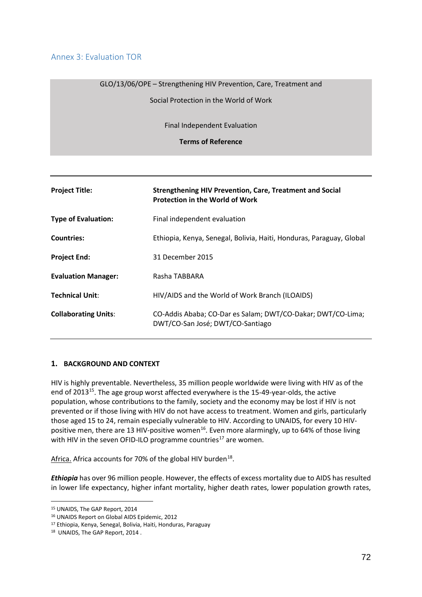## Annex 3: Evaluation TOR

## GLO/13/06/OPE – Strengthening HIV Prevention, Care, Treatment and

Social Protection in the World of Work

Final Independent Evaluation

**Terms of Reference**

| <b>Project Title:</b>       | <b>Strengthening HIV Prevention, Care, Treatment and Social</b><br><b>Protection in the World of Work</b> |
|-----------------------------|-----------------------------------------------------------------------------------------------------------|
| <b>Type of Evaluation:</b>  | Final independent evaluation                                                                              |
| <b>Countries:</b>           | Ethiopia, Kenya, Senegal, Bolivia, Haiti, Honduras, Paraguay, Global                                      |
| <b>Project End:</b>         | 31 December 2015                                                                                          |
| <b>Evaluation Manager:</b>  | Rasha TABBARA                                                                                             |
| <b>Technical Unit:</b>      | HIV/AIDS and the World of Work Branch (ILOAIDS)                                                           |
| <b>Collaborating Units:</b> | CO-Addis Ababa; CO-Dar es Salam; DWT/CO-Dakar; DWT/CO-Lima;<br>DWT/CO-San José; DWT/CO-Santiago           |

#### **1. BACKGROUND AND CONTEXT**

HIV is highly preventable. Nevertheless, 35 million people worldwide were living with HIV as of the end of 2013[15.](#page-72-0) The age group worst affected everywhere is the 15-49-year-olds, the active population, whose contributions to the family, society and the economy may be lost if HIV is not prevented or if those living with HIV do not have access to treatment. Women and girls, particularly those aged 15 to 24, remain especially vulnerable to HIV. According to UNAIDS, for every 10 HIV-positive men, there are 13 HIV-positive women<sup>[16](#page-72-1)</sup>. Even more alarmingly, up to 64% of those living with HIV in the seven OFID-ILO programme countries<sup>[17](#page-72-2)</sup> are women.

Africa. Africa accounts for 70% of the global HIV burden<sup>18</sup>.

*Ethiopia* has over 96 million people. However, the effects of excess mortality due to AIDS has resulted in lower life expectancy, higher infant mortality, higher death rates, lower population growth rates,

<span id="page-72-0"></span> <sup>15</sup> UNAIDS, The GAP Report, 2014

<span id="page-72-1"></span><sup>16</sup> UNAIDS Report on Global AIDS Epidemic, 2012

<span id="page-72-2"></span><sup>17</sup> Ethiopia, Kenya, Senegal, Bolivia, Haiti, Honduras, Paraguay

<span id="page-72-3"></span><sup>18</sup> UNAIDS, The GAP Report, 2014 .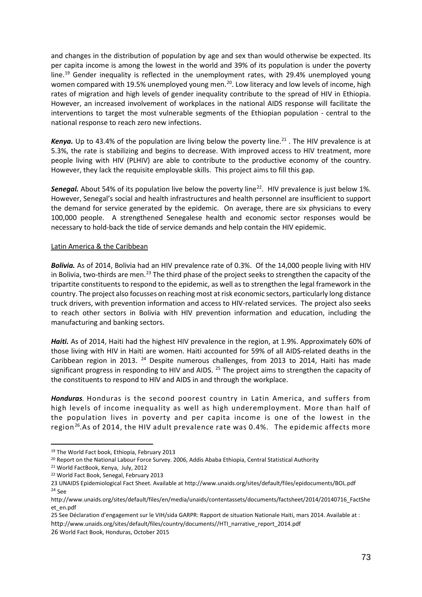and changes in the distribution of population by age and sex than would otherwise be expected. Its per capita income is among the lowest in the world and 39% of its population is under the poverty line.<sup>[19](#page-73-0)</sup> Gender inequality is reflected in the unemployment rates, with 29.4% unemployed young women compared with 19.5% unemployed young men.<sup>[20](#page-73-1)</sup>. Low literacy and low levels of income, high rates of migration and high levels of gender inequality contribute to the spread of HIV in Ethiopia. However, an increased involvement of workplaces in the national AIDS response will facilitate the interventions to target the most vulnerable segments of the Ethiopian population - central to the national response to reach zero new infections.

**Kenya.** Up to 43.4% of the population are living below the poverty line.<sup>[21](#page-73-2)</sup>. The HIV prevalence is at 5.3%, the rate is stabilizing and begins to decrease. With improved access to HIV treatment, more people living with HIV (PLHIV) are able to contribute to the productive economy of the country. However, they lack the requisite employable skills. This project aims to fill this gap.

**Senegal.** About 54% of its population live below the poverty line<sup>[22](#page-73-3)</sup>. HIV prevalence is just below 1%. However, Senegal's social and health infrastructures and health personnel are insufficient to support the demand for service generated by the epidemic. On average, there are six physicians to every 100,000 people. A strengthened Senegalese health and economic sector responses would be necessary to hold-back the tide of service demands and help contain the HIV epidemic.

## Latin America & the Caribbean

*Bolivia.* As of 2014, Bolivia had an HIV prevalence rate of 0.3%. Of the 14,000 people living with HIV in Bolivia, two-thirds are men.<sup>[23](#page-73-4)</sup> The third phase of the project seeks to strengthen the capacity of the tripartite constituents to respond to the epidemic, as well as to strengthen the legal framework in the country. The project also focusses on reaching most at risk economic sectors, particularly long distance truck drivers, with prevention information and access to HIV-related services. The project also seeks to reach other sectors in Bolivia with HIV prevention information and education, including the manufacturing and banking sectors.

Haiti. As of 2014, Haiti had the highest HIV prevalence in the region, at 1.9%. Approximately 60% of those living with HIV in Haiti are women. Haiti accounted for 59% of all AIDS-related deaths in the Caribbean region in 2013. <sup>[24](#page-73-5)</sup> Despite numerous challenges, from 2013 to 2014, Haiti has made significant progress in responding to HIV and AIDS.  $^{25}$  $^{25}$  $^{25}$  The project aims to strengthen the capacity of the constituents to respond to HIV and AIDS in and through the workplace.

*Honduras.* Honduras is the second poorest country in Latin America, and suffers from high levels of income inequality as well as high underemployment. More than half of the population lives in poverty and per capita income is one of the lowest in the region<sup>26</sup>.As of 2014, the HIV adult prevalence rate was 0.4%. The epidemic affects more

<span id="page-73-0"></span> <sup>19</sup> The World Fact book, Ethiopia, February 2013

<span id="page-73-1"></span><sup>&</sup>lt;sup>20</sup> Report on the National Labour Force Survey. 2006, Addis Ababa Ethiopia, Central Statistical Authority

<span id="page-73-2"></span><sup>21</sup> World FactBook, Kenya, July, 2012

<span id="page-73-3"></span><sup>22</sup> World Fact Book, Senegal, February 2013

<span id="page-73-5"></span><span id="page-73-4"></span><sup>23</sup> UNAIDS Epidemiological Fact Sheet. Available at http://www.unaids.org/sites/default/files/epidocuments/BOL.pdf <sup>24</sup> See

http://www.unaids.org/sites/default/files/en/media/unaids/contentassets/documents/factsheet/2014/20140716\_FactShe et\_en.pdf

<span id="page-73-6"></span><sup>25</sup> See Déclaration d'engagement sur le VIH/sida GARPR: Rapport de situation Nationale Haiti, mars 2014. Available at : http://www.unaids.org/sites/default/files/country/documents//HTI\_narrative\_report\_2014.pdf

<span id="page-73-7"></span><sup>26</sup> World Fact Book, Honduras, October 2015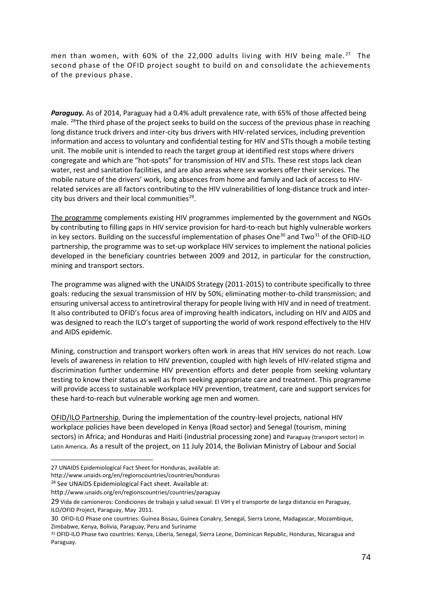men than women, with 60% of the 22,000 adults living with HIV being male.<sup>27</sup> The second phase of the OFID project sought to build on and consolidate the achievements of the previous phase.

*Paraguay.* As of 2014, Paraguay had a 0.4% adult prevalence rate, with 65% of those affected being male. <sup>28</sup>The third phase of the project seeks to build on the success of the previous phase in reaching long distance truck drivers and inter-city bus drivers with HIV-related services, including prevention information and access to voluntary and confidential testing for HIV and STIs though a mobile testing unit. The mobile unit is intended to reach the target group at identified rest stops where drivers congregate and which are "hot-spots" for transmission of HIV and STIs. These rest stops lack clean water, rest and sanitation facilities, and are also areas where sex workers offer their services. The mobile nature of the drivers' work, long absences from home and family and lack of access to HIVrelated services are all factors contributing to the HIV vulnerabilities of long-distance truck and intercity bus drivers and their local communities $^{29}$ .

The programme complements existing HIV programmes implemented by the government and NGOs by contributing to filling gaps in HIV service provision for hard-to-reach but highly vulnerable workers in key sectors. Building on the successful implementation of phases One<sup>[30](#page-74-3)</sup> and Two<sup>[31](#page-74-4)</sup> of the OFID-ILO partnership, the programme was to set-up workplace HIV services to implement the national policies developed in the beneficiary countries between 2009 and 2012, in particular for the construction, mining and transport sectors.

The programme was aligned with the UNAIDS Strategy (2011-2015) to contribute specifically to three goals: reducing the sexual transmission of HIV by 50%; eliminating mother-to-child transmission; and ensuring universal access to antiretroviral therapy for people living with HIV and in need of treatment. It also contributed to OFID's focus area of improving health indicators, including on HIV and AIDS and was designed to reach the ILO's target of supporting the world of work respond effectively to the HIV and AIDS epidemic.

Mining, construction and transport workers often work in areas that HIV services do not reach. Low levels of awareness in relation to HIV prevention, coupled with high levels of HIV-related stigma and discrimination further undermine HIV prevention efforts and deter people from seeking voluntary testing to know their status as well as from seeking appropriate care and treatment. This programme will provide access to sustainable workplace HIV prevention, treatment, care and support services for these hard-to-reach but vulnerable working age men and women.

OFID/ILO Partnership. During the implementation of the country-level projects, national HIV workplace policies have been developed in Kenya (Road sector) and Senegal (tourism, mining sectors) in Africa; and Honduras and Haiti (industrial processing zone) and Paraguay (transport sector) in Latin America. As a result of the project, on 11 July 2014, the Bolivian Ministry of Labour and Social

**.** 

<span id="page-74-0"></span><sup>27</sup> UNAIDS Epidemiological Fact Sheet for Honduras, available at:

http://www.unaids.org/en/regionscountries/countries/honduras

<span id="page-74-1"></span><sup>&</sup>lt;sup>28</sup> See UNAIDS Epidemiological Fact sheet. Available at:

http://www.unaids.org/en/regionscountries/countries/paraguay

<span id="page-74-2"></span><sup>29</sup> Vida de camioneros: Condiciones de trabajo y salud sexual: El VIH y el transporte de larga distancia en Paraguay, ILO/OFID Project, Paraguay, May 2011.

<span id="page-74-3"></span><sup>30</sup> OFID-ILO Phase one countries: Guinea Bissau, Guinea Conakry, Senegal, Sierra Leone, Madagascar, Mozambique, Zimbabwe, Kenya, Bolivia, Paraguay, Peru and Suriname

<span id="page-74-4"></span><sup>31</sup> OFID-ILO Phase two countries: Kenya, Liberia, Senegal, Sierra Leone, Dominican Republic, Honduras, Nicaragua and Paraguay.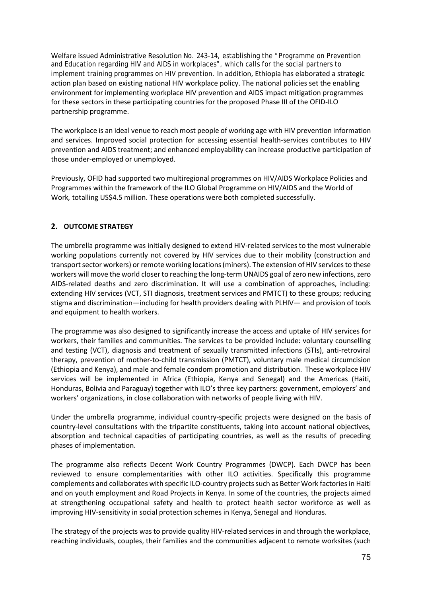Welfare issued Administrative Resolution No. 243-14, establishing the "Programme on Prevention and Education regarding HIV and AIDS in workplaces", which calls for the social partners to implement training programmes on HIV prevention. In addition, Ethiopia has elaborated a strategic action plan based on existing national HIV workplace policy. The national policies set the enabling environment for implementing workplace HIV prevention and AIDS impact mitigation programmes for these sectors in these participating countries for the proposed Phase III of the OFID-ILO partnership programme.

The workplace is an ideal venue to reach most people of working age with HIV prevention information and services. Improved social protection for accessing essential health-services contributes to HIV prevention and AIDS treatment; and enhanced employability can increase productive participation of those under-employed or unemployed.

Previously, OFID had supported two multiregional programmes on HIV/AIDS Workplace Policies and Programmes within the framework of the ILO Global Programme on HIV/AIDS and the World of Work*,* totalling US\$4.5 million. These operations were both completed successfully.

## **2. OUTCOME STRATEGY**

The umbrella programme was initially designed to extend HIV-related services to the most vulnerable working populations currently not covered by HIV services due to their mobility (construction and transport sector workers) or remote working locations (miners). The extension of HIV services to these workers will move the world closer to reaching the long-term UNAIDS goal of zero new infections, zero AIDS-related deaths and zero discrimination. It will use a combination of approaches, including: extending HIV services (VCT, STI diagnosis, treatment services and PMTCT) to these groups; reducing stigma and discrimination—including for health providers dealing with PLHIV— and provision of tools and equipment to health workers.

The programme was also designed to significantly increase the access and uptake of HIV services for workers, their families and communities. The services to be provided include: voluntary counselling and testing (VCT), diagnosis and treatment of sexually transmitted infections (STIs), anti-retroviral therapy, prevention of mother-to-child transmission (PMTCT), voluntary male medical circumcision (Ethiopia and Kenya), and male and female condom promotion and distribution. These workplace HIV services will be implemented in Africa (Ethiopia, Kenya and Senegal) and the Americas (Haiti, Honduras, Bolivia and Paraguay) together with ILO's three key partners: government, employers' and workers' organizations, in close collaboration with networks of people living with HIV.

Under the umbrella programme, individual country-specific projects were designed on the basis of country-level consultations with the tripartite constituents, taking into account national objectives, absorption and technical capacities of participating countries, as well as the results of preceding phases of implementation.

The programme also reflects Decent Work Country Programmes (DWCP). Each DWCP has been reviewed to ensure complementarities with other ILO activities. Specifically this programme complements and collaborates with specific ILO-country projects such as Better Work factories in Haiti and on youth employment and Road Projects in Kenya. In some of the countries, the projects aimed at strengthening occupational safety and health to protect health sector workforce as well as improving HIV-sensitivity in social protection schemes in Kenya, Senegal and Honduras.

The strategy of the projects was to provide quality HIV-related services in and through the workplace, reaching individuals, couples, their families and the communities adjacent to remote worksites (such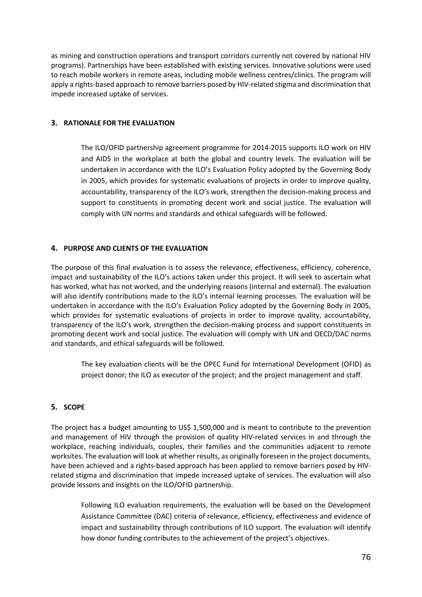as mining and construction operations and transport corridors currently not covered by national HIV programs). Partnerships have been established with existing services. Innovative solutions were used to reach mobile workers in remote areas, including mobile wellness centres/clinics. The program will apply a rights-based approach to remove barriers posed by HIV-related stigma and discrimination that impede increased uptake of services.

## **3. RATIONALE FOR THE EVALUATION**

The ILO/OFID partnership agreement programme for 2014-2015 supports ILO work on HIV and AIDS in the workplace at both the global and country levels. The evaluation will be undertaken in accordance with the ILO's Evaluation Policy adopted by the Governing Body in 2005, which provides for systematic evaluations of projects in order to improve quality, accountability, transparency of the ILO's work, strengthen the decision-making process and support to constituents in promoting decent work and social justice. The evaluation will comply with UN norms and standards and ethical safeguards will be followed.

## **4. PURPOSE AND CLIENTS OF THE EVALUATION**

The purpose of this final evaluation is to assess the relevance, effectiveness, efficiency, coherence, impact and sustainability of the ILO's actions taken under this project. It will seek to ascertain what has worked, what has not worked, and the underlying reasons (internal and external). The evaluation will also identify contributions made to the ILO's internal learning processes. The evaluation will be undertaken in accordance with the ILO's Evaluation Policy adopted by the Governing Body in 2005, which provides for systematic evaluations of projects in order to improve quality, accountability, transparency of the ILO's work, strengthen the decision-making process and support constituents in promoting decent work and social justice. The evaluation will comply with UN and OECD/DAC norms and standards, and ethical safeguards will be followed.

The key evaluation clients will be the OPEC Fund for International Development (OFID) as project donor; the ILO as executor of the project; and the project management and staff.

#### **5. SCOPE**

The project has a budget amounting to US\$ 1,500,000 and is meant to contribute to the prevention and management of HIV through the provision of quality HIV-related services in and through the workplace, reaching individuals, couples, their families and the communities adjacent to remote worksites. The evaluation will look at whether results, as originally foreseen in the project documents, have been achieved and a rights-based approach has been applied to remove barriers posed by HIVrelated stigma and discrimination that impede increased uptake of services. The evaluation will also provide lessons and insights on the ILO/OFID partnership.

Following ILO evaluation requirements, the evaluation will be based on the Development Assistance Committee (DAC) criteria of relevance, efficiency, effectiveness and evidence of impact and sustainability through contributions of ILO support. The evaluation will identify how donor funding contributes to the achievement of the project's objectives.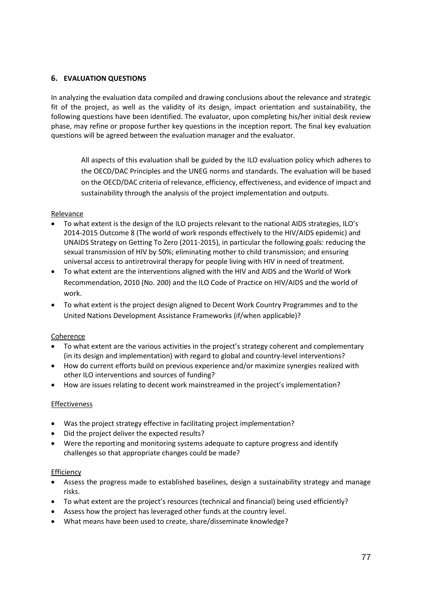## **6. EVALUATION QUESTIONS**

In analyzing the evaluation data compiled and drawing conclusions about the relevance and strategic fit of the project, as well as the validity of its design, impact orientation and sustainability, the following questions have been identified. The evaluator, upon completing his/her initial desk review phase, may refine or propose further key questions in the inception report. The final key evaluation questions will be agreed between the evaluation manager and the evaluator.

All aspects of this evaluation shall be guided by the ILO evaluation policy which adheres to the OECD/DAC Principles and the UNEG norms and standards. The evaluation will be based on the OECD/DAC criteria of relevance, efficiency, effectiveness, and evidence of impact and sustainability through the analysis of the project implementation and outputs.

#### Relevance

- To what extent is the design of the ILO projects relevant to the national AIDS strategies, ILO's 2014-2015 Outcome 8 (The world of work responds effectively to the HIV/AIDS epidemic) and UNAIDS Strategy on Getting To Zero (2011-2015), in particular the following goals: reducing the sexual transmission of HIV by 50%; eliminating mother to child transmission; and ensuring universal access to antiretroviral therapy for people living with HIV in need of treatment.
- To what extent are the interventions aligned with the HIV and AIDS and the World of Work Recommendation, 2010 (No. 200) and the ILO Code of Practice on HIV/AIDS and the world of work.
- To what extent is the project design aligned to Decent Work Country Programmes and to the United Nations Development Assistance Frameworks (if/when applicable)?

## Coherence

- To what extent are the various activities in the project's strategy coherent and complementary (in its design and implementation) with regard to global and country-level interventions?
- How do current efforts build on previous experience and/or maximize synergies realized with other ILO interventions and sources of funding?
- How are issues relating to decent work mainstreamed in the project's implementation?

#### **Effectiveness**

- Was the project strategy effective in facilitating project implementation?
- Did the project deliver the expected results?
- Were the reporting and monitoring systems adequate to capture progress and identify challenges so that appropriate changes could be made?

#### **Efficiency**

- Assess the progress made to established baselines, design a sustainability strategy and manage risks.
- To what extent are the project's resources (technical and financial) being used efficiently?
- Assess how the project has leveraged other funds at the country level.
- What means have been used to create, share/disseminate knowledge?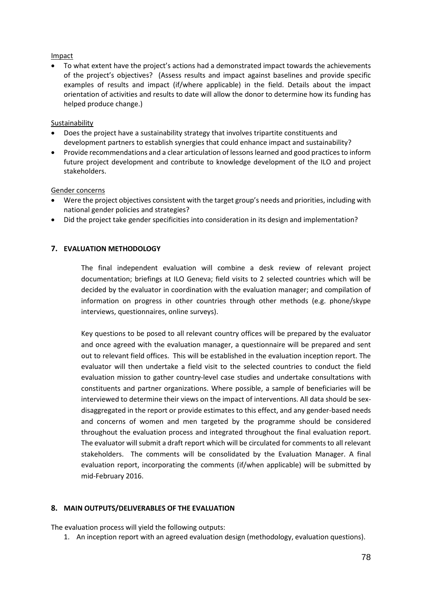## Impact

• To what extent have the project's actions had a demonstrated impact towards the achievements of the project's objectives? (Assess results and impact against baselines and provide specific examples of results and impact (if/where applicable) in the field. Details about the impact orientation of activities and results to date will allow the donor to determine how its funding has helped produce change.)

## Sustainability

- Does the project have a sustainability strategy that involves tripartite constituents and development partners to establish synergies that could enhance impact and sustainability?
- Provide recommendations and a clear articulation of lessonslearned and good practices to inform future project development and contribute to knowledge development of the ILO and project stakeholders.

## Gender concerns

- Were the project objectives consistent with the target group's needs and priorities, including with national gender policies and strategies?
- Did the project take gender specificities into consideration in its design and implementation?

## **7. EVALUATION METHODOLOGY**

The final independent evaluation will combine a desk review of relevant project documentation; briefings at ILO Geneva; field visits to 2 selected countries which will be decided by the evaluator in coordination with the evaluation manager; and compilation of information on progress in other countries through other methods (e.g. phone/skype interviews, questionnaires, online surveys).

Key questions to be posed to all relevant country offices will be prepared by the evaluator and once agreed with the evaluation manager, a questionnaire will be prepared and sent out to relevant field offices. This will be established in the evaluation inception report. The evaluator will then undertake a field visit to the selected countries to conduct the field evaluation mission to gather country-level case studies and undertake consultations with constituents and partner organizations. Where possible, a sample of beneficiaries will be interviewed to determine their views on the impact of interventions. All data should be sexdisaggregated in the report or provide estimates to this effect, and any gender-based needs and concerns of women and men targeted by the programme should be considered throughout the evaluation process and integrated throughout the final evaluation report. The evaluator will submit a draft report which will be circulated for comments to all relevant stakeholders. The comments will be consolidated by the Evaluation Manager. A final evaluation report, incorporating the comments (if/when applicable) will be submitted by mid-February 2016.

## **8. MAIN OUTPUTS/DELIVERABLES OF THE EVALUATION**

The evaluation process will yield the following outputs:

1. An inception report with an agreed evaluation design (methodology, evaluation questions).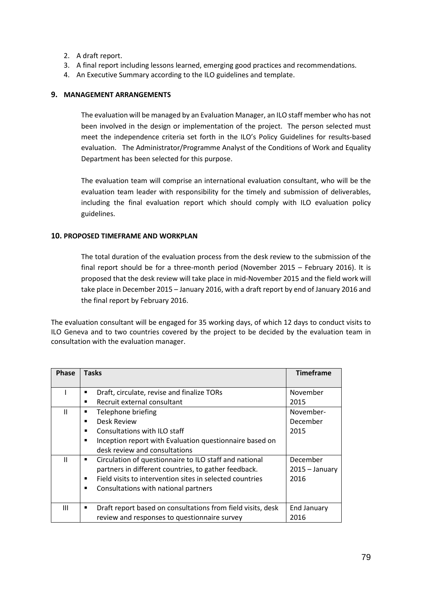- 2. A draft report.
- 3. A final report including lessons learned, emerging good practices and recommendations.
- 4. An Executive Summary according to the ILO guidelines and template.

## **9. MANAGEMENT ARRANGEMENTS**

The evaluation will be managed by an Evaluation Manager, an ILO staff member who has not been involved in the design or implementation of the project. The person selected must meet the independence criteria set forth in the ILO's Policy Guidelines for results-based evaluation. The Administrator/Programme Analyst of the Conditions of Work and Equality Department has been selected for this purpose.

The evaluation team will comprise an international evaluation consultant, who will be the evaluation team leader with responsibility for the timely and submission of deliverables, including the final evaluation report which should comply with ILO evaluation policy guidelines.

## **10. PROPOSED TIMEFRAME AND WORKPLAN**

The total duration of the evaluation process from the desk review to the submission of the final report should be for a three-month period (November 2015 – February 2016). It is proposed that the desk review will take place in mid-November 2015 and the field work will take place in December 2015 – January 2016, with a draft report by end of January 2016 and the final report by February 2016.

The evaluation consultant will be engaged for 35 working days, of which 12 days to conduct visits to ILO Geneva and to two countries covered by the project to be decided by the evaluation team in consultation with the evaluation manager.

| <b>Phase</b> | <b>Tasks</b>                                                                                                                                                                                                                 | <b>Timeframe</b>                     |
|--------------|------------------------------------------------------------------------------------------------------------------------------------------------------------------------------------------------------------------------------|--------------------------------------|
|              | Draft, circulate, revise and finalize TORs<br>Recruit external consultant                                                                                                                                                    | November<br>2015                     |
| Ш            | Telephone briefing<br><b>Desk Review</b><br>п<br>Consultations with ILO staff<br>Inception report with Evaluation questionnaire based on<br>п<br>desk review and consultations                                               | November-<br>December<br>2015        |
| $\mathbf{H}$ | Circulation of questionnaire to ILO staff and national<br>٠<br>partners in different countries, to gather feedback.<br>Field visits to intervention sites in selected countries<br>Consultations with national partners<br>٠ | December<br>$2015 - January$<br>2016 |
| Ш            | Draft report based on consultations from field visits, desk<br>review and responses to questionnaire survey                                                                                                                  | End January<br>2016                  |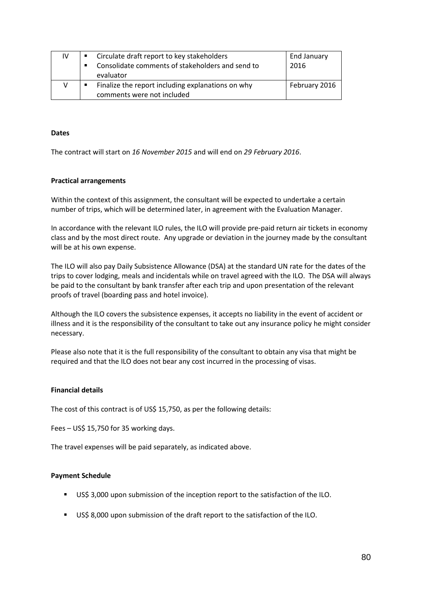| IV | Circulate draft report to key stakeholders        | End January   |
|----|---------------------------------------------------|---------------|
|    | Consolidate comments of stakeholders and send to  | 2016          |
|    | evaluator                                         |               |
| v  | Finalize the report including explanations on why | February 2016 |
|    | comments were not included                        |               |

#### **Dates**

The contract will start on *16 November 2015* and will end on *29 February 2016*.

#### **Practical arrangements**

Within the context of this assignment, the consultant will be expected to undertake a certain number of trips, which will be determined later, in agreement with the Evaluation Manager.

In accordance with the relevant ILO rules, the ILO will provide pre-paid return air tickets in economy class and by the most direct route. Any upgrade or deviation in the journey made by the consultant will be at his own expense.

The ILO will also pay Daily Subsistence Allowance (DSA) at the standard UN rate for the dates of the trips to cover lodging, meals and incidentals while on travel agreed with the ILO. The DSA will always be paid to the consultant by bank transfer after each trip and upon presentation of the relevant proofs of travel (boarding pass and hotel invoice).

Although the ILO covers the subsistence expenses, it accepts no liability in the event of accident or illness and it is the responsibility of the consultant to take out any insurance policy he might consider necessary.

Please also note that it is the full responsibility of the consultant to obtain any visa that might be required and that the ILO does not bear any cost incurred in the processing of visas.

#### **Financial details**

The cost of this contract is of US\$ 15,750, as per the following details:

Fees – US\$ 15,750 for 35 working days.

The travel expenses will be paid separately, as indicated above.

#### **Payment Schedule**

- US\$ 3,000 upon submission of the inception report to the satisfaction of the ILO.
- US\$ 8,000 upon submission of the draft report to the satisfaction of the ILO.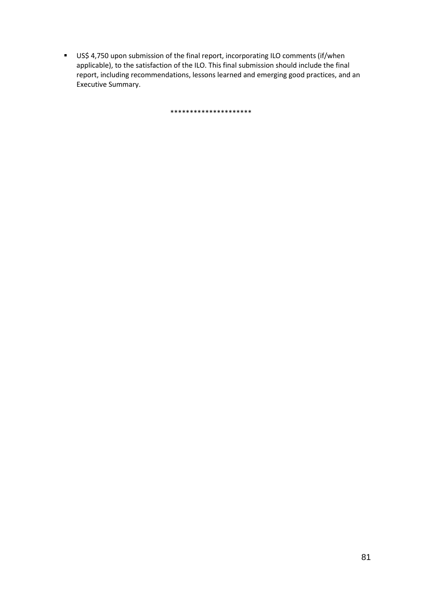US\$ 4,750 upon submission of the final report, incorporating ILO comments (if/when applicable), to the satisfaction of the ILO. This final submission should include the final report, including recommendations, lessons learned and emerging good practices, and an Executive Summary.

\*\*\*\*\*\*\*\*\*\*\*\*\*\*\*\*\*\*\*\*\*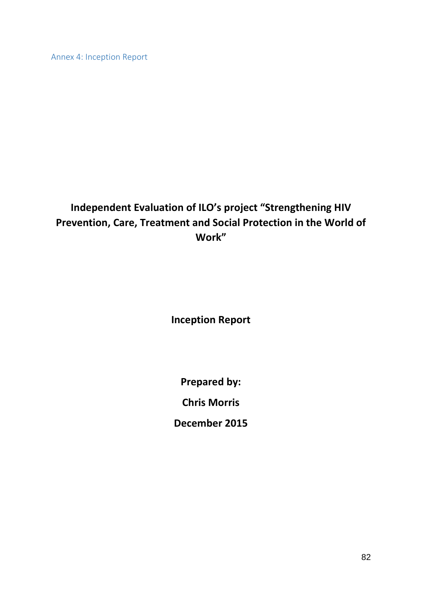Annex 4: Inception Report

# **Independent Evaluation of ILO's project "Strengthening HIV Prevention, Care, Treatment and Social Protection in the World of Work"**

**Inception Report**

**Prepared by:**

**Chris Morris**

**December 2015**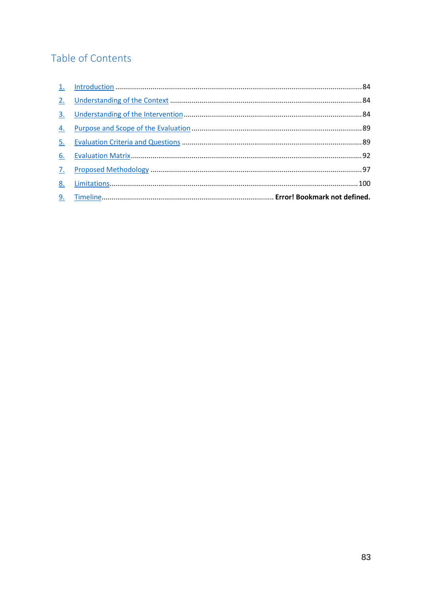# Table of Contents

| 3. |  |
|----|--|
| 4. |  |
| 5. |  |
| 6. |  |
| 7. |  |
| 8. |  |
|    |  |
|    |  |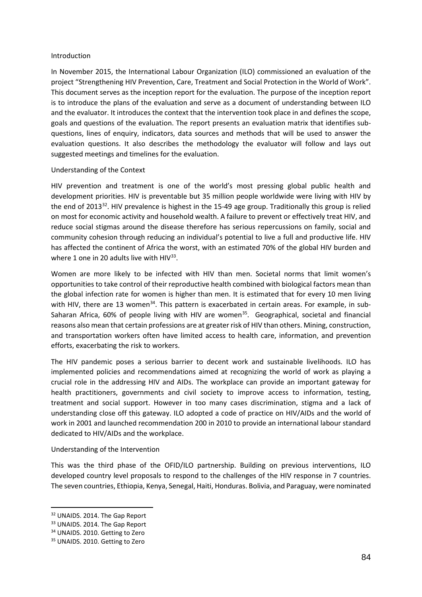#### <span id="page-84-0"></span>Introduction

In November 2015, the International Labour Organization (ILO) commissioned an evaluation of the project "Strengthening HIV Prevention, Care, Treatment and Social Protection in the World of Work". This document serves as the inception report for the evaluation. The purpose of the inception report is to introduce the plans of the evaluation and serve as a document of understanding between ILO and the evaluator. It introduces the context that the intervention took place in and defines the scope, goals and questions of the evaluation. The report presents an evaluation matrix that identifies subquestions, lines of enquiry, indicators, data sources and methods that will be used to answer the evaluation questions. It also describes the methodology the evaluator will follow and lays out suggested meetings and timelines for the evaluation.

## <span id="page-84-1"></span>Understanding of the Context

HIV prevention and treatment is one of the world's most pressing global public health and development priorities. HIV is preventable but 35 million people worldwide were living with HIV by the end of 2013[32](#page-84-3). HIV prevalence is highest in the 15-49 age group. Traditionally this group is relied on most for economic activity and household wealth. A failure to prevent or effectively treat HIV, and reduce social stigmas around the disease therefore has serious repercussions on family, social and community cohesion through reducing an individual's potential to live a full and productive life. HIV has affected the continent of Africa the worst, with an estimated 70% of the global HIV burden and where 1 one in 20 adults live with  $HIV^{33}$ .

Women are more likely to be infected with HIV than men. Societal norms that limit women's opportunities to take control of their reproductive health combined with biological factors mean than the global infection rate for women is higher than men. It is estimated that for every 10 men living with HIV, there are 13 women<sup>[34](#page-84-5)</sup>. This pattern is exacerbated in certain areas. For example, in sub-Saharan Africa, 60% of people living with HIV are women<sup>35</sup>. Geographical, societal and financial reasons also mean that certain professions are at greater risk of HIV than others. Mining, construction, and transportation workers often have limited access to health care, information, and prevention efforts, exacerbating the risk to workers.

The HIV pandemic poses a serious barrier to decent work and sustainable livelihoods. ILO has implemented policies and recommendations aimed at recognizing the world of work as playing a crucial role in the addressing HIV and AIDs. The workplace can provide an important gateway for health practitioners, governments and civil society to improve access to information, testing, treatment and social support. However in too many cases discrimination, stigma and a lack of understanding close off this gateway. ILO adopted a code of practice on HIV/AIDs and the world of work in 2001 and launched recommendation 200 in 2010 to provide an international labour standard dedicated to HIV/AIDs and the workplace.

#### <span id="page-84-2"></span>Understanding of the Intervention

This was the third phase of the OFID/ILO partnership. Building on previous interventions, ILO developed country level proposals to respond to the challenges of the HIV response in 7 countries. The seven countries, Ethiopia, Kenya, Senegal, Haiti, Honduras. Bolivia, and Paraguay, were nominated

<span id="page-84-3"></span> <sup>32</sup> UNAIDS. 2014. The Gap Report

<span id="page-84-4"></span><sup>&</sup>lt;sup>33</sup> UNAIDS. 2014. The Gap Report

<span id="page-84-5"></span><sup>&</sup>lt;sup>34</sup> UNAIDS. 2010. Getting to Zero

<span id="page-84-6"></span><sup>&</sup>lt;sup>35</sup> UNAIDS, 2010. Getting to Zero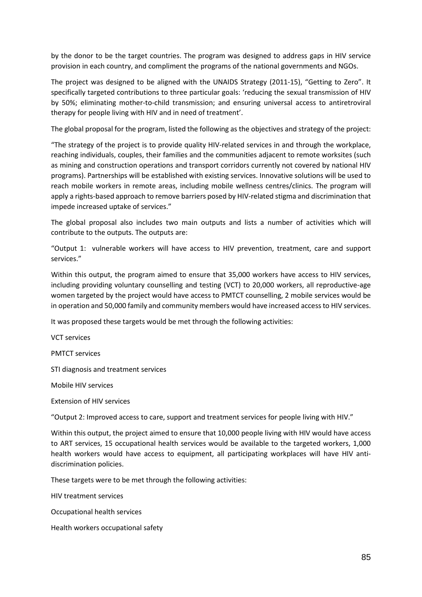by the donor to be the target countries. The program was designed to address gaps in HIV service provision in each country, and compliment the programs of the national governments and NGOs.

The project was designed to be aligned with the UNAIDS Strategy (2011-15), "Getting to Zero". It specifically targeted contributions to three particular goals: 'reducing the sexual transmission of HIV by 50%; eliminating mother-to-child transmission; and ensuring universal access to antiretroviral therapy for people living with HIV and in need of treatment'.

The global proposal for the program, listed the following as the objectives and strategy of the project:

"The strategy of the project is to provide quality HIV-related services in and through the workplace, reaching individuals, couples, their families and the communities adjacent to remote worksites (such as mining and construction operations and transport corridors currently not covered by national HIV programs). Partnerships will be established with existing services. Innovative solutions will be used to reach mobile workers in remote areas, including mobile wellness centres/clinics. The program will apply a rights-based approach to remove barriers posed by HIV-related stigma and discrimination that impede increased uptake of services."

The global proposal also includes two main outputs and lists a number of activities which will contribute to the outputs. The outputs are:

"Output 1: vulnerable workers will have access to HIV prevention, treatment, care and support services."

Within this output, the program aimed to ensure that 35,000 workers have access to HIV services, including providing voluntary counselling and testing (VCT) to 20,000 workers, all reproductive-age women targeted by the project would have access to PMTCT counselling, 2 mobile services would be in operation and 50,000 family and community members would have increased access to HIV services.

It was proposed these targets would be met through the following activities:

VCT services

PMTCT services

STI diagnosis and treatment services

Mobile HIV services

Extension of HIV services

"Output 2: Improved access to care, support and treatment services for people living with HIV."

Within this output, the project aimed to ensure that 10,000 people living with HIV would have access to ART services, 15 occupational health services would be available to the targeted workers, 1,000 health workers would have access to equipment, all participating workplaces will have HIV antidiscrimination policies.

These targets were to be met through the following activities:

HIV treatment services

Occupational health services

Health workers occupational safety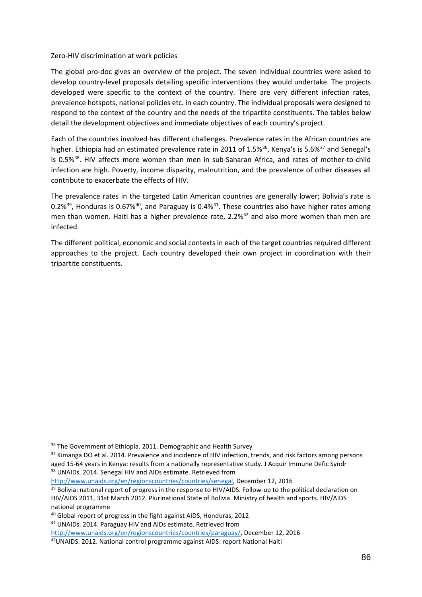#### Zero-HIV discrimination at work policies

The global pro-doc gives an overview of the project. The seven individual countries were asked to develop country-level proposals detailing specific interventions they would undertake. The projects developed were specific to the context of the country. There are very different infection rates, prevalence hotspots, national policies etc. in each country. The individual proposals were designed to respond to the context of the country and the needs of the tripartite constituents. The tables below detail the development objectives and immediate objectives of each country's project.

Each of the countries involved has different challenges. Prevalence rates in the African countries are higher. Ethiopia had an estimated prevalence rate in 2011 of 1.5%<sup>[36](#page-86-0)</sup>, Kenya's is 5.6%<sup>[37](#page-86-1)</sup> and Senegal's is 0.5%<sup>[38](#page-86-2)</sup>. HIV affects more women than men in sub-Saharan Africa, and rates of mother-to-child infection are high. Poverty, income disparity, malnutrition, and the prevalence of other diseases all contribute to exacerbate the effects of HIV.

The prevalence rates in the targeted Latin American countries are generally lower; Bolivia's rate is 0.2%<sup>[39](#page-86-3)</sup>, Honduras is 0.67%<sup>40</sup>, and Paraguay is 0.4%<sup>[41](#page-86-5)</sup>. These countries also have higher rates among men than women. Haiti has a higher prevalence rate, 2.2%<sup>[42](#page-86-6)</sup> and also more women than men are infected.

The different political, economic and social contexts in each of the target countries required different approaches to the project. Each country developed their own project in coordination with their tripartite constituents.

<span id="page-86-2"></span>[http://www.unaids.org/en/regionscountries/countries/senegal,](http://www.unaids.org/en/regionscountries/countries/senegal) December 12, 2016

<span id="page-86-0"></span><sup>&</sup>lt;sup>36</sup> The Government of Ethiopia. 2011. Demographic and Health Survey

<span id="page-86-1"></span><sup>&</sup>lt;sup>37</sup> Kimanga DO et al. 2014. Prevalence and incidence of HIV infection, trends, and risk factors among persons aged 15-64 years in Kenya: results from a nationally representative study. J Acquir Immune Defic Syndr 38 UNAIDs. 2014. Senegal HIV and AIDs estimate. Retrieved from

<span id="page-86-3"></span><sup>&</sup>lt;sup>39</sup> Bolivia: national report of progress in the response to HIV/AIDS. Follow-up to the political declaration on HIV/AIDS 2011, 31st March 2012. Plurinational State of Bolivia. Ministry of health and sports. HIV/AIDS national programme

<span id="page-86-4"></span><sup>40</sup> Global report of progress in the fight against AIDS, Honduras, 2012

<span id="page-86-5"></span><sup>&</sup>lt;sup>41</sup> UNAIDs. 2014. Paraguay HIV and AIDs estimate. Retrieved from

[http://www.unaids.org/en/regionscountries/countries/paraguay/,](http://www.unaids.org/en/regionscountries/countries/paraguay/) December 12, 2016

<span id="page-86-6"></span><sup>42</sup>UNAIDS. 2012. National control programme against AIDS: report National Haiti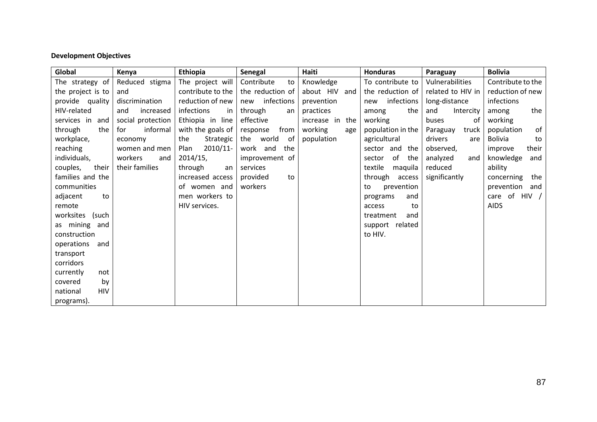# **Development Objectives**

| Global                 | Kenya             | Ethiopia          | Senegal           | Haiti              | Honduras            | Paraguay          | <b>Bolivia</b>    |
|------------------------|-------------------|-------------------|-------------------|--------------------|---------------------|-------------------|-------------------|
| The strategy of        | Reduced stigma    | The project will  | Contribute<br>to  | Knowledge          | To contribute to    | Vulnerabilities   | Contribute to the |
| the project is to      | and               | contribute to the | the reduction of  | about HIV and      | the reduction of    | related to HIV in | reduction of new  |
| provide quality        | discrimination    | reduction of new  | infections<br>new | prevention         | infections<br>new   | long-distance     | infections        |
| HIV-related            | increased<br>and  | infections<br>in  | through<br>an     | practices          | the<br>among        | and<br>Intercity  | the<br>among      |
| services in<br>and     | social protection | Ethiopia in line  | effective         | increase in<br>the | working             | buses<br>οf       | working           |
| through<br>the         | informal<br>for   | with the goals of | from<br>response  | working<br>age     | population in the   | Paraguay<br>truck | of<br>population  |
| workplace,             | economy           | the<br>Strategic  | the world<br>of   | population         | agricultural        | drivers<br>are    | Bolivia<br>to     |
| reaching               | women and men     | 2010/11-<br>Plan  | work and<br>the   |                    | sector and the      | observed,         | their<br>improve  |
| individuals,           | workers<br>and    | 2014/15,          | improvement of    |                    | of<br>the<br>sector | analyzed<br>and   | knowledge<br>and  |
| their<br>couples,      | their families    | through<br>an     | services          |                    | textile<br>maquila  | reduced           | ability           |
| families and the       |                   | increased access  | provided<br>to    |                    | through<br>access   | significantly     | the<br>concerning |
| communities            |                   | of women and      | workers           |                    | prevention<br>to    |                   | prevention<br>and |
| adjacent<br>to         |                   | men workers to    |                   |                    | and<br>programs     |                   | care of HIV $/$   |
| remote                 |                   | HIV services.     |                   |                    | access<br>to        |                   | <b>AIDS</b>       |
| worksites (such        |                   |                   |                   |                    | treatment<br>and    |                   |                   |
| as mining and          |                   |                   |                   |                    | support related     |                   |                   |
| construction           |                   |                   |                   |                    | to HIV.             |                   |                   |
| operations<br>and      |                   |                   |                   |                    |                     |                   |                   |
| transport              |                   |                   |                   |                    |                     |                   |                   |
| corridors              |                   |                   |                   |                    |                     |                   |                   |
| currently<br>not       |                   |                   |                   |                    |                     |                   |                   |
| covered<br>by          |                   |                   |                   |                    |                     |                   |                   |
| <b>HIV</b><br>national |                   |                   |                   |                    |                     |                   |                   |
| programs).             |                   |                   |                   |                    |                     |                   |                   |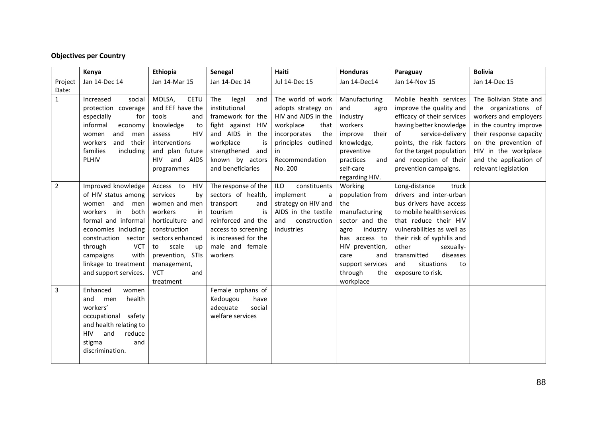# **Objectives per Country**

|                | Kenya                   | <b>Ethiopia</b>           | Senegal              | Haiti               | <b>Honduras</b>  | Paraguay                   | <b>Bolivia</b>          |
|----------------|-------------------------|---------------------------|----------------------|---------------------|------------------|----------------------------|-------------------------|
| Project        | Jan 14-Dec 14           | Jan 14-Mar 15             | Jan 14-Dec 14        | Jul 14-Dec 15       | Jan 14-Dec14     | Jan 14-Nov 15              | Jan 14-Dec 15           |
| Date:          |                         |                           |                      |                     |                  |                            |                         |
| $\mathbf{1}$   | Increased<br>social     | MOLSA,<br><b>CETU</b>     | The<br>legal<br>and  | The world of work   | Manufacturing    | Mobile health services     | The Bolivian State and  |
|                | protection coverage     | and EEF have the          | institutional        | adopts strategy on  | and<br>agro      | improve the quality and    | the organizations of    |
|                | especially<br>for       | tools<br>and              | framework for the    | HIV and AIDS in the | industry         | efficacy of their services | workers and employers   |
|                | informal<br>economy     | knowledge<br>to           | fight against HIV    | workplace<br>that   | workers          | having better knowledge    | in the country improve  |
|                | and<br>women<br>men     | <b>HIV</b><br>assess      | and AIDS in the      | incorporates<br>the | improve<br>their | of<br>service-delivery     | their response capacity |
|                | workers<br>and<br>their | interventions             | workplace<br>is      | principles outlined | knowledge,       | points, the risk factors   | on the prevention of    |
|                | families<br>including   | and plan future           | strengthened and     | in.                 | preventive       | for the target population  | HIV in the workplace    |
|                | PLHIV                   | <b>HIV</b><br>and<br>AIDS | known by actors      | Recommendation      | practices<br>and | and reception of their     | and the application of  |
|                |                         | programmes                | and beneficiaries    | No. 200             | self-care        | prevention campaigns.      | relevant legislation    |
|                |                         |                           |                      |                     | regarding HIV.   |                            |                         |
| $\overline{2}$ | Improved knowledge      | Access to<br>HIV          | The response of the  | ILO<br>constituents | Working          | Long-distance<br>truck     |                         |
|                | of HIV status among     | services<br>by            | sectors of health,   | implement<br>a      | population from  | drivers and inter-urban    |                         |
|                | and<br>men<br>women     | women and men             | transport<br>and     | strategy on HIV and | the              | bus drivers have access    |                         |
|                | both<br>workers<br>in   | workers<br>in             | tourism<br>is        | AIDS in the textile | manufacturing    | to mobile health services  |                         |
|                | formal and informal     | horticulture and          | reinforced and the   | construction<br>and | sector and the   | that reduce their HIV      |                         |
|                | economies including     | construction              | access to screening  | industries          | industry<br>agro | vulnerabilities as well as |                         |
|                | construction sector     | sectors enhanced          | is increased for the |                     | has access to    | their risk of syphilis and |                         |
|                | through<br><b>VCT</b>   | scale<br>to<br>up         | male and female      |                     | HIV prevention,  | other<br>sexually-         |                         |
|                | campaigns<br>with       | prevention, STIs          | workers              |                     | care<br>and      | diseases<br>transmitted    |                         |
|                | linkage to treatment    | management,               |                      |                     | support services | and<br>situations<br>to    |                         |
|                | and support services.   | <b>VCT</b><br>and         |                      |                     | through<br>the   | exposure to risk.          |                         |
|                |                         | treatment                 |                      |                     | workplace        |                            |                         |
| 3              | Enhanced<br>women       |                           | Female orphans of    |                     |                  |                            |                         |
|                | and<br>health<br>men    |                           | Kedougou<br>have     |                     |                  |                            |                         |
|                | workers'                |                           | adequate<br>social   |                     |                  |                            |                         |
|                | occupational safety     |                           | welfare services     |                     |                  |                            |                         |
|                | and health relating to  |                           |                      |                     |                  |                            |                         |
|                | HIV and<br>reduce       |                           |                      |                     |                  |                            |                         |
|                | stigma<br>and           |                           |                      |                     |                  |                            |                         |
|                | discrimination.         |                           |                      |                     |                  |                            |                         |
|                |                         |                           |                      |                     |                  |                            |                         |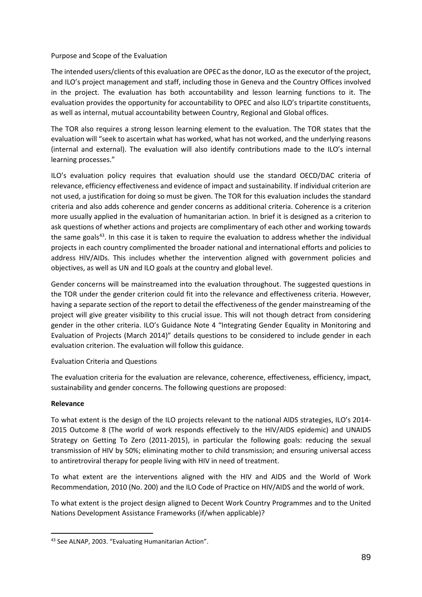### <span id="page-89-0"></span>Purpose and Scope of the Evaluation

The intended users/clients of this evaluation are OPEC as the donor, ILO as the executor of the project, and ILO's project management and staff, including those in Geneva and the Country Offices involved in the project. The evaluation has both accountability and lesson learning functions to it. The evaluation provides the opportunity for accountability to OPEC and also ILO's tripartite constituents, as well as internal, mutual accountability between Country, Regional and Global offices.

The TOR also requires a strong lesson learning element to the evaluation. The TOR states that the evaluation will "seek to ascertain what has worked, what has not worked, and the underlying reasons (internal and external). The evaluation will also identify contributions made to the ILO's internal learning processes."

ILO's evaluation policy requires that evaluation should use the standard OECD/DAC criteria of relevance, efficiency effectiveness and evidence of impact and sustainability. If individual criterion are not used, a justification for doing so must be given. The TOR for this evaluation includes the standard criteria and also adds coherence and gender concerns as additional criteria. Coherence is a criterion more usually applied in the evaluation of humanitarian action. In brief it is designed as a criterion to ask questions of whether actions and projects are complimentary of each other and working towards the same goal[s43](#page-89-2). In this case it is taken to require the evaluation to address whether the individual projects in each country complimented the broader national and international efforts and policies to address HIV/AIDs. This includes whether the intervention aligned with government policies and objectives, as well as UN and ILO goals at the country and global level.

Gender concerns will be mainstreamed into the evaluation throughout. The suggested questions in the TOR under the gender criterion could fit into the relevance and effectiveness criteria. However, having a separate section of the report to detail the effectiveness of the gender mainstreaming of the project will give greater visibility to this crucial issue. This will not though detract from considering gender in the other criteria. ILO's Guidance Note 4 "Integrating Gender Equality in Monitoring and Evaluation of Projects (March 2014)" details questions to be considered to include gender in each evaluation criterion. The evaluation will follow this guidance.

## <span id="page-89-1"></span>Evaluation Criteria and Questions

The evaluation criteria for the evaluation are relevance, coherence, effectiveness, efficiency, impact, sustainability and gender concerns. The following questions are proposed:

## **Relevance**

To what extent is the design of the ILO projects relevant to the national AIDS strategies, ILO's 2014- 2015 Outcome 8 (The world of work responds effectively to the HIV/AIDS epidemic) and UNAIDS Strategy on Getting To Zero (2011-2015), in particular the following goals: reducing the sexual transmission of HIV by 50%; eliminating mother to child transmission; and ensuring universal access to antiretroviral therapy for people living with HIV in need of treatment.

To what extent are the interventions aligned with the HIV and AIDS and the World of Work Recommendation, 2010 (No. 200) and the ILO Code of Practice on HIV/AIDS and the world of work.

To what extent is the project design aligned to Decent Work Country Programmes and to the United Nations Development Assistance Frameworks (if/when applicable)?

<span id="page-89-2"></span> <sup>43</sup> See ALNAP, 2003. "Evaluating Humanitarian Action".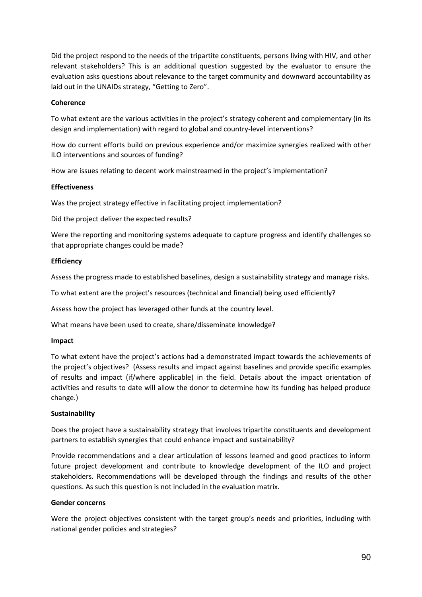Did the project respond to the needs of the tripartite constituents, persons living with HIV, and other relevant stakeholders? This is an additional question suggested by the evaluator to ensure the evaluation asks questions about relevance to the target community and downward accountability as laid out in the UNAIDs strategy, "Getting to Zero".

#### **Coherence**

To what extent are the various activities in the project's strategy coherent and complementary (in its design and implementation) with regard to global and country-level interventions?

How do current efforts build on previous experience and/or maximize synergies realized with other ILO interventions and sources of funding?

How are issues relating to decent work mainstreamed in the project's implementation?

## **Effectiveness**

Was the project strategy effective in facilitating project implementation?

Did the project deliver the expected results?

Were the reporting and monitoring systems adequate to capture progress and identify challenges so that appropriate changes could be made?

## **Efficiency**

Assess the progress made to established baselines, design a sustainability strategy and manage risks.

To what extent are the project's resources (technical and financial) being used efficiently?

Assess how the project has leveraged other funds at the country level.

What means have been used to create, share/disseminate knowledge?

#### **Impact**

To what extent have the project's actions had a demonstrated impact towards the achievements of the project's objectives? (Assess results and impact against baselines and provide specific examples of results and impact (if/where applicable) in the field. Details about the impact orientation of activities and results to date will allow the donor to determine how its funding has helped produce change.)

#### **Sustainability**

Does the project have a sustainability strategy that involves tripartite constituents and development partners to establish synergies that could enhance impact and sustainability?

Provide recommendations and a clear articulation of lessons learned and good practices to inform future project development and contribute to knowledge development of the ILO and project stakeholders. Recommendations will be developed through the findings and results of the other questions. As such this question is not included in the evaluation matrix.

#### **Gender concerns**

Were the project objectives consistent with the target group's needs and priorities, including with national gender policies and strategies?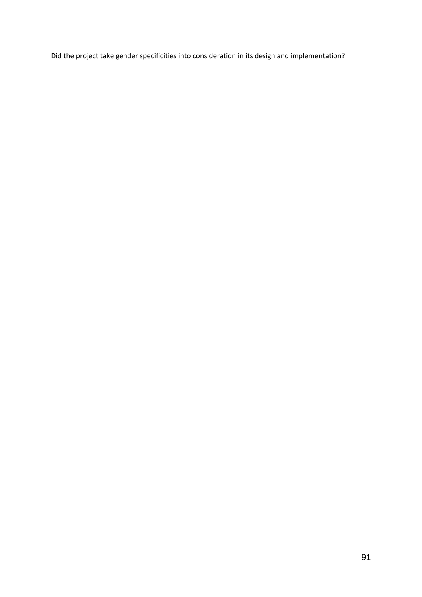Did the project take gender specificities into consideration in its design and implementation?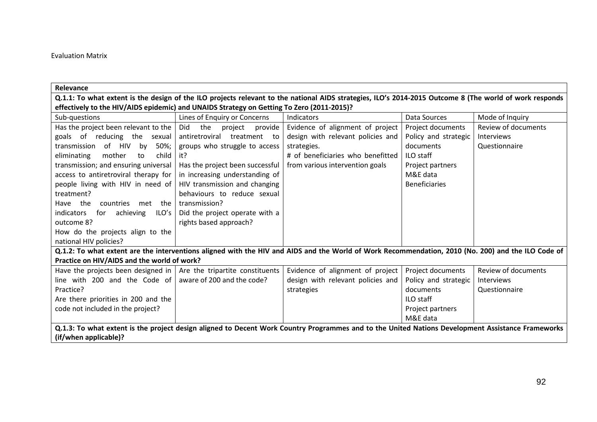## Evaluation Matrix

<span id="page-92-0"></span>

| Relevance                                                                                                                                               |                                                                                                                                                    |                                   |                      |                            |  |  |
|---------------------------------------------------------------------------------------------------------------------------------------------------------|----------------------------------------------------------------------------------------------------------------------------------------------------|-----------------------------------|----------------------|----------------------------|--|--|
| Q.1.1: To what extent is the design of the ILO projects relevant to the national AIDS strategies, ILO's 2014-2015 Outcome 8 (The world of work responds |                                                                                                                                                    |                                   |                      |                            |  |  |
| effectively to the HIV/AIDS epidemic) and UNAIDS Strategy on Getting To Zero (2011-2015)?                                                               |                                                                                                                                                    |                                   |                      |                            |  |  |
| Sub-questions                                                                                                                                           | Lines of Enquiry or Concerns                                                                                                                       | Indicators                        | Data Sources         | Mode of Inquiry            |  |  |
| Has the project been relevant to the                                                                                                                    | Did<br>the<br>project<br>provide                                                                                                                   | Evidence of alignment of project  | Project documents    | Review of documents        |  |  |
| goals of reducing the sexual                                                                                                                            | antiretroviral treatment to                                                                                                                        | design with relevant policies and | Policy and strategic | <b>Interviews</b>          |  |  |
| transmission of HIV by<br>$50\%;$                                                                                                                       | groups who struggle to access                                                                                                                      | strategies.                       | documents            | Questionnaire              |  |  |
| mother<br>eliminating<br>to<br>child l                                                                                                                  | it?                                                                                                                                                | # of beneficiaries who benefitted | ILO staff            |                            |  |  |
| transmission; and ensuring universal                                                                                                                    | Has the project been successful                                                                                                                    | from various intervention goals   | Project partners     |                            |  |  |
| access to antiretroviral therapy for                                                                                                                    | in increasing understanding of                                                                                                                     |                                   | M&E data             |                            |  |  |
| people living with HIV in need of                                                                                                                       | HIV transmission and changing                                                                                                                      |                                   | <b>Beneficiaries</b> |                            |  |  |
| treatment?                                                                                                                                              | behaviours to reduce sexual                                                                                                                        |                                   |                      |                            |  |  |
| Have the<br>countries<br>met the                                                                                                                        | transmission?                                                                                                                                      |                                   |                      |                            |  |  |
| achieving<br>ILO's<br>indicators<br>for                                                                                                                 | Did the project operate with a                                                                                                                     |                                   |                      |                            |  |  |
| outcome 8?                                                                                                                                              | rights based approach?                                                                                                                             |                                   |                      |                            |  |  |
| How do the projects align to the                                                                                                                        |                                                                                                                                                    |                                   |                      |                            |  |  |
| national HIV policies?                                                                                                                                  |                                                                                                                                                    |                                   |                      |                            |  |  |
|                                                                                                                                                         | Q.1.2: To what extent are the interventions aligned with the HIV and AIDS and the World of Work Recommendation, 2010 (No. 200) and the ILO Code of |                                   |                      |                            |  |  |
| Practice on HIV/AIDS and the world of work?                                                                                                             |                                                                                                                                                    |                                   |                      |                            |  |  |
| Have the projects been designed in $\vert$ Are the tripartite constituents                                                                              |                                                                                                                                                    | Evidence of alignment of project  | Project documents    | <b>Review of documents</b> |  |  |
| line with 200 and the Code of $\vert$ aware of 200 and the code?                                                                                        |                                                                                                                                                    | design with relevant policies and | Policy and strategic | Interviews                 |  |  |
| Practice?                                                                                                                                               |                                                                                                                                                    | strategies                        | documents            | Questionnaire              |  |  |
| Are there priorities in 200 and the                                                                                                                     |                                                                                                                                                    |                                   | ILO staff            |                            |  |  |
| code not included in the project?                                                                                                                       |                                                                                                                                                    |                                   | Project partners     |                            |  |  |
|                                                                                                                                                         |                                                                                                                                                    |                                   | M&E data             |                            |  |  |
| Q.1.3: To what extent is the project design aligned to Decent Work Country Programmes and to the United Nations Development Assistance Frameworks       |                                                                                                                                                    |                                   |                      |                            |  |  |
| (if/when applicable)?                                                                                                                                   |                                                                                                                                                    |                                   |                      |                            |  |  |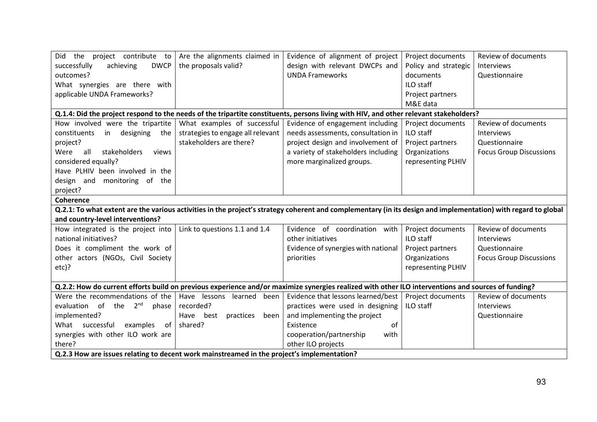| Did the project contribute to                                                                                                                                  | Are the alignments claimed in     | Evidence of alignment of project    | Project documents    | Review of documents            |
|----------------------------------------------------------------------------------------------------------------------------------------------------------------|-----------------------------------|-------------------------------------|----------------------|--------------------------------|
| successfully<br>achieving<br><b>DWCP</b>                                                                                                                       | the proposals valid?              | design with relevant DWCPs and      | Policy and strategic | <b>Interviews</b>              |
| outcomes?                                                                                                                                                      |                                   | <b>UNDA Frameworks</b>              | documents            | Questionnaire                  |
| What synergies are there with                                                                                                                                  |                                   |                                     | ILO staff            |                                |
| applicable UNDA Frameworks?                                                                                                                                    |                                   |                                     | Project partners     |                                |
|                                                                                                                                                                |                                   |                                     | M&E data             |                                |
| Q.1.4: Did the project respond to the needs of the tripartite constituents, persons living with HIV, and other relevant stakeholders?                          |                                   |                                     |                      |                                |
| How involved were the tripartite                                                                                                                               | What examples of successful       | Evidence of engagement including    | Project documents    | Review of documents            |
| constituents<br>in designing<br>the                                                                                                                            | strategies to engage all relevant | needs assessments, consultation in  | ILO staff            | Interviews                     |
| project?                                                                                                                                                       | stakeholders are there?           | project design and involvement of   | Project partners     | Questionnaire                  |
| stakeholders<br>all<br>views<br>Were                                                                                                                           |                                   | a variety of stakeholders including | Organizations        | <b>Focus Group Discussions</b> |
| considered equally?                                                                                                                                            |                                   | more marginalized groups.           | representing PLHIV   |                                |
| Have PLHIV been involved in the                                                                                                                                |                                   |                                     |                      |                                |
| design and monitoring of the                                                                                                                                   |                                   |                                     |                      |                                |
| project?                                                                                                                                                       |                                   |                                     |                      |                                |
| <b>Coherence</b>                                                                                                                                               |                                   |                                     |                      |                                |
| Q.2.1: To what extent are the various activities in the project's strategy coherent and complementary (in its design and implementation) with regard to global |                                   |                                     |                      |                                |
| and country-level interventions?                                                                                                                               |                                   |                                     |                      |                                |
| How integrated is the project into                                                                                                                             | Link to questions 1.1 and 1.4     | Evidence of coordination with       | Project documents    | Review of documents            |
| national initiatives?                                                                                                                                          |                                   | other initiatives                   | ILO staff            | Interviews                     |
| Does it compliment the work of                                                                                                                                 |                                   | Evidence of synergies with national | Project partners     | Questionnaire                  |
| other actors (NGOs, Civil Society                                                                                                                              |                                   | priorities                          | Organizations        | <b>Focus Group Discussions</b> |
| $etc$ ?                                                                                                                                                        |                                   |                                     | representing PLHIV   |                                |
|                                                                                                                                                                |                                   |                                     |                      |                                |
| Q.2.2: How do current efforts build on previous experience and/or maximize synergies realized with other ILO interventions and sources of funding?             |                                   |                                     |                      |                                |
| Were the recommendations of the                                                                                                                                | Have lessons learned<br>been      | Evidence that lessons learned/best  | Project documents    | Review of documents            |
| evaluation of the 2 <sup>nd</sup><br>phase                                                                                                                     | recorded?                         | practices were used in designing    | ILO staff            | <b>Interviews</b>              |
| implemented?                                                                                                                                                   | practices<br>Have best<br>been    | and implementing the project        |                      | Questionnaire                  |
| What successful<br>of I<br>examples                                                                                                                            | shared?                           | Existence<br>of                     |                      |                                |
| synergies with other ILO work are                                                                                                                              |                                   | cooperation/partnership<br>with     |                      |                                |
| there?                                                                                                                                                         |                                   | other ILO projects                  |                      |                                |
| Q.2.3 How are issues relating to decent work mainstreamed in the project's implementation?                                                                     |                                   |                                     |                      |                                |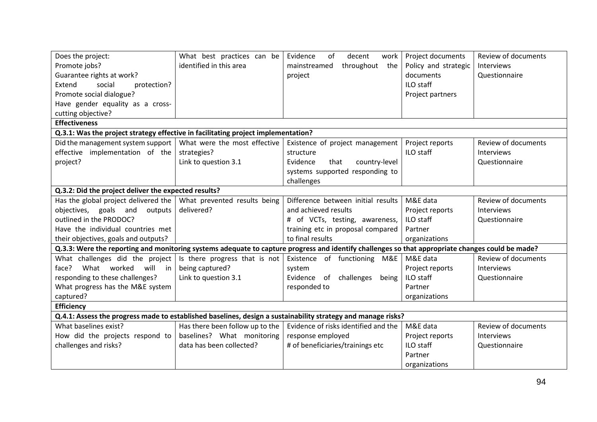| Does the project:                                                                                                                                | What best practices can be      | Evidence<br>of<br>decent<br>work     | Project documents    | Review of documents |
|--------------------------------------------------------------------------------------------------------------------------------------------------|---------------------------------|--------------------------------------|----------------------|---------------------|
| Promote jobs?                                                                                                                                    | identified in this area         | throughout the<br>mainstreamed       | Policy and strategic | Interviews          |
| Guarantee rights at work?                                                                                                                        |                                 | project                              | documents            | Questionnaire       |
| Extend<br>social<br>protection?                                                                                                                  |                                 |                                      | ILO staff            |                     |
| Promote social dialogue?                                                                                                                         |                                 |                                      | Project partners     |                     |
| Have gender equality as a cross-                                                                                                                 |                                 |                                      |                      |                     |
| cutting objective?                                                                                                                               |                                 |                                      |                      |                     |
| <b>Effectiveness</b>                                                                                                                             |                                 |                                      |                      |                     |
| Q.3.1: Was the project strategy effective in facilitating project implementation?                                                                |                                 |                                      |                      |                     |
| Did the management system support                                                                                                                | What were the most effective    | Existence of project management      | Project reports      | Review of documents |
| effective implementation of the                                                                                                                  | strategies?                     | structure                            | ILO staff            | Interviews          |
| project?                                                                                                                                         | Link to question 3.1            | Evidence<br>that<br>country-level    |                      | Questionnaire       |
|                                                                                                                                                  |                                 | systems supported responding to      |                      |                     |
|                                                                                                                                                  |                                 | challenges                           |                      |                     |
| Q.3.2: Did the project deliver the expected results?                                                                                             |                                 |                                      |                      |                     |
| Has the global project delivered the                                                                                                             | What prevented results being    | Difference between initial results   | M&E data             | Review of documents |
| objectives, goals and outputs                                                                                                                    | delivered?                      | and achieved results                 | Project reports      | Interviews          |
| outlined in the PRODOC?                                                                                                                          |                                 | # of VCTs, testing, awareness,       | ILO staff            | Questionnaire       |
| Have the individual countries met                                                                                                                |                                 | training etc in proposal compared    | Partner              |                     |
| their objectives, goals and outputs?                                                                                                             |                                 | to final results                     | organizations        |                     |
| Q.3.3: Were the reporting and monitoring systems adequate to capture progress and identify challenges so that appropriate changes could be made? |                                 |                                      |                      |                     |
| What challenges did the project                                                                                                                  | Is there progress that is not   | Existence of functioning M&E         | M&E data             | Review of documents |
| What worked will in<br>face?                                                                                                                     | being captured?                 | system                               | Project reports      | Interviews          |
| responding to these challenges?                                                                                                                  | Link to question 3.1            | Evidence of challenges<br>being      | ILO staff            | Questionnaire       |
| What progress has the M&E system                                                                                                                 |                                 | responded to                         | Partner              |                     |
| captured?                                                                                                                                        |                                 |                                      | organizations        |                     |
| <b>Efficiency</b>                                                                                                                                |                                 |                                      |                      |                     |
| Q.4.1: Assess the progress made to established baselines, design a sustainability strategy and manage risks?                                     |                                 |                                      |                      |                     |
| What baselines exist?                                                                                                                            | Has there been follow up to the | Evidence of risks identified and the | M&E data             | Review of documents |
| How did the projects respond to                                                                                                                  | baselines? What monitoring      | response employed                    | Project reports      | Interviews          |
| challenges and risks?                                                                                                                            | data has been collected?        | # of beneficiaries/trainings etc     | ILO staff            | Questionnaire       |
|                                                                                                                                                  |                                 |                                      | Partner              |                     |
|                                                                                                                                                  |                                 |                                      | organizations        |                     |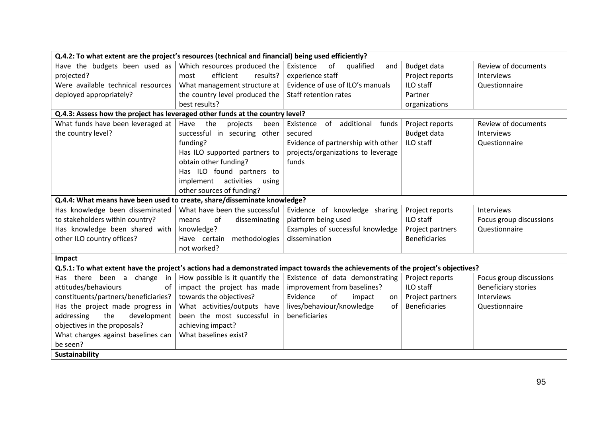| Q.4.2: To what extent are the project's resources (technical and financial) being used efficiently?                              |                                 |                                        |                      |                            |
|----------------------------------------------------------------------------------------------------------------------------------|---------------------------------|----------------------------------------|----------------------|----------------------------|
| Have the budgets been used as                                                                                                    | Which resources produced the    | of<br>Existence<br>qualified<br>and    | Budget data          | Review of documents        |
| projected?                                                                                                                       | efficient<br>results?<br>most   | experience staff                       | Project reports      | Interviews                 |
| Were available technical resources                                                                                               | What management structure at    | Evidence of use of ILO's manuals       | ILO staff            | Questionnaire              |
| deployed appropriately?                                                                                                          | the country level produced the  | Staff retention rates                  | Partner              |                            |
|                                                                                                                                  | best results?                   |                                        | organizations        |                            |
| Q.4.3: Assess how the project has leveraged other funds at the country level?                                                    |                                 |                                        |                      |                            |
| What funds have been leveraged at                                                                                                | Have<br>the<br>projects<br>been | of<br>additional<br>funds<br>Existence | Project reports      | Review of documents        |
| the country level?                                                                                                               | successful in securing other    | secured                                | Budget data          | Interviews                 |
|                                                                                                                                  | funding?                        | Evidence of partnership with other     | ILO staff            | Questionnaire              |
|                                                                                                                                  | Has ILO supported partners to   | projects/organizations to leverage     |                      |                            |
|                                                                                                                                  | obtain other funding?           | funds                                  |                      |                            |
|                                                                                                                                  | Has ILO found partners to       |                                        |                      |                            |
|                                                                                                                                  | implement activities<br>using   |                                        |                      |                            |
|                                                                                                                                  | other sources of funding?       |                                        |                      |                            |
| Q.4.4: What means have been used to create, share/disseminate knowledge?                                                         |                                 |                                        |                      |                            |
| Has knowledge been disseminated                                                                                                  | What have been the successful   | Evidence of knowledge sharing          | Project reports      | Interviews                 |
| to stakeholders within country?                                                                                                  | of<br>disseminating<br>means    | platform being used                    | ILO staff            | Focus group discussions    |
| Has knowledge been shared with                                                                                                   | knowledge?                      | Examples of successful knowledge       | Project partners     | Questionnaire              |
| other ILO country offices?                                                                                                       | Have certain methodologies      | dissemination                          | <b>Beneficiaries</b> |                            |
|                                                                                                                                  | not worked?                     |                                        |                      |                            |
| Impact                                                                                                                           |                                 |                                        |                      |                            |
| Q.5.1: To what extent have the project's actions had a demonstrated impact towards the achievements of the project's objectives? |                                 |                                        |                      |                            |
| Has there been a change in                                                                                                       | How possible is it quantify the | Existence of data demonstrating        | Project reports      | Focus group discussions    |
| attitudes/behaviours<br>of                                                                                                       | impact the project has made     | improvement from baselines?            | ILO staff            | <b>Beneficiary stories</b> |
| constituents/partners/beneficiaries?                                                                                             | towards the objectives?         | Evidence<br>of<br>impact<br>on.        | Project partners     | <b>Interviews</b>          |
| Has the project made progress in                                                                                                 | What activities/outputs have    | lives/behaviour/knowledge<br>of        | <b>Beneficiaries</b> | Questionnaire              |
| addressing<br>the<br>development                                                                                                 | been the most successful in     | beneficiaries                          |                      |                            |
| objectives in the proposals?                                                                                                     | achieving impact?               |                                        |                      |                            |
| What changes against baselines can                                                                                               | What baselines exist?           |                                        |                      |                            |
| be seen?                                                                                                                         |                                 |                                        |                      |                            |
| Sustainability                                                                                                                   |                                 |                                        |                      |                            |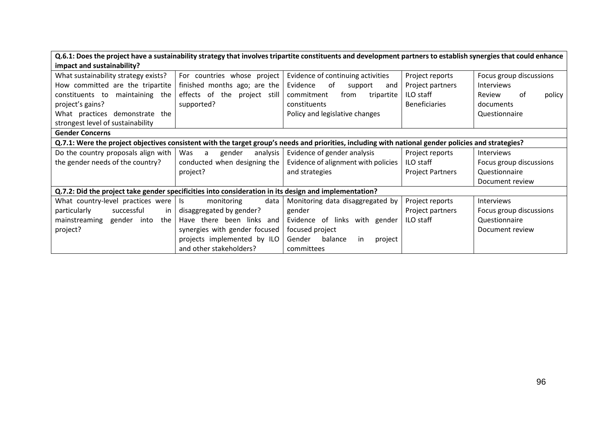| Q.6.1: Does the project have a sustainability strategy that involves tripartite constituents and development partners to establish synergies that could enhance |                               |                                     |                         |                         |
|-----------------------------------------------------------------------------------------------------------------------------------------------------------------|-------------------------------|-------------------------------------|-------------------------|-------------------------|
| impact and sustainability?                                                                                                                                      |                               |                                     |                         |                         |
| What sustainability strategy exists?                                                                                                                            | For countries whose project   | Evidence of continuing activities   | Project reports         | Focus group discussions |
| How committed are the tripartite                                                                                                                                | finished months ago; are the  | of<br>Evidence<br>support<br>and    | Project partners        | <b>Interviews</b>       |
| constituents to maintaining the                                                                                                                                 | effects of the project still  | commitment<br>from<br>tripartite    | ILO staff               | Review<br>of<br>policy  |
| project's gains?                                                                                                                                                | supported?                    | constituents                        | <b>Beneficiaries</b>    | documents               |
| What practices demonstrate the                                                                                                                                  |                               | Policy and legislative changes      |                         | Questionnaire           |
| strongest level of sustainability                                                                                                                               |                               |                                     |                         |                         |
| <b>Gender Concerns</b>                                                                                                                                          |                               |                                     |                         |                         |
| Q.7.1: Were the project objectives consistent with the target group's needs and priorities, including with national gender policies and strategies?             |                               |                                     |                         |                         |
| Do the country proposals align with                                                                                                                             | Was a<br>analysis<br>gender   | Evidence of gender analysis         | Project reports         | Interviews              |
| the gender needs of the country?                                                                                                                                | conducted when designing the  | Evidence of alignment with policies | <b>ILO staff</b>        | Focus group discussions |
|                                                                                                                                                                 | project?                      | and strategies                      | <b>Project Partners</b> | Questionnaire           |
|                                                                                                                                                                 |                               |                                     |                         | Document review         |
| Q.7.2: Did the project take gender specificities into consideration in its design and implementation?                                                           |                               |                                     |                         |                         |
| What country-level practices were                                                                                                                               | monitoring<br>data<br>ls.     | Monitoring data disaggregated by    | Project reports         | Interviews              |
| particularly<br>successful<br>in I                                                                                                                              | disaggregated by gender?      | gender                              | Project partners        | Focus group discussions |
| mainstreaming<br>gender into<br>the                                                                                                                             | Have there been links and     | Evidence of links with gender       | <b>ILO</b> staff        | Questionnaire           |
| project?                                                                                                                                                        | synergies with gender focused | focused project                     |                         | Document review         |
|                                                                                                                                                                 | projects implemented by ILO   | Gender<br>balance<br>project<br>in  |                         |                         |
|                                                                                                                                                                 | and other stakeholders?       | committees                          |                         |                         |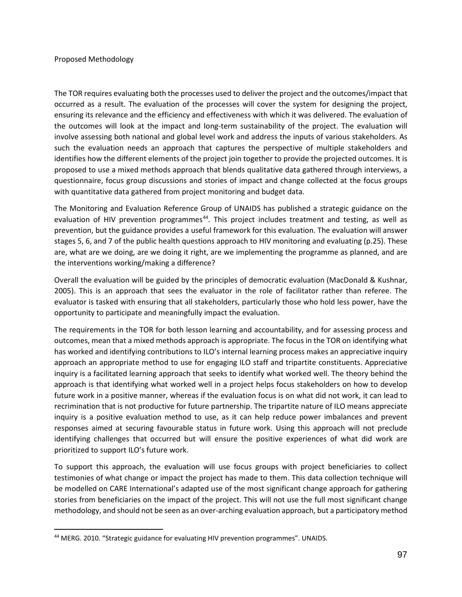#### Proposed Methodology

<span id="page-97-0"></span>The TOR requires evaluating both the processes used to deliver the project and the outcomes/impact that occurred as a result. The evaluation of the processes will cover the system for designing the project, ensuring its relevance and the efficiency and effectiveness with which it was delivered. The evaluation of the outcomes will look at the impact and long-term sustainability of the project. The evaluation will involve assessing both national and global level work and address the inputs of various stakeholders. As such the evaluation needs an approach that captures the perspective of multiple stakeholders and identifies how the different elements of the project join together to provide the projected outcomes. It is proposed to use a mixed methods approach that blends qualitative data gathered through interviews, a questionnaire, focus group discussions and stories of impact and change collected at the focus groups with quantitative data gathered from project monitoring and budget data.

The Monitoring and Evaluation Reference Group of UNAIDS has published a strategic guidance on the evaluation of HIV prevention programmes<sup>[44](#page-97-1)</sup>. This project includes treatment and testing, as well as prevention, but the guidance provides a useful framework for this evaluation. The evaluation will answer stages 5, 6, and 7 of the public health questions approach to HIV monitoring and evaluating (p.25). These are, what are we doing, are we doing it right, are we implementing the programme as planned, and are the interventions working/making a difference?

Overall the evaluation will be guided by the principles of democratic evaluation (MacDonald & Kushnar, 2005). This is an approach that sees the evaluator in the role of facilitator rather than referee. The evaluator is tasked with ensuring that all stakeholders, particularly those who hold less power, have the opportunity to participate and meaningfully impact the evaluation.

The requirements in the TOR for both lesson learning and accountability, and for assessing process and outcomes, mean that a mixed methods approach is appropriate. The focus in the TOR on identifying what has worked and identifying contributions to ILO's internal learning process makes an appreciative inquiry approach an appropriate method to use for engaging ILO staff and tripartite constituents. Appreciative inquiry is a facilitated learning approach that seeks to identify what worked well. The theory behind the approach is that identifying what worked well in a project helps focus stakeholders on how to develop future work in a positive manner, whereas if the evaluation focus is on what did not work, it can lead to recrimination that is not productive for future partnership. The tripartite nature of ILO means appreciate inquiry is a positive evaluation method to use, as it can help reduce power imbalances and prevent responses aimed at securing favourable status in future work. Using this approach will not preclude identifying challenges that occurred but will ensure the positive experiences of what did work are prioritized to support ILO's future work.

To support this approach, the evaluation will use focus groups with project beneficiaries to collect testimonies of what change or impact the project has made to them. This data collection technique will be modelled on CARE International's adapted use of the most significant change approach for gathering stories from beneficiaries on the impact of the project. This will not use the full most significant change methodology, and should not be seen as an over-arching evaluation approach, but a participatory method

<span id="page-97-1"></span> <sup>44</sup> MERG. 2010. "Strategic guidance for evaluating HIV prevention programmes". UNAIDS.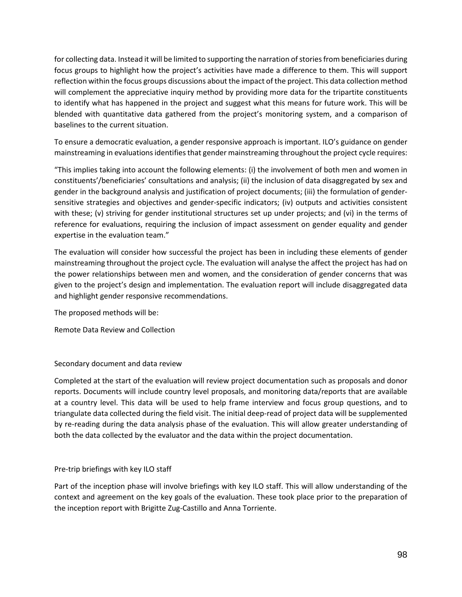for collecting data. Instead it will be limited to supporting the narration of stories from beneficiaries during focus groups to highlight how the project's activities have made a difference to them. This will support reflection within the focus groups discussions about the impact of the project. This data collection method will complement the appreciative inquiry method by providing more data for the tripartite constituents to identify what has happened in the project and suggest what this means for future work. This will be blended with quantitative data gathered from the project's monitoring system, and a comparison of baselines to the current situation.

To ensure a democratic evaluation, a gender responsive approach is important. ILO's guidance on gender mainstreaming in evaluations identifies that gender mainstreaming throughout the project cycle requires:

"This implies taking into account the following elements: (i) the involvement of both men and women in constituents'/beneficiaries' consultations and analysis; (ii) the inclusion of data disaggregated by sex and gender in the background analysis and justification of project documents; (iii) the formulation of gendersensitive strategies and objectives and gender-specific indicators; (iv) outputs and activities consistent with these; (v) striving for gender institutional structures set up under projects; and (vi) in the terms of reference for evaluations, requiring the inclusion of impact assessment on gender equality and gender expertise in the evaluation team."

The evaluation will consider how successful the project has been in including these elements of gender mainstreaming throughout the project cycle. The evaluation will analyse the affect the project has had on the power relationships between men and women, and the consideration of gender concerns that was given to the project's design and implementation. The evaluation report will include disaggregated data and highlight gender responsive recommendations.

The proposed methods will be:

Remote Data Review and Collection

Secondary document and data review

Completed at the start of the evaluation will review project documentation such as proposals and donor reports. Documents will include country level proposals, and monitoring data/reports that are available at a country level. This data will be used to help frame interview and focus group questions, and to triangulate data collected during the field visit. The initial deep-read of project data will be supplemented by re-reading during the data analysis phase of the evaluation. This will allow greater understanding of both the data collected by the evaluator and the data within the project documentation.

## Pre-trip briefings with key ILO staff

Part of the inception phase will involve briefings with key ILO staff. This will allow understanding of the context and agreement on the key goals of the evaluation. These took place prior to the preparation of the inception report with Brigitte Zug-Castillo and Anna Torriente.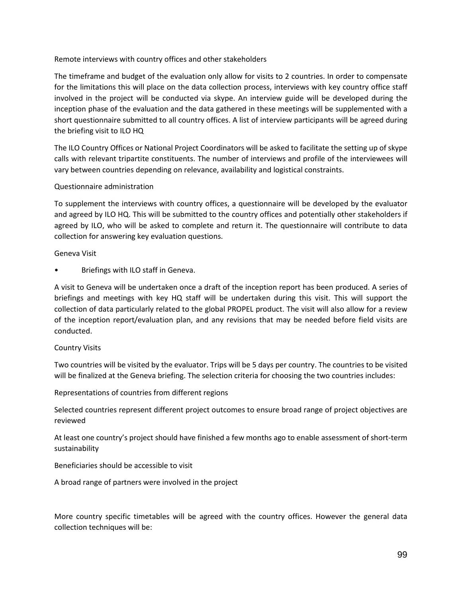Remote interviews with country offices and other stakeholders

The timeframe and budget of the evaluation only allow for visits to 2 countries. In order to compensate for the limitations this will place on the data collection process, interviews with key country office staff involved in the project will be conducted via skype. An interview guide will be developed during the inception phase of the evaluation and the data gathered in these meetings will be supplemented with a short questionnaire submitted to all country offices. A list of interview participants will be agreed during the briefing visit to ILO HQ

The ILO Country Offices or National Project Coordinators will be asked to facilitate the setting up of skype calls with relevant tripartite constituents. The number of interviews and profile of the interviewees will vary between countries depending on relevance, availability and logistical constraints.

## Questionnaire administration

To supplement the interviews with country offices, a questionnaire will be developed by the evaluator and agreed by ILO HQ. This will be submitted to the country offices and potentially other stakeholders if agreed by ILO, who will be asked to complete and return it. The questionnaire will contribute to data collection for answering key evaluation questions.

#### Geneva Visit

• Briefings with ILO staff in Geneva.

A visit to Geneva will be undertaken once a draft of the inception report has been produced. A series of briefings and meetings with key HQ staff will be undertaken during this visit. This will support the collection of data particularly related to the global PROPEL product. The visit will also allow for a review of the inception report/evaluation plan, and any revisions that may be needed before field visits are conducted.

#### Country Visits

Two countries will be visited by the evaluator. Trips will be 5 days per country. The countries to be visited will be finalized at the Geneva briefing. The selection criteria for choosing the two countries includes:

Representations of countries from different regions

Selected countries represent different project outcomes to ensure broad range of project objectives are reviewed

At least one country's project should have finished a few months ago to enable assessment of short-term sustainability

#### Beneficiaries should be accessible to visit

A broad range of partners were involved in the project

More country specific timetables will be agreed with the country offices. However the general data collection techniques will be: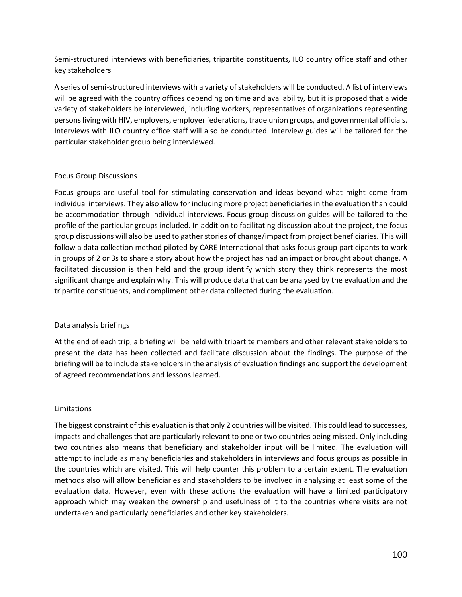Semi-structured interviews with beneficiaries, tripartite constituents, ILO country office staff and other key stakeholders

A series of semi-structured interviews with a variety of stakeholders will be conducted. A list of interviews will be agreed with the country offices depending on time and availability, but it is proposed that a wide variety of stakeholders be interviewed, including workers, representatives of organizations representing persons living with HIV, employers, employer federations, trade union groups, and governmental officials. Interviews with ILO country office staff will also be conducted. Interview guides will be tailored for the particular stakeholder group being interviewed.

## Focus Group Discussions

Focus groups are useful tool for stimulating conservation and ideas beyond what might come from individual interviews. They also allow for including more project beneficiaries in the evaluation than could be accommodation through individual interviews. Focus group discussion guides will be tailored to the profile of the particular groups included. In addition to facilitating discussion about the project, the focus group discussions will also be used to gather stories of change/impact from project beneficiaries. This will follow a data collection method piloted by CARE International that asks focus group participants to work in groups of 2 or 3s to share a story about how the project has had an impact or brought about change. A facilitated discussion is then held and the group identify which story they think represents the most significant change and explain why. This will produce data that can be analysed by the evaluation and the tripartite constituents, and compliment other data collected during the evaluation.

#### Data analysis briefings

At the end of each trip, a briefing will be held with tripartite members and other relevant stakeholders to present the data has been collected and facilitate discussion about the findings. The purpose of the briefing will be to include stakeholders in the analysis of evaluation findings and support the development of agreed recommendations and lessons learned.

#### **Limitations**

<span id="page-100-0"></span>The biggest constraint of this evaluation is that only 2 countries will be visited. This could lead to successes, impacts and challenges that are particularly relevant to one or two countries being missed. Only including two countries also means that beneficiary and stakeholder input will be limited. The evaluation will attempt to include as many beneficiaries and stakeholders in interviews and focus groups as possible in the countries which are visited. This will help counter this problem to a certain extent. The evaluation methods also will allow beneficiaries and stakeholders to be involved in analysing at least some of the evaluation data. However, even with these actions the evaluation will have a limited participatory approach which may weaken the ownership and usefulness of it to the countries where visits are not undertaken and particularly beneficiaries and other key stakeholders.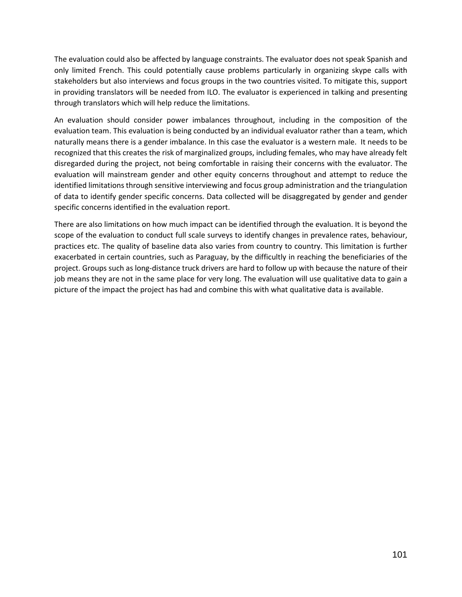The evaluation could also be affected by language constraints. The evaluator does not speak Spanish and only limited French. This could potentially cause problems particularly in organizing skype calls with stakeholders but also interviews and focus groups in the two countries visited. To mitigate this, support in providing translators will be needed from ILO. The evaluator is experienced in talking and presenting through translators which will help reduce the limitations.

An evaluation should consider power imbalances throughout, including in the composition of the evaluation team. This evaluation is being conducted by an individual evaluator rather than a team, which naturally means there is a gender imbalance. In this case the evaluator is a western male. It needs to be recognized that this creates the risk of marginalized groups, including females, who may have already felt disregarded during the project, not being comfortable in raising their concerns with the evaluator. The evaluation will mainstream gender and other equity concerns throughout and attempt to reduce the identified limitations through sensitive interviewing and focus group administration and the triangulation of data to identify gender specific concerns. Data collected will be disaggregated by gender and gender specific concerns identified in the evaluation report.

There are also limitations on how much impact can be identified through the evaluation. It is beyond the scope of the evaluation to conduct full scale surveys to identify changes in prevalence rates, behaviour, practices etc. The quality of baseline data also varies from country to country. This limitation is further exacerbated in certain countries, such as Paraguay, by the difficultly in reaching the beneficiaries of the project. Groups such as long-distance truck drivers are hard to follow up with because the nature of their job means they are not in the same place for very long. The evaluation will use qualitative data to gain a picture of the impact the project has had and combine this with what qualitative data is available.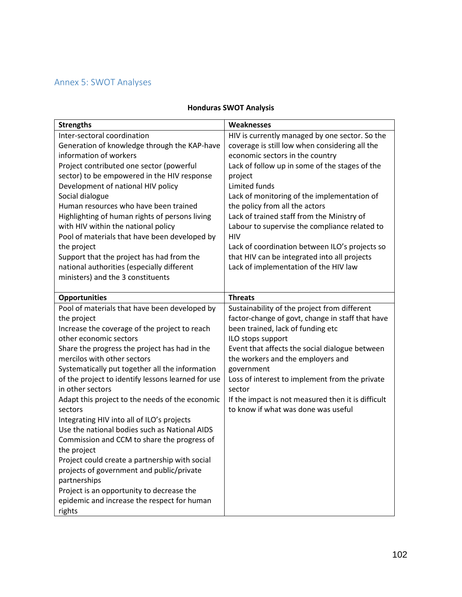# Annex 5: SWOT Analyses

## **Honduras SWOT Analysis**

| <b>Strengths</b>                                   | Weaknesses                                         |
|----------------------------------------------------|----------------------------------------------------|
| Inter-sectoral coordination                        | HIV is currently managed by one sector. So the     |
| Generation of knowledge through the KAP-have       | coverage is still low when considering all the     |
| information of workers                             | economic sectors in the country                    |
| Project contributed one sector (powerful           | Lack of follow up in some of the stages of the     |
| sector) to be empowered in the HIV response        | project                                            |
| Development of national HIV policy                 | Limited funds                                      |
| Social dialogue                                    | Lack of monitoring of the implementation of        |
| Human resources who have been trained              | the policy from all the actors                     |
| Highlighting of human rights of persons living     | Lack of trained staff from the Ministry of         |
| with HIV within the national policy                | Labour to supervise the compliance related to      |
| Pool of materials that have been developed by      | <b>HIV</b>                                         |
| the project                                        | Lack of coordination between ILO's projects so     |
| Support that the project has had from the          | that HIV can be integrated into all projects       |
| national authorities (especially different         | Lack of implementation of the HIV law              |
| ministers) and the 3 constituents                  |                                                    |
| <b>Opportunities</b>                               | <b>Threats</b>                                     |
| Pool of materials that have been developed by      | Sustainability of the project from different       |
| the project                                        | factor-change of govt, change in staff that have   |
| Increase the coverage of the project to reach      | been trained, lack of funding etc                  |
| other economic sectors                             | ILO stops support                                  |
| Share the progress the project has had in the      | Event that affects the social dialogue between     |
| mercilos with other sectors                        | the workers and the employers and                  |
| Systematically put together all the information    | government                                         |
| of the project to identify lessons learned for use | Loss of interest to implement from the private     |
| in other sectors                                   | sector                                             |
| Adapt this project to the needs of the economic    | If the impact is not measured then it is difficult |
| sectors                                            | to know if what was done was useful                |
| Integrating HIV into all of ILO's projects         |                                                    |
| Use the national bodies such as National AIDS      |                                                    |
| Commission and CCM to share the progress of        |                                                    |
| the project                                        |                                                    |
| Project could create a partnership with social     |                                                    |
| projects of government and public/private          |                                                    |
| partnerships                                       |                                                    |
| Project is an opportunity to decrease the          |                                                    |
| epidemic and increase the respect for human        |                                                    |
| rights                                             |                                                    |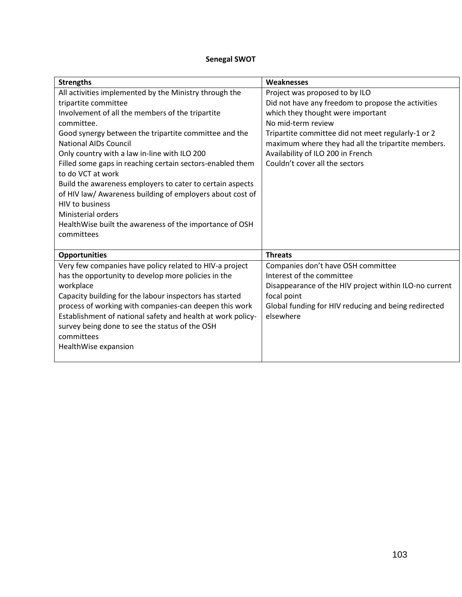# **Senegal SWOT**

| <b>Strengths</b>                                            | <b>Weaknesses</b>                                      |
|-------------------------------------------------------------|--------------------------------------------------------|
| All activities implemented by the Ministry through the      | Project was proposed to by ILO                         |
| tripartite committee                                        | Did not have any freedom to propose the activities     |
| Involvement of all the members of the tripartite            | which they thought were important                      |
| committee.                                                  | No mid-term review                                     |
| Good synergy between the tripartite committee and the       | Tripartite committee did not meet regularly-1 or 2     |
| <b>National AIDs Council</b>                                | maximum where they had all the tripartite members.     |
| Only country with a law in-line with ILO 200                | Availability of ILO 200 in French                      |
| Filled some gaps in reaching certain sectors-enabled them   | Couldn't cover all the sectors                         |
| to do VCT at work                                           |                                                        |
| Build the awareness employers to cater to certain aspects   |                                                        |
| of HIV law/ Awareness building of employers about cost of   |                                                        |
| <b>HIV to business</b>                                      |                                                        |
| Ministerial orders                                          |                                                        |
| HealthWise built the awareness of the importance of OSH     |                                                        |
| committees                                                  |                                                        |
|                                                             |                                                        |
| <b>Opportunities</b>                                        | <b>Threats</b>                                         |
| Very few companies have policy related to HIV-a project     | Companies don't have OSH committee                     |
| has the opportunity to develop more policies in the         | Interest of the committee                              |
| workplace                                                   | Disappearance of the HIV project within ILO-no current |
| Capacity building for the labour inspectors has started     | focal point                                            |
| process of working with companies-can deepen this work      | Global funding for HIV reducing and being redirected   |
| Establishment of national safety and health at work policy- | elsewhere                                              |
| survey being done to see the status of the OSH              |                                                        |
| committees                                                  |                                                        |
| HealthWise expansion                                        |                                                        |
|                                                             |                                                        |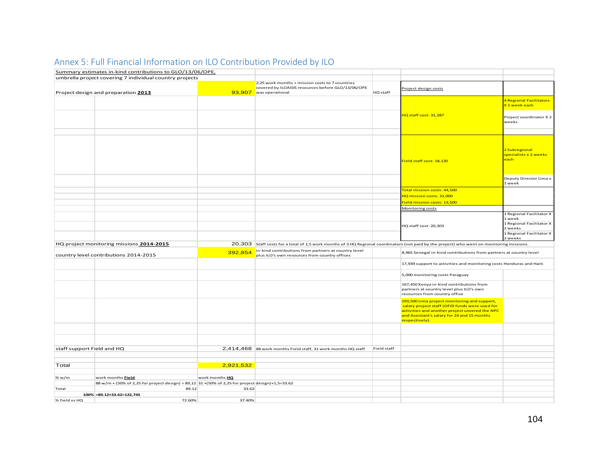|                                                  | Summary estimates in-kind contributions to GLO/13/06/OPE,                                                  |                                                                                                       |                                                                                                                                            |                                                                    |                                                                                                                                                                                                                   |                                                |
|--------------------------------------------------|------------------------------------------------------------------------------------------------------------|-------------------------------------------------------------------------------------------------------|--------------------------------------------------------------------------------------------------------------------------------------------|--------------------------------------------------------------------|-------------------------------------------------------------------------------------------------------------------------------------------------------------------------------------------------------------------|------------------------------------------------|
|                                                  | umbrella project covering 7 individual country projects                                                    |                                                                                                       |                                                                                                                                            |                                                                    |                                                                                                                                                                                                                   |                                                |
|                                                  |                                                                                                            |                                                                                                       | 2,25 work months + mission costs to 7 countries                                                                                            |                                                                    |                                                                                                                                                                                                                   |                                                |
|                                                  |                                                                                                            |                                                                                                       | covered by ILOAIDS resources before GLO/13/06/OPE                                                                                          |                                                                    | Project design costs                                                                                                                                                                                              |                                                |
|                                                  | Project design and preparation 2013                                                                        |                                                                                                       | 93,907 was operational                                                                                                                     | HQ staff                                                           |                                                                                                                                                                                                                   |                                                |
|                                                  |                                                                                                            |                                                                                                       |                                                                                                                                            |                                                                    |                                                                                                                                                                                                                   | 4 Regional Facilitators<br>X1 week each        |
|                                                  |                                                                                                            |                                                                                                       |                                                                                                                                            |                                                                    | HQ staff cost: 31,287                                                                                                                                                                                             | Project coordinator X 2<br>weeks               |
|                                                  |                                                                                                            |                                                                                                       |                                                                                                                                            |                                                                    |                                                                                                                                                                                                                   |                                                |
|                                                  |                                                                                                            |                                                                                                       |                                                                                                                                            |                                                                    | Field staff cost: 18,120                                                                                                                                                                                          | 2 Subregional<br>specialists x 2 weeks<br>each |
|                                                  |                                                                                                            |                                                                                                       |                                                                                                                                            |                                                                    |                                                                                                                                                                                                                   | Deputy Director Lima x<br>1 week               |
|                                                  |                                                                                                            |                                                                                                       |                                                                                                                                            |                                                                    | Total mission costs: 44,500                                                                                                                                                                                       |                                                |
|                                                  |                                                                                                            |                                                                                                       |                                                                                                                                            |                                                                    | HQ mission costs: 31,000                                                                                                                                                                                          |                                                |
|                                                  |                                                                                                            |                                                                                                       |                                                                                                                                            |                                                                    | Field mission costs: 13,500                                                                                                                                                                                       |                                                |
|                                                  |                                                                                                            |                                                                                                       |                                                                                                                                            |                                                                    |                                                                                                                                                                                                                   |                                                |
|                                                  |                                                                                                            |                                                                                                       |                                                                                                                                            |                                                                    | Monitoring costs                                                                                                                                                                                                  |                                                |
|                                                  |                                                                                                            |                                                                                                       |                                                                                                                                            |                                                                    |                                                                                                                                                                                                                   | 1 Regional Facilitator X<br>1 week             |
|                                                  |                                                                                                            |                                                                                                       |                                                                                                                                            |                                                                    | HQ staff cost: 20,303                                                                                                                                                                                             | 1 Regional Facilitator X<br>2 weeks            |
|                                                  |                                                                                                            |                                                                                                       |                                                                                                                                            |                                                                    |                                                                                                                                                                                                                   | 1 Regional Facilitator X<br>2 weeks            |
|                                                  | HQ project monitoring missions 2014-2015                                                                   |                                                                                                       | 20,303 Staff costs for a total of 1,5 work months of 3 HQ Regional coordinators (not paid by the project) who went on monitoring missions. |                                                                    |                                                                                                                                                                                                                   |                                                |
| 392,854<br>country level contributions 2014-2015 |                                                                                                            | in-kind contributions from partners at country level<br>plus ILO's own resources from country offices |                                                                                                                                            | 8,965 Senegal in-kind contributions from partners at country level |                                                                                                                                                                                                                   |                                                |
|                                                  |                                                                                                            |                                                                                                       |                                                                                                                                            |                                                                    |                                                                                                                                                                                                                   |                                                |
|                                                  |                                                                                                            |                                                                                                       |                                                                                                                                            |                                                                    | 17,939 support to activities and monitoring costs Honduras and Haiti                                                                                                                                              |                                                |
|                                                  |                                                                                                            |                                                                                                       |                                                                                                                                            |                                                                    | 5,000 monitoring costs Paraguay                                                                                                                                                                                   |                                                |
|                                                  |                                                                                                            |                                                                                                       |                                                                                                                                            |                                                                    | 167,450 Kenya in-kind contributions from<br>partners at country level plus ILO's own<br>resources from country office                                                                                             |                                                |
|                                                  |                                                                                                            |                                                                                                       |                                                                                                                                            |                                                                    | 193,500 Lima project monitoring and support,<br>salary project staff (OFID funds were used for<br>activities and another project covered the NPC<br>and Assistant's salary for 24 and 15 months<br>respectively). |                                                |
|                                                  |                                                                                                            |                                                                                                       |                                                                                                                                            |                                                                    |                                                                                                                                                                                                                   |                                                |
|                                                  |                                                                                                            |                                                                                                       |                                                                                                                                            |                                                                    |                                                                                                                                                                                                                   |                                                |
| staff support Field and HQ                       |                                                                                                            |                                                                                                       | 2,414,468 88 work months Field staff, 31 work months HQ staff                                                                              | Field staff                                                        |                                                                                                                                                                                                                   |                                                |
|                                                  |                                                                                                            |                                                                                                       |                                                                                                                                            |                                                                    |                                                                                                                                                                                                                   |                                                |
|                                                  |                                                                                                            |                                                                                                       |                                                                                                                                            |                                                                    |                                                                                                                                                                                                                   |                                                |
| Total                                            |                                                                                                            | 2,921,532                                                                                             |                                                                                                                                            |                                                                    |                                                                                                                                                                                                                   |                                                |
|                                                  |                                                                                                            |                                                                                                       |                                                                                                                                            |                                                                    |                                                                                                                                                                                                                   |                                                |
| % w/m                                            | work months Field                                                                                          | work months HQ                                                                                        |                                                                                                                                            |                                                                    |                                                                                                                                                                                                                   |                                                |
|                                                  |                                                                                                            |                                                                                                       |                                                                                                                                            |                                                                    |                                                                                                                                                                                                                   |                                                |
| Total                                            | 88 w/m + (50% of 2,25 for project design) = 89,12 31 + (50% of 2,25 for project design)+1,5=33.62<br>89.12 | 33.62                                                                                                 |                                                                                                                                            |                                                                    |                                                                                                                                                                                                                   |                                                |
|                                                  | 100% = 89.12+33.62=122,745                                                                                 |                                                                                                       |                                                                                                                                            |                                                                    |                                                                                                                                                                                                                   |                                                |

# Annex 5: Full Financial Information on ILO Contribution Provided by ILO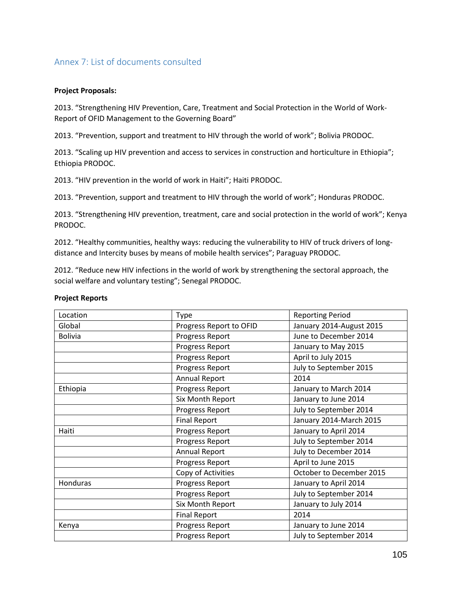# Annex 7: List of documents consulted

#### **Project Proposals:**

2013. "Strengthening HIV Prevention, Care, Treatment and Social Protection in the World of Work-Report of OFID Management to the Governing Board"

2013. "Prevention, support and treatment to HIV through the world of work"; Bolivia PRODOC.

2013. "Scaling up HIV prevention and access to services in construction and horticulture in Ethiopia"; Ethiopia PRODOC.

2013. "HIV prevention in the world of work in Haiti"; Haiti PRODOC.

2013. "Prevention, support and treatment to HIV through the world of work"; Honduras PRODOC.

2013. "Strengthening HIV prevention, treatment, care and social protection in the world of work"; Kenya PRODOC.

2012. "Healthy communities, healthy ways: reducing the vulnerability to HIV of truck drivers of longdistance and Intercity buses by means of mobile health services"; Paraguay PRODOC.

2012. "Reduce new HIV infections in the world of work by strengthening the sectoral approach, the social welfare and voluntary testing"; Senegal PRODOC.

Reporting Period

| Location       | <b>Type</b>             |
|----------------|-------------------------|
| Global         | Progress Report to OFID |
| <b>Bolivia</b> | Progress Report         |
|                | Progress Report         |
|                | Progress Report         |
|                | Progress Report         |
|                | <b>Annual Report</b>    |
| Ethiopia       | Progress Report         |
|                | Six Month Report        |
|                | Progress Report         |
|                | <b>Final Report</b>     |
|                |                         |

#### **Project Reports**

| Global         | Progress Report to OFID | January 2014-August 2015 |
|----------------|-------------------------|--------------------------|
| <b>Bolivia</b> | Progress Report         | June to December 2014    |
|                | Progress Report         | January to May 2015      |
|                | Progress Report         | April to July 2015       |
|                | Progress Report         | July to September 2015   |
|                | Annual Report           | 2014                     |
| Ethiopia       | Progress Report         | January to March 2014    |
|                | Six Month Report        | January to June 2014     |
|                | Progress Report         | July to September 2014   |
|                | <b>Final Report</b>     | January 2014-March 2015  |
| Haiti          | Progress Report         | January to April 2014    |
|                | Progress Report         | July to September 2014   |
|                | <b>Annual Report</b>    | July to December 2014    |
|                | Progress Report         | April to June 2015       |
|                | Copy of Activities      | October to December 2015 |
| Honduras       | Progress Report         | January to April 2014    |
|                | Progress Report         | July to September 2014   |
|                | Six Month Report        | January to July 2014     |
|                | <b>Final Report</b>     | 2014                     |
| Kenya          | Progress Report         | January to June 2014     |
|                | Progress Report         | July to September 2014   |